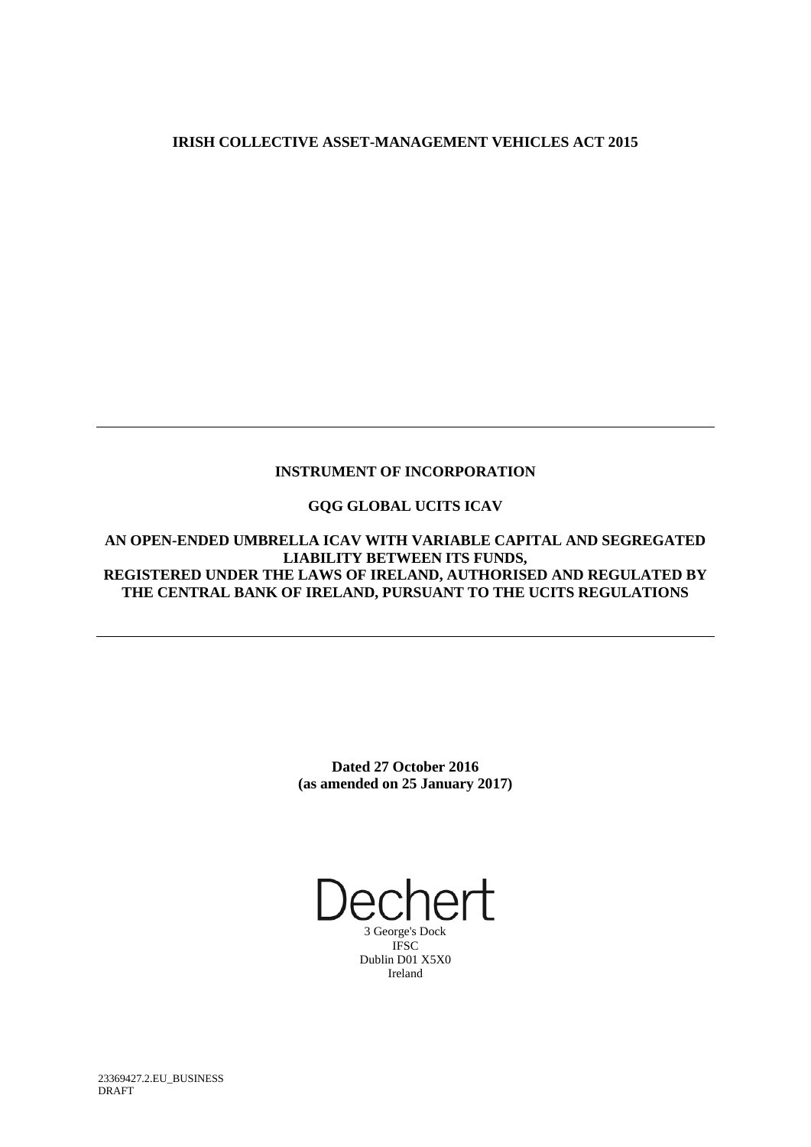## **IRISH COLLECTIVE ASSET-MANAGEMENT VEHICLES ACT 2015**

### **INSTRUMENT OF INCORPORATION**

## **GQG GLOBAL UCITS ICAV**

**AN OPEN-ENDED UMBRELLA ICAV WITH VARIABLE CAPITAL AND SEGREGATED LIABILITY BETWEEN ITS FUNDS, REGISTERED UNDER THE LAWS OF IRELAND, AUTHORISED AND REGULATED BY THE CENTRAL BANK OF IRELAND, PURSUANT TO THE UCITS REGULATIONS**

> **Dated 27 October 2016 (as amended on 25 January 2017)**

Dechert

3 George's Dock IFSC Dublin D01 X5X0 Ireland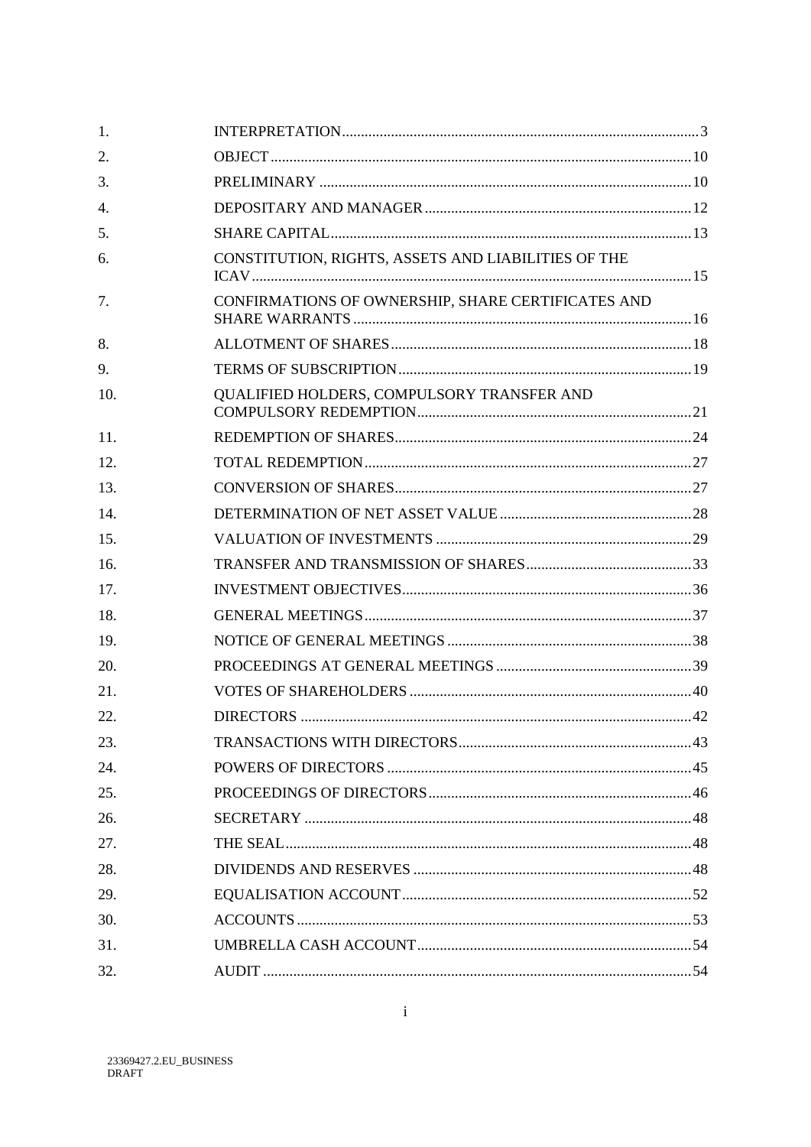| 1.  |                                                     |  |
|-----|-----------------------------------------------------|--|
| 2.  |                                                     |  |
| 3.  |                                                     |  |
| 4.  |                                                     |  |
| 5.  |                                                     |  |
| 6.  | CONSTITUTION, RIGHTS, ASSETS AND LIABILITIES OF THE |  |
| 7.  | CONFIRMATIONS OF OWNERSHIP, SHARE CERTIFICATES AND  |  |
| 8.  |                                                     |  |
| 9.  |                                                     |  |
| 10. | QUALIFIED HOLDERS, COMPULSORY TRANSFER AND          |  |
| 11. |                                                     |  |
| 12. |                                                     |  |
| 13. |                                                     |  |
| 14. |                                                     |  |
| 15. |                                                     |  |
| 16. |                                                     |  |
| 17. |                                                     |  |
| 18. |                                                     |  |
| 19. |                                                     |  |
| 20. |                                                     |  |
| 21. |                                                     |  |
| 22. |                                                     |  |
| 23. |                                                     |  |
| 24. |                                                     |  |
| 25. |                                                     |  |
| 26. |                                                     |  |
| 27. |                                                     |  |
| 28. |                                                     |  |
| 29. |                                                     |  |
| 30. |                                                     |  |
| 31. |                                                     |  |
| 32. |                                                     |  |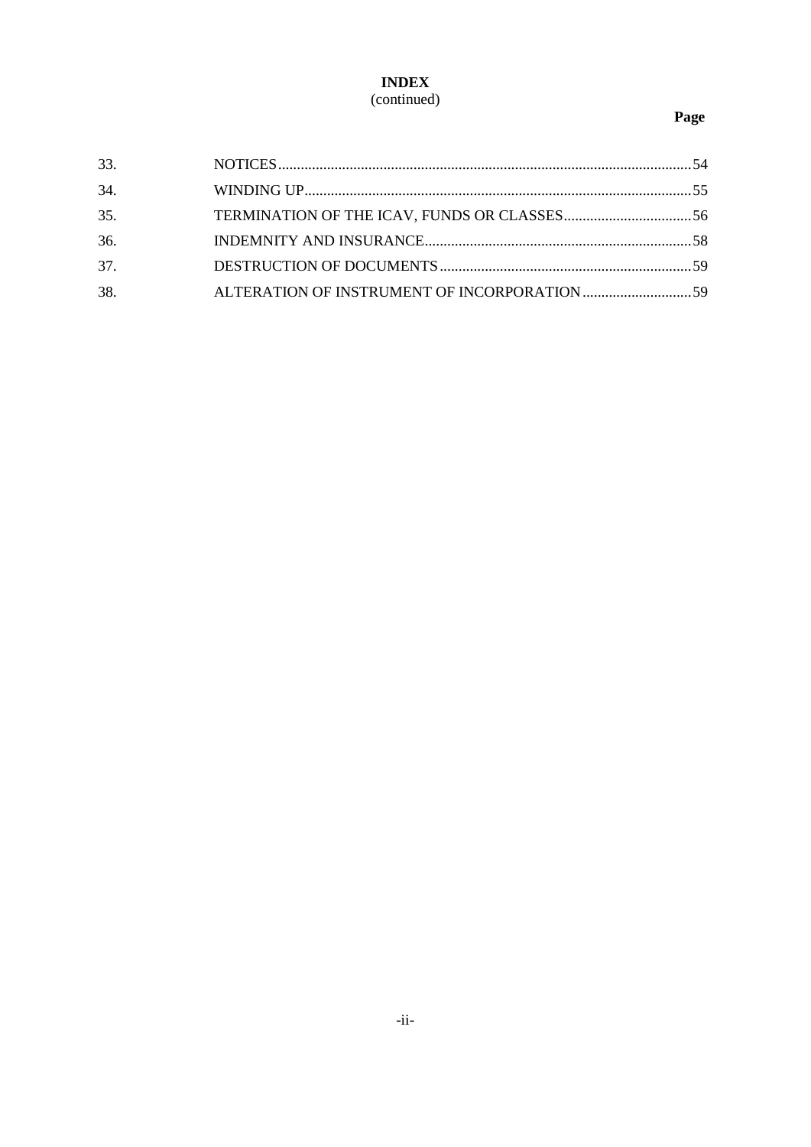## **INDEX** (continued)

# Page

| 33. |  |
|-----|--|
| 34. |  |
| 35. |  |
| 36. |  |
| 37. |  |
| 38. |  |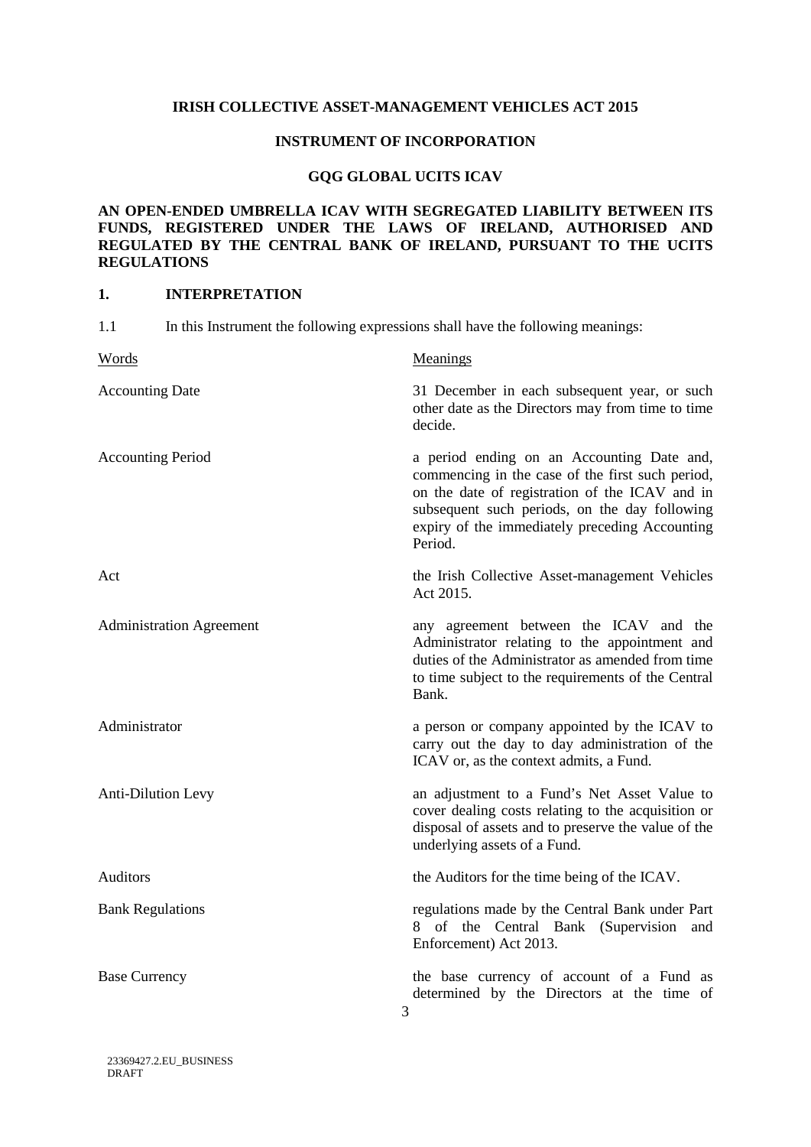#### **IRISH COLLECTIVE ASSET-MANAGEMENT VEHICLES ACT 2015**

#### **INSTRUMENT OF INCORPORATION**

#### **GQG GLOBAL UCITS ICAV**

### **AN OPEN-ENDED UMBRELLA ICAV WITH SEGREGATED LIABILITY BETWEEN ITS FUNDS, REGISTERED UNDER THE LAWS OF IRELAND, AUTHORISED AND REGULATED BY THE CENTRAL BANK OF IRELAND, PURSUANT TO THE UCITS REGULATIONS**

### **1. INTERPRETATION**

| 1.1<br>In this Instrument the following expressions shall have the following meanings: |                                                                                                                                                                                                                                                                |
|----------------------------------------------------------------------------------------|----------------------------------------------------------------------------------------------------------------------------------------------------------------------------------------------------------------------------------------------------------------|
| Words                                                                                  | Meanings                                                                                                                                                                                                                                                       |
| <b>Accounting Date</b>                                                                 | 31 December in each subsequent year, or such<br>other date as the Directors may from time to time<br>decide.                                                                                                                                                   |
| <b>Accounting Period</b>                                                               | a period ending on an Accounting Date and,<br>commencing in the case of the first such period,<br>on the date of registration of the ICAV and in<br>subsequent such periods, on the day following<br>expiry of the immediately preceding Accounting<br>Period. |
| Act                                                                                    | the Irish Collective Asset-management Vehicles<br>Act 2015.                                                                                                                                                                                                    |
| <b>Administration Agreement</b>                                                        | any agreement between the ICAV and the<br>Administrator relating to the appointment and<br>duties of the Administrator as amended from time<br>to time subject to the requirements of the Central<br>Bank.                                                     |
| Administrator                                                                          | a person or company appointed by the ICAV to<br>carry out the day to day administration of the<br>ICAV or, as the context admits, a Fund.                                                                                                                      |
| <b>Anti-Dilution Levy</b>                                                              | an adjustment to a Fund's Net Asset Value to<br>cover dealing costs relating to the acquisition or<br>disposal of assets and to preserve the value of the<br>underlying assets of a Fund.                                                                      |
| <b>Auditors</b>                                                                        | the Auditors for the time being of the ICAV.                                                                                                                                                                                                                   |
| <b>Bank Regulations</b>                                                                | regulations made by the Central Bank under Part<br>8 of the Central Bank (Supervision and<br>Enforcement) Act 2013.                                                                                                                                            |
| <b>Base Currency</b>                                                                   | the base currency of account of a Fund as<br>determined by the Directors at the time of<br>3                                                                                                                                                                   |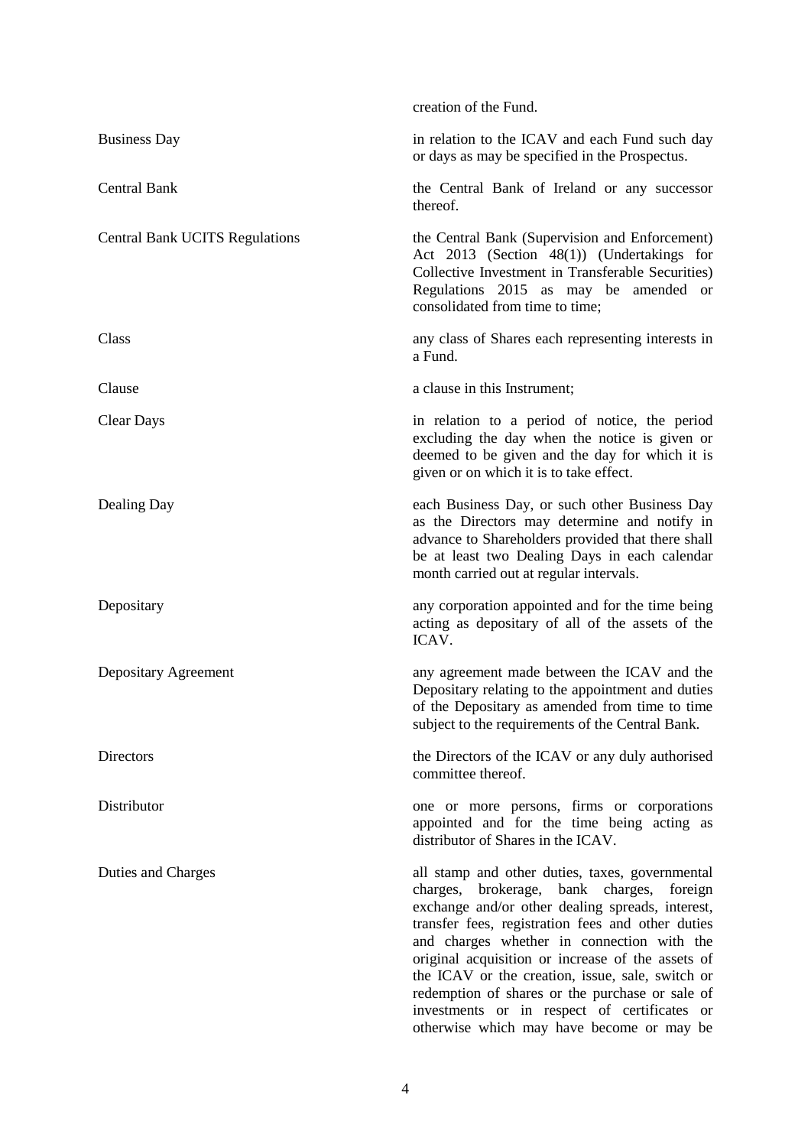|                                       | creation of the Fund.                                                                                                                                                                                                                                                                                                                                                                                                                                                                                        |
|---------------------------------------|--------------------------------------------------------------------------------------------------------------------------------------------------------------------------------------------------------------------------------------------------------------------------------------------------------------------------------------------------------------------------------------------------------------------------------------------------------------------------------------------------------------|
| <b>Business Day</b>                   | in relation to the ICAV and each Fund such day<br>or days as may be specified in the Prospectus.                                                                                                                                                                                                                                                                                                                                                                                                             |
| <b>Central Bank</b>                   | the Central Bank of Ireland or any successor<br>thereof.                                                                                                                                                                                                                                                                                                                                                                                                                                                     |
| <b>Central Bank UCITS Regulations</b> | the Central Bank (Supervision and Enforcement)<br>Act 2013 (Section 48(1)) (Undertakings for<br>Collective Investment in Transferable Securities)<br>Regulations 2015 as may be amended or<br>consolidated from time to time;                                                                                                                                                                                                                                                                                |
| Class                                 | any class of Shares each representing interests in<br>a Fund.                                                                                                                                                                                                                                                                                                                                                                                                                                                |
| Clause                                | a clause in this Instrument;                                                                                                                                                                                                                                                                                                                                                                                                                                                                                 |
| <b>Clear Days</b>                     | in relation to a period of notice, the period<br>excluding the day when the notice is given or<br>deemed to be given and the day for which it is<br>given or on which it is to take effect.                                                                                                                                                                                                                                                                                                                  |
| Dealing Day                           | each Business Day, or such other Business Day<br>as the Directors may determine and notify in<br>advance to Shareholders provided that there shall<br>be at least two Dealing Days in each calendar<br>month carried out at regular intervals.                                                                                                                                                                                                                                                               |
| Depositary                            | any corporation appointed and for the time being<br>acting as depositary of all of the assets of the<br>ICAV.                                                                                                                                                                                                                                                                                                                                                                                                |
| Depositary Agreement                  | any agreement made between the ICAV and the<br>Depositary relating to the appointment and duties<br>of the Depositary as amended from time to time<br>subject to the requirements of the Central Bank.                                                                                                                                                                                                                                                                                                       |
| <b>Directors</b>                      | the Directors of the ICAV or any duly authorised<br>committee thereof.                                                                                                                                                                                                                                                                                                                                                                                                                                       |
| Distributor                           | one or more persons, firms or corporations<br>appointed and for the time being acting as<br>distributor of Shares in the ICAV.                                                                                                                                                                                                                                                                                                                                                                               |
| Duties and Charges                    | all stamp and other duties, taxes, governmental<br>charges, brokerage, bank charges, foreign<br>exchange and/or other dealing spreads, interest,<br>transfer fees, registration fees and other duties<br>and charges whether in connection with the<br>original acquisition or increase of the assets of<br>the ICAV or the creation, issue, sale, switch or<br>redemption of shares or the purchase or sale of<br>investments or in respect of certificates or<br>otherwise which may have become or may be |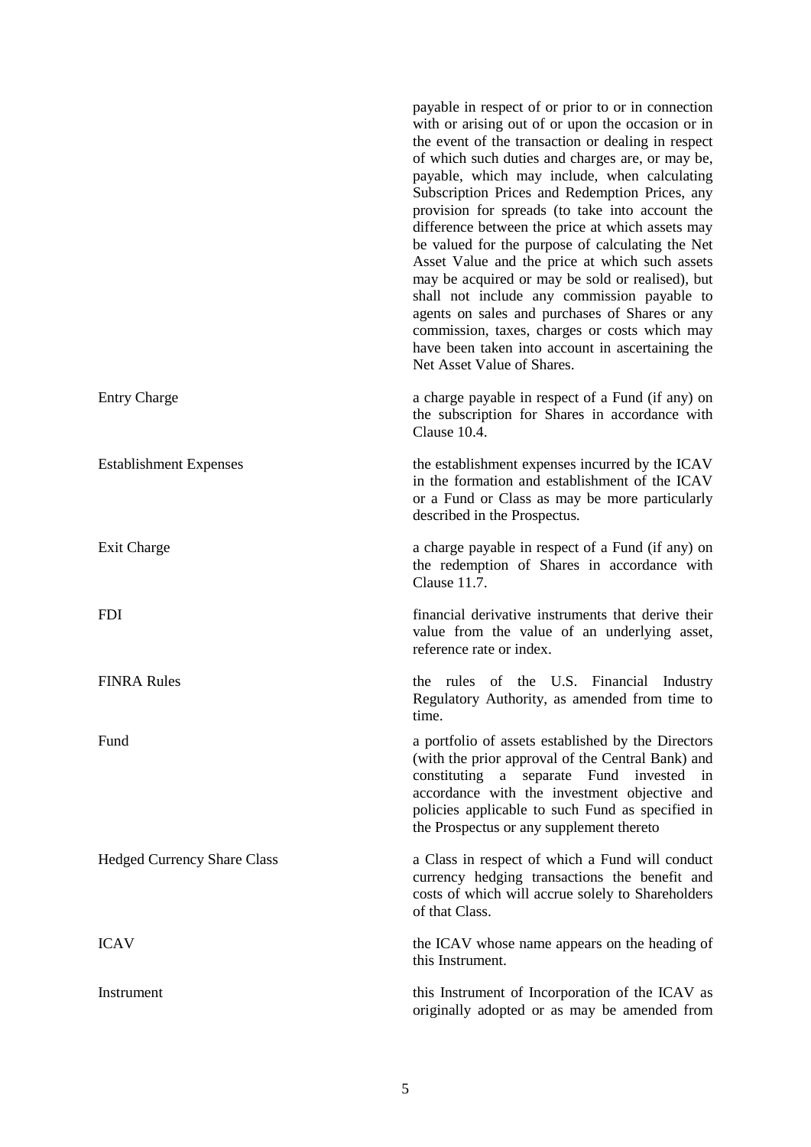|                                    | payable in respect of or prior to or in connection<br>with or arising out of or upon the occasion or in<br>the event of the transaction or dealing in respect<br>of which such duties and charges are, or may be,<br>payable, which may include, when calculating<br>Subscription Prices and Redemption Prices, any<br>provision for spreads (to take into account the<br>difference between the price at which assets may<br>be valued for the purpose of calculating the Net<br>Asset Value and the price at which such assets<br>may be acquired or may be sold or realised), but<br>shall not include any commission payable to<br>agents on sales and purchases of Shares or any<br>commission, taxes, charges or costs which may<br>have been taken into account in ascertaining the<br>Net Asset Value of Shares. |
|------------------------------------|--------------------------------------------------------------------------------------------------------------------------------------------------------------------------------------------------------------------------------------------------------------------------------------------------------------------------------------------------------------------------------------------------------------------------------------------------------------------------------------------------------------------------------------------------------------------------------------------------------------------------------------------------------------------------------------------------------------------------------------------------------------------------------------------------------------------------|
| <b>Entry Charge</b>                | a charge payable in respect of a Fund (if any) on<br>the subscription for Shares in accordance with<br>Clause 10.4.                                                                                                                                                                                                                                                                                                                                                                                                                                                                                                                                                                                                                                                                                                      |
| <b>Establishment Expenses</b>      | the establishment expenses incurred by the ICAV<br>in the formation and establishment of the ICAV<br>or a Fund or Class as may be more particularly<br>described in the Prospectus.                                                                                                                                                                                                                                                                                                                                                                                                                                                                                                                                                                                                                                      |
| Exit Charge                        | a charge payable in respect of a Fund (if any) on<br>the redemption of Shares in accordance with<br>Clause 11.7.                                                                                                                                                                                                                                                                                                                                                                                                                                                                                                                                                                                                                                                                                                         |
| <b>FDI</b>                         | financial derivative instruments that derive their<br>value from the value of an underlying asset,<br>reference rate or index.                                                                                                                                                                                                                                                                                                                                                                                                                                                                                                                                                                                                                                                                                           |
| <b>FINRA Rules</b>                 | rules of the U.S. Financial Industry<br>the<br>Regulatory Authority, as amended from time to<br>time.                                                                                                                                                                                                                                                                                                                                                                                                                                                                                                                                                                                                                                                                                                                    |
| Fund                               | a portfolio of assets established by the Directors<br>(with the prior approval of the Central Bank) and<br>constituting a separate Fund<br>invested in<br>accordance with the investment objective and<br>policies applicable to such Fund as specified in<br>the Prospectus or any supplement thereto                                                                                                                                                                                                                                                                                                                                                                                                                                                                                                                   |
| <b>Hedged Currency Share Class</b> | a Class in respect of which a Fund will conduct<br>currency hedging transactions the benefit and<br>costs of which will accrue solely to Shareholders<br>of that Class.                                                                                                                                                                                                                                                                                                                                                                                                                                                                                                                                                                                                                                                  |
| <b>ICAV</b>                        | the ICAV whose name appears on the heading of<br>this Instrument.                                                                                                                                                                                                                                                                                                                                                                                                                                                                                                                                                                                                                                                                                                                                                        |
| Instrument                         | this Instrument of Incorporation of the ICAV as<br>originally adopted or as may be amended from                                                                                                                                                                                                                                                                                                                                                                                                                                                                                                                                                                                                                                                                                                                          |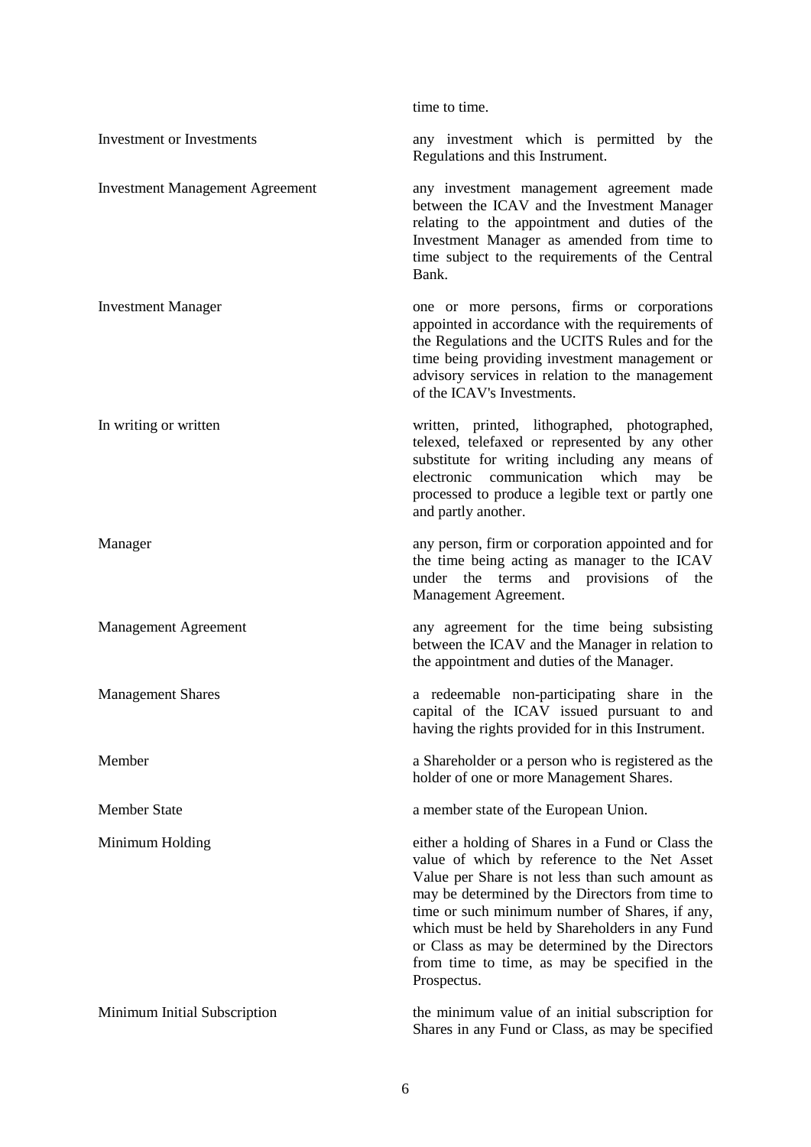|                                        | time to time.                                                                                                                                                                                                                                                                                                                                                                                                                 |
|----------------------------------------|-------------------------------------------------------------------------------------------------------------------------------------------------------------------------------------------------------------------------------------------------------------------------------------------------------------------------------------------------------------------------------------------------------------------------------|
| <b>Investment or Investments</b>       | any investment which is permitted by the<br>Regulations and this Instrument.                                                                                                                                                                                                                                                                                                                                                  |
| <b>Investment Management Agreement</b> | any investment management agreement made<br>between the ICAV and the Investment Manager<br>relating to the appointment and duties of the<br>Investment Manager as amended from time to<br>time subject to the requirements of the Central<br>Bank.                                                                                                                                                                            |
| <b>Investment Manager</b>              | one or more persons, firms or corporations<br>appointed in accordance with the requirements of<br>the Regulations and the UCITS Rules and for the<br>time being providing investment management or<br>advisory services in relation to the management<br>of the ICAV's Investments.                                                                                                                                           |
| In writing or written                  | written, printed, lithographed, photographed,<br>telexed, telefaxed or represented by any other<br>substitute for writing including any means of<br>communication which<br>electronic<br>may<br>be<br>processed to produce a legible text or partly one<br>and partly another.                                                                                                                                                |
| Manager                                | any person, firm or corporation appointed and for<br>the time being acting as manager to the ICAV<br>under the terms and provisions of the<br>Management Agreement.                                                                                                                                                                                                                                                           |
| <b>Management Agreement</b>            | any agreement for the time being subsisting<br>between the ICAV and the Manager in relation to<br>the appointment and duties of the Manager.                                                                                                                                                                                                                                                                                  |
| <b>Management Shares</b>               | a redeemable non-participating share in the<br>capital of the ICAV issued pursuant to and<br>having the rights provided for in this Instrument.                                                                                                                                                                                                                                                                               |
| Member                                 | a Shareholder or a person who is registered as the<br>holder of one or more Management Shares.                                                                                                                                                                                                                                                                                                                                |
| <b>Member State</b>                    | a member state of the European Union.                                                                                                                                                                                                                                                                                                                                                                                         |
| Minimum Holding                        | either a holding of Shares in a Fund or Class the<br>value of which by reference to the Net Asset<br>Value per Share is not less than such amount as<br>may be determined by the Directors from time to<br>time or such minimum number of Shares, if any,<br>which must be held by Shareholders in any Fund<br>or Class as may be determined by the Directors<br>from time to time, as may be specified in the<br>Prospectus. |
| Minimum Initial Subscription           | the minimum value of an initial subscription for<br>Shares in any Fund or Class, as may be specified                                                                                                                                                                                                                                                                                                                          |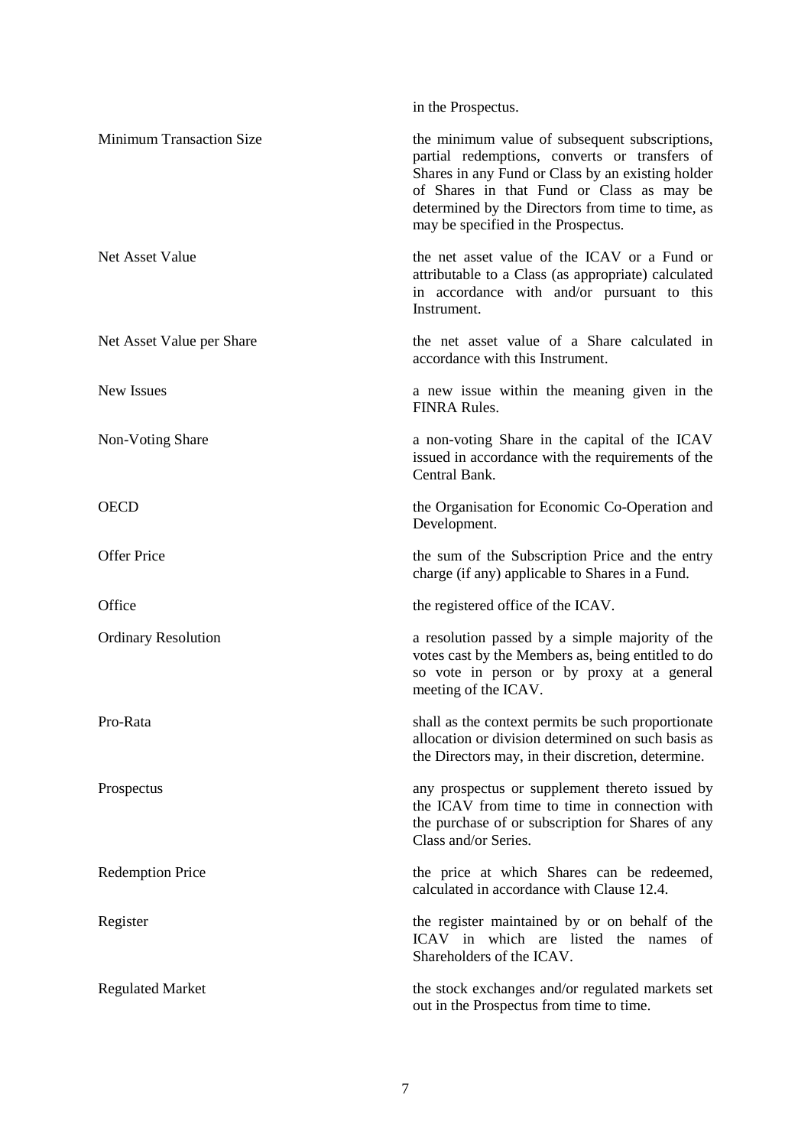|                                 | in the Prospectus.                                                                                                                                                                                                                                                                            |
|---------------------------------|-----------------------------------------------------------------------------------------------------------------------------------------------------------------------------------------------------------------------------------------------------------------------------------------------|
| <b>Minimum Transaction Size</b> | the minimum value of subsequent subscriptions,<br>partial redemptions, converts or transfers of<br>Shares in any Fund or Class by an existing holder<br>of Shares in that Fund or Class as may be<br>determined by the Directors from time to time, as<br>may be specified in the Prospectus. |
| Net Asset Value                 | the net asset value of the ICAV or a Fund or<br>attributable to a Class (as appropriate) calculated<br>in accordance with and/or pursuant to this<br>Instrument.                                                                                                                              |
| Net Asset Value per Share       | the net asset value of a Share calculated in<br>accordance with this Instrument.                                                                                                                                                                                                              |
| New Issues                      | a new issue within the meaning given in the<br><b>FINRA Rules.</b>                                                                                                                                                                                                                            |
| Non-Voting Share                | a non-voting Share in the capital of the ICAV<br>issued in accordance with the requirements of the<br>Central Bank.                                                                                                                                                                           |
| <b>OECD</b>                     | the Organisation for Economic Co-Operation and<br>Development.                                                                                                                                                                                                                                |
| <b>Offer Price</b>              | the sum of the Subscription Price and the entry<br>charge (if any) applicable to Shares in a Fund.                                                                                                                                                                                            |
| Office                          | the registered office of the ICAV.                                                                                                                                                                                                                                                            |
| <b>Ordinary Resolution</b>      | a resolution passed by a simple majority of the<br>votes cast by the Members as, being entitled to do<br>so vote in person or by proxy at a general<br>meeting of the ICAV.                                                                                                                   |
| Pro-Rata                        | shall as the context permits be such proportionate<br>allocation or division determined on such basis as<br>the Directors may, in their discretion, determine.                                                                                                                                |
| Prospectus                      | any prospectus or supplement thereto issued by<br>the ICAV from time to time in connection with<br>the purchase of or subscription for Shares of any<br>Class and/or Series.                                                                                                                  |
| <b>Redemption Price</b>         | the price at which Shares can be redeemed,<br>calculated in accordance with Clause 12.4.                                                                                                                                                                                                      |
| Register                        | the register maintained by or on behalf of the<br>ICAV in which are listed the names of<br>Shareholders of the ICAV.                                                                                                                                                                          |
| <b>Regulated Market</b>         | the stock exchanges and/or regulated markets set<br>out in the Prospectus from time to time.                                                                                                                                                                                                  |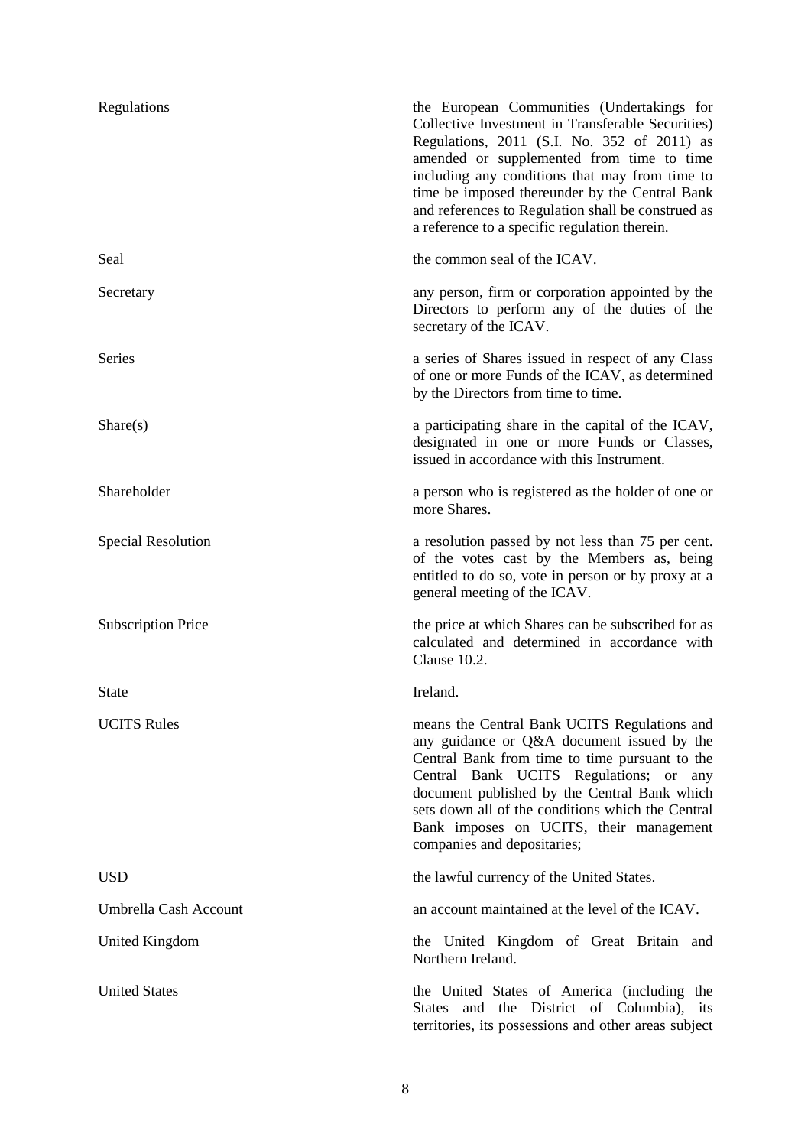| Regulations               | the European Communities (Undertakings for<br>Collective Investment in Transferable Securities)<br>Regulations, 2011 (S.I. No. 352 of 2011) as<br>amended or supplemented from time to time<br>including any conditions that may from time to<br>time be imposed thereunder by the Central Bank<br>and references to Regulation shall be construed as<br>a reference to a specific regulation therein. |
|---------------------------|--------------------------------------------------------------------------------------------------------------------------------------------------------------------------------------------------------------------------------------------------------------------------------------------------------------------------------------------------------------------------------------------------------|
| Seal                      | the common seal of the ICAV.                                                                                                                                                                                                                                                                                                                                                                           |
| Secretary                 | any person, firm or corporation appointed by the<br>Directors to perform any of the duties of the<br>secretary of the ICAV.                                                                                                                                                                                                                                                                            |
| <b>Series</b>             | a series of Shares issued in respect of any Class<br>of one or more Funds of the ICAV, as determined<br>by the Directors from time to time.                                                                                                                                                                                                                                                            |
| Share(s)                  | a participating share in the capital of the ICAV,<br>designated in one or more Funds or Classes,<br>issued in accordance with this Instrument.                                                                                                                                                                                                                                                         |
| Shareholder               | a person who is registered as the holder of one or<br>more Shares.                                                                                                                                                                                                                                                                                                                                     |
| <b>Special Resolution</b> | a resolution passed by not less than 75 per cent.<br>of the votes cast by the Members as, being<br>entitled to do so, vote in person or by proxy at a<br>general meeting of the ICAV.                                                                                                                                                                                                                  |
| <b>Subscription Price</b> | the price at which Shares can be subscribed for as<br>calculated and determined in accordance with<br>Clause 10.2.                                                                                                                                                                                                                                                                                     |
| <b>State</b>              | Ireland.                                                                                                                                                                                                                                                                                                                                                                                               |
| <b>UCITS Rules</b>        | means the Central Bank UCITS Regulations and<br>any guidance or Q&A document issued by the<br>Central Bank from time to time pursuant to the<br>Central Bank UCITS Regulations; or any<br>document published by the Central Bank which<br>sets down all of the conditions which the Central<br>Bank imposes on UCITS, their management<br>companies and depositaries;                                  |
| <b>USD</b>                | the lawful currency of the United States.                                                                                                                                                                                                                                                                                                                                                              |
| Umbrella Cash Account     | an account maintained at the level of the ICAV.                                                                                                                                                                                                                                                                                                                                                        |
| United Kingdom            | the United Kingdom of Great Britain and<br>Northern Ireland.                                                                                                                                                                                                                                                                                                                                           |
| <b>United States</b>      | the United States of America (including the<br>States and the District of Columbia), its<br>territories, its possessions and other areas subject                                                                                                                                                                                                                                                       |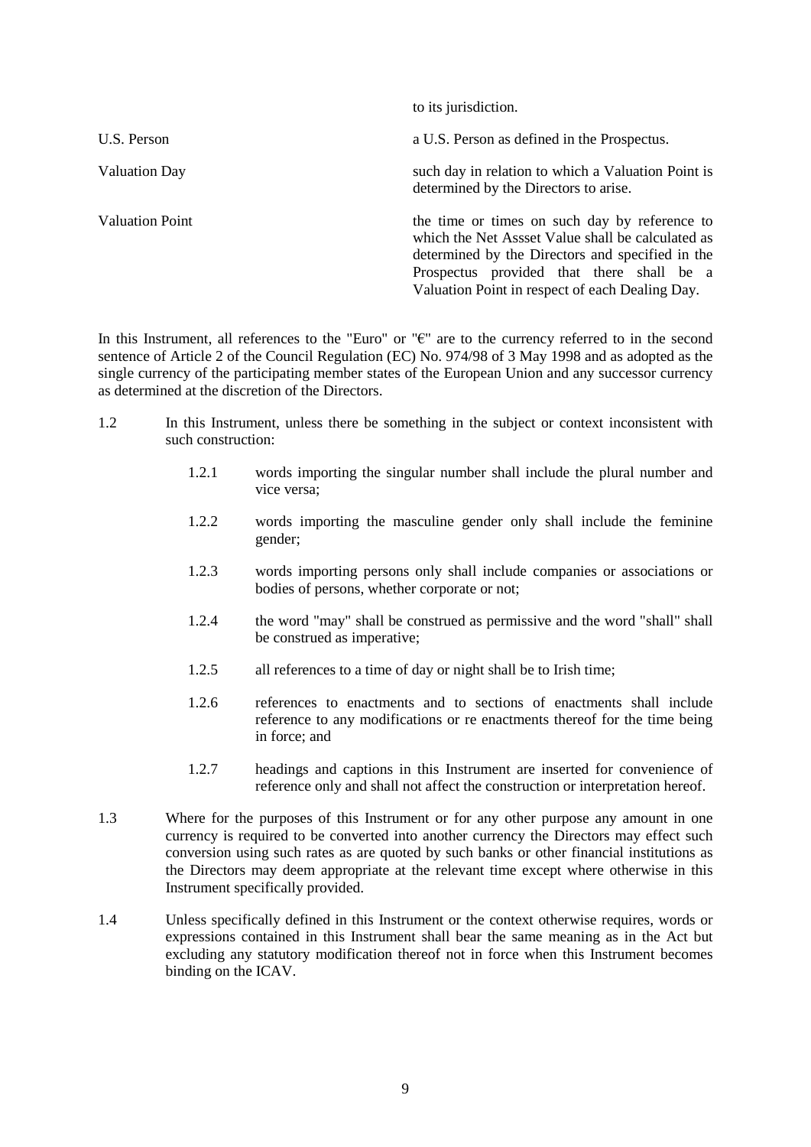|                      | to its jurisdiction.                                                                                                                                                                                                                                   |
|----------------------|--------------------------------------------------------------------------------------------------------------------------------------------------------------------------------------------------------------------------------------------------------|
| U.S. Person          | a U.S. Person as defined in the Prospectus.                                                                                                                                                                                                            |
| <b>Valuation Day</b> | such day in relation to which a Valuation Point is<br>determined by the Directors to arise.                                                                                                                                                            |
| Valuation Point      | the time or times on such day by reference to<br>which the Net Assset Value shall be calculated as<br>determined by the Directors and specified in the<br>Prospectus provided that there shall be a<br>Valuation Point in respect of each Dealing Day. |

In this Instrument, all references to the "Euro" or "€" are to the currency referred to in the second sentence of Article 2 of the Council Regulation (EC) No. 974/98 of 3 May 1998 and as adopted as the single currency of the participating member states of the European Union and any successor currency as determined at the discretion of the Directors.

- 1.2 In this Instrument, unless there be something in the subject or context inconsistent with such construction:
	- 1.2.1 words importing the singular number shall include the plural number and vice versa;
	- 1.2.2 words importing the masculine gender only shall include the feminine gender;
	- 1.2.3 words importing persons only shall include companies or associations or bodies of persons, whether corporate or not;
	- 1.2.4 the word "may" shall be construed as permissive and the word "shall" shall be construed as imperative;
	- 1.2.5 all references to a time of day or night shall be to Irish time;
	- 1.2.6 references to enactments and to sections of enactments shall include reference to any modifications or re enactments thereof for the time being in force; and
	- 1.2.7 headings and captions in this Instrument are inserted for convenience of reference only and shall not affect the construction or interpretation hereof.
- 1.3 Where for the purposes of this Instrument or for any other purpose any amount in one currency is required to be converted into another currency the Directors may effect such conversion using such rates as are quoted by such banks or other financial institutions as the Directors may deem appropriate at the relevant time except where otherwise in this Instrument specifically provided.
- 1.4 Unless specifically defined in this Instrument or the context otherwise requires, words or expressions contained in this Instrument shall bear the same meaning as in the Act but excluding any statutory modification thereof not in force when this Instrument becomes binding on the ICAV.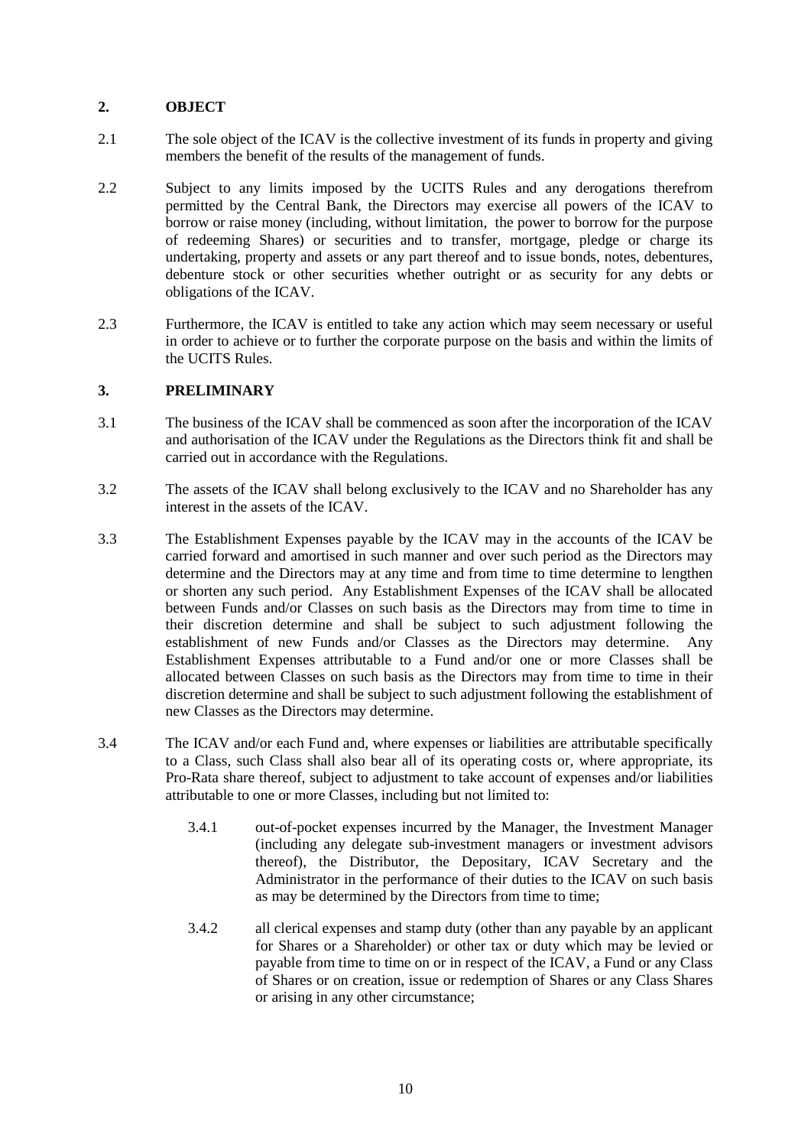## **2. OBJECT**

- 2.1 The sole object of the ICAV is the collective investment of its funds in property and giving members the benefit of the results of the management of funds.
- 2.2 Subject to any limits imposed by the UCITS Rules and any derogations therefrom permitted by the Central Bank, the Directors may exercise all powers of the ICAV to borrow or raise money (including, without limitation, the power to borrow for the purpose of redeeming Shares) or securities and to transfer, mortgage, pledge or charge its undertaking, property and assets or any part thereof and to issue bonds, notes, debentures, debenture stock or other securities whether outright or as security for any debts or obligations of the ICAV.
- 2.3 Furthermore, the ICAV is entitled to take any action which may seem necessary or useful in order to achieve or to further the corporate purpose on the basis and within the limits of the UCITS Rules.

### **3. PRELIMINARY**

- 3.1 The business of the ICAV shall be commenced as soon after the incorporation of the ICAV and authorisation of the ICAV under the Regulations as the Directors think fit and shall be carried out in accordance with the Regulations.
- 3.2 The assets of the ICAV shall belong exclusively to the ICAV and no Shareholder has any interest in the assets of the ICAV.
- 3.3 The Establishment Expenses payable by the ICAV may in the accounts of the ICAV be carried forward and amortised in such manner and over such period as the Directors may determine and the Directors may at any time and from time to time determine to lengthen or shorten any such period. Any Establishment Expenses of the ICAV shall be allocated between Funds and/or Classes on such basis as the Directors may from time to time in their discretion determine and shall be subject to such adjustment following the establishment of new Funds and/or Classes as the Directors may determine. Any Establishment Expenses attributable to a Fund and/or one or more Classes shall be allocated between Classes on such basis as the Directors may from time to time in their discretion determine and shall be subject to such adjustment following the establishment of new Classes as the Directors may determine.
- 3.4 The ICAV and/or each Fund and, where expenses or liabilities are attributable specifically to a Class, such Class shall also bear all of its operating costs or, where appropriate, its Pro-Rata share thereof, subject to adjustment to take account of expenses and/or liabilities attributable to one or more Classes, including but not limited to:
	- 3.4.1 out-of-pocket expenses incurred by the Manager, the Investment Manager (including any delegate sub-investment managers or investment advisors thereof), the Distributor, the Depositary, ICAV Secretary and the Administrator in the performance of their duties to the ICAV on such basis as may be determined by the Directors from time to time;
	- 3.4.2 all clerical expenses and stamp duty (other than any payable by an applicant for Shares or a Shareholder) or other tax or duty which may be levied or payable from time to time on or in respect of the ICAV, a Fund or any Class of Shares or on creation, issue or redemption of Shares or any Class Shares or arising in any other circumstance;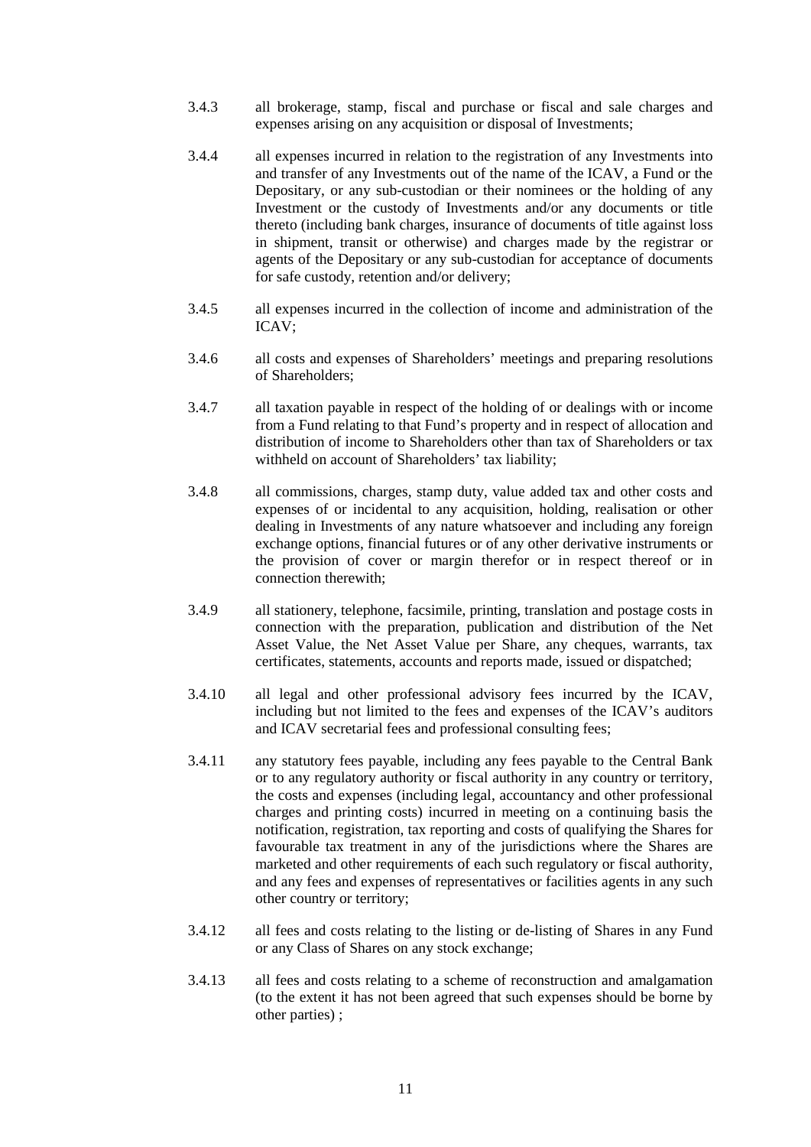- 3.4.3 all brokerage, stamp, fiscal and purchase or fiscal and sale charges and expenses arising on any acquisition or disposal of Investments;
- 3.4.4 all expenses incurred in relation to the registration of any Investments into and transfer of any Investments out of the name of the ICAV, a Fund or the Depositary, or any sub-custodian or their nominees or the holding of any Investment or the custody of Investments and/or any documents or title thereto (including bank charges, insurance of documents of title against loss in shipment, transit or otherwise) and charges made by the registrar or agents of the Depositary or any sub-custodian for acceptance of documents for safe custody, retention and/or delivery;
- 3.4.5 all expenses incurred in the collection of income and administration of the ICAV;
- 3.4.6 all costs and expenses of Shareholders' meetings and preparing resolutions of Shareholders;
- 3.4.7 all taxation payable in respect of the holding of or dealings with or income from a Fund relating to that Fund's property and in respect of allocation and distribution of income to Shareholders other than tax of Shareholders or tax withheld on account of Shareholders' tax liability;
- 3.4.8 all commissions, charges, stamp duty, value added tax and other costs and expenses of or incidental to any acquisition, holding, realisation or other dealing in Investments of any nature whatsoever and including any foreign exchange options, financial futures or of any other derivative instruments or the provision of cover or margin therefor or in respect thereof or in connection therewith;
- 3.4.9 all stationery, telephone, facsimile, printing, translation and postage costs in connection with the preparation, publication and distribution of the Net Asset Value, the Net Asset Value per Share, any cheques, warrants, tax certificates, statements, accounts and reports made, issued or dispatched;
- 3.4.10 all legal and other professional advisory fees incurred by the ICAV, including but not limited to the fees and expenses of the ICAV's auditors and ICAV secretarial fees and professional consulting fees;
- 3.4.11 any statutory fees payable, including any fees payable to the Central Bank or to any regulatory authority or fiscal authority in any country or territory, the costs and expenses (including legal, accountancy and other professional charges and printing costs) incurred in meeting on a continuing basis the notification, registration, tax reporting and costs of qualifying the Shares for favourable tax treatment in any of the jurisdictions where the Shares are marketed and other requirements of each such regulatory or fiscal authority, and any fees and expenses of representatives or facilities agents in any such other country or territory;
- 3.4.12 all fees and costs relating to the listing or de-listing of Shares in any Fund or any Class of Shares on any stock exchange;
- 3.4.13 all fees and costs relating to a scheme of reconstruction and amalgamation (to the extent it has not been agreed that such expenses should be borne by other parties) ;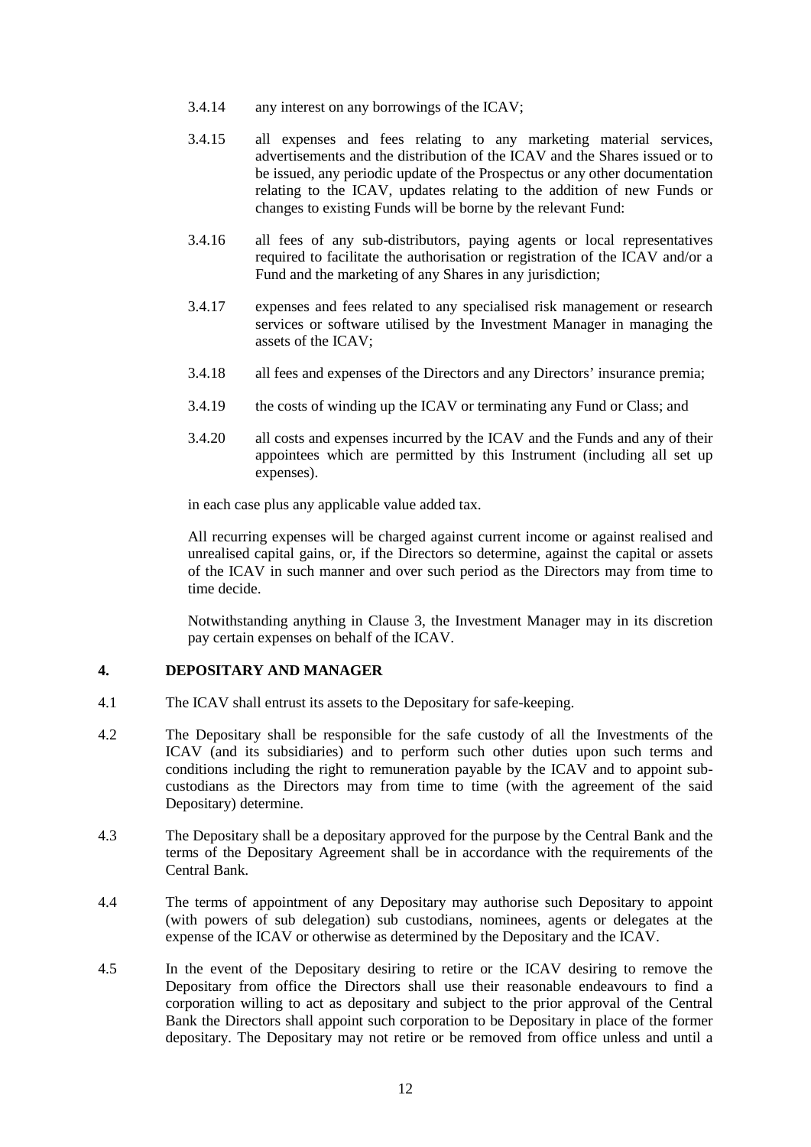- 3.4.14 any interest on any borrowings of the ICAV;
- 3.4.15 all expenses and fees relating to any marketing material services, advertisements and the distribution of the ICAV and the Shares issued or to be issued, any periodic update of the Prospectus or any other documentation relating to the ICAV, updates relating to the addition of new Funds or changes to existing Funds will be borne by the relevant Fund:
- 3.4.16 all fees of any sub-distributors, paying agents or local representatives required to facilitate the authorisation or registration of the ICAV and/or a Fund and the marketing of any Shares in any jurisdiction;
- 3.4.17 expenses and fees related to any specialised risk management or research services or software utilised by the Investment Manager in managing the assets of the ICAV;
- 3.4.18 all fees and expenses of the Directors and any Directors' insurance premia;
- 3.4.19 the costs of winding up the ICAV or terminating any Fund or Class; and
- 3.4.20 all costs and expenses incurred by the ICAV and the Funds and any of their appointees which are permitted by this Instrument (including all set up expenses).

in each case plus any applicable value added tax.

All recurring expenses will be charged against current income or against realised and unrealised capital gains, or, if the Directors so determine, against the capital or assets of the ICAV in such manner and over such period as the Directors may from time to time decide.

Notwithstanding anything in Clause 3, the Investment Manager may in its discretion pay certain expenses on behalf of the ICAV.

### **4. DEPOSITARY AND MANAGER**

- 4.1 The ICAV shall entrust its assets to the Depositary for safe-keeping.
- 4.2 The Depositary shall be responsible for the safe custody of all the Investments of the ICAV (and its subsidiaries) and to perform such other duties upon such terms and conditions including the right to remuneration payable by the ICAV and to appoint subcustodians as the Directors may from time to time (with the agreement of the said Depositary) determine.
- 4.3 The Depositary shall be a depositary approved for the purpose by the Central Bank and the terms of the Depositary Agreement shall be in accordance with the requirements of the Central Bank.
- 4.4 The terms of appointment of any Depositary may authorise such Depositary to appoint (with powers of sub delegation) sub custodians, nominees, agents or delegates at the expense of the ICAV or otherwise as determined by the Depositary and the ICAV.
- 4.5 In the event of the Depositary desiring to retire or the ICAV desiring to remove the Depositary from office the Directors shall use their reasonable endeavours to find a corporation willing to act as depositary and subject to the prior approval of the Central Bank the Directors shall appoint such corporation to be Depositary in place of the former depositary. The Depositary may not retire or be removed from office unless and until a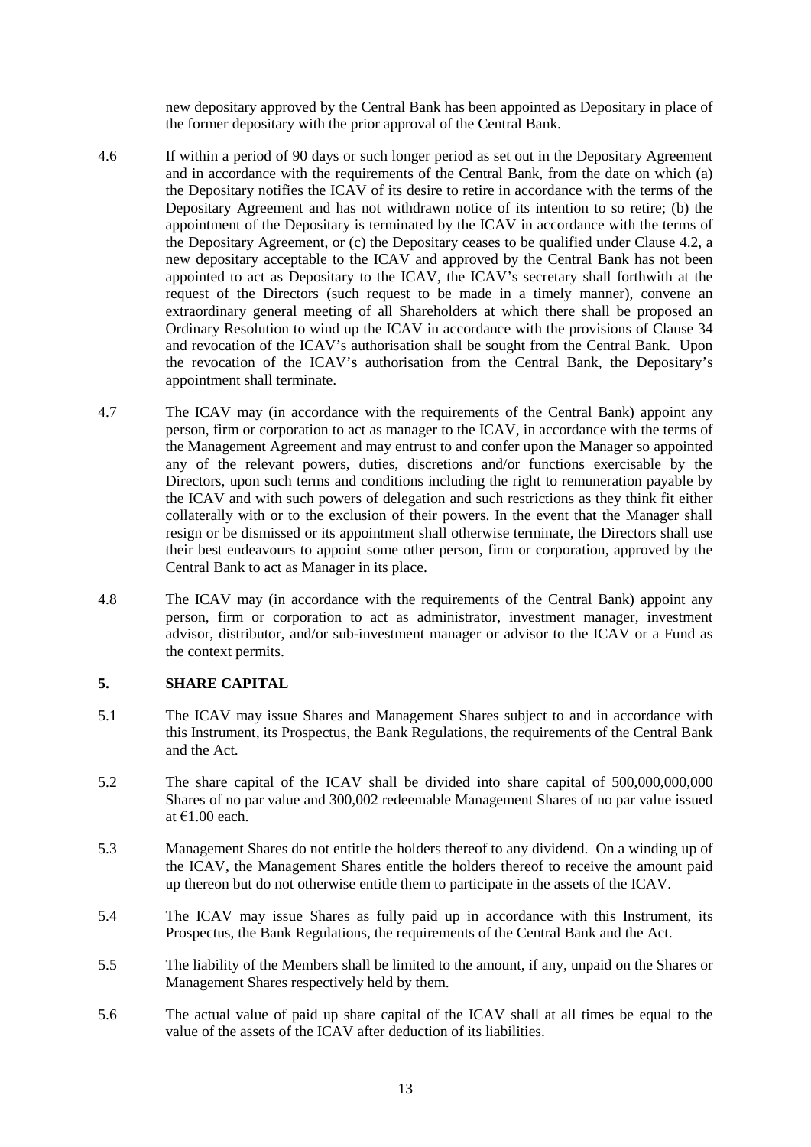new depositary approved by the Central Bank has been appointed as Depositary in place of the former depositary with the prior approval of the Central Bank.

- 4.6 If within a period of 90 days or such longer period as set out in the Depositary Agreement and in accordance with the requirements of the Central Bank, from the date on which (a) the Depositary notifies the ICAV of its desire to retire in accordance with the terms of the Depositary Agreement and has not withdrawn notice of its intention to so retire; (b) the appointment of the Depositary is terminated by the ICAV in accordance with the terms of the Depositary Agreement, or (c) the Depositary ceases to be qualified under Clause 4.2, a new depositary acceptable to the ICAV and approved by the Central Bank has not been appointed to act as Depositary to the ICAV, the ICAV's secretary shall forthwith at the request of the Directors (such request to be made in a timely manner), convene an extraordinary general meeting of all Shareholders at which there shall be proposed an Ordinary Resolution to wind up the ICAV in accordance with the provisions of Clause 34 and revocation of the ICAV's authorisation shall be sought from the Central Bank. Upon the revocation of the ICAV's authorisation from the Central Bank, the Depositary's appointment shall terminate.
- 4.7 The ICAV may (in accordance with the requirements of the Central Bank) appoint any person, firm or corporation to act as manager to the ICAV, in accordance with the terms of the Management Agreement and may entrust to and confer upon the Manager so appointed any of the relevant powers, duties, discretions and/or functions exercisable by the Directors, upon such terms and conditions including the right to remuneration payable by the ICAV and with such powers of delegation and such restrictions as they think fit either collaterally with or to the exclusion of their powers. In the event that the Manager shall resign or be dismissed or its appointment shall otherwise terminate, the Directors shall use their best endeavours to appoint some other person, firm or corporation, approved by the Central Bank to act as Manager in its place.
- 4.8 The ICAV may (in accordance with the requirements of the Central Bank) appoint any person, firm or corporation to act as administrator, investment manager, investment advisor, distributor, and/or sub-investment manager or advisor to the ICAV or a Fund as the context permits.

### **5. SHARE CAPITAL**

- 5.1 The ICAV may issue Shares and Management Shares subject to and in accordance with this Instrument, its Prospectus, the Bank Regulations, the requirements of the Central Bank and the Act.
- 5.2 The share capital of the ICAV shall be divided into share capital of 500,000,000,000 Shares of no par value and 300,002 redeemable Management Shares of no par value issued at €1.00 each.
- 5.3 Management Shares do not entitle the holders thereof to any dividend. On a winding up of the ICAV, the Management Shares entitle the holders thereof to receive the amount paid up thereon but do not otherwise entitle them to participate in the assets of the ICAV.
- 5.4 The ICAV may issue Shares as fully paid up in accordance with this Instrument, its Prospectus, the Bank Regulations, the requirements of the Central Bank and the Act.
- 5.5 The liability of the Members shall be limited to the amount, if any, unpaid on the Shares or Management Shares respectively held by them.
- 5.6 The actual value of paid up share capital of the ICAV shall at all times be equal to the value of the assets of the ICAV after deduction of its liabilities.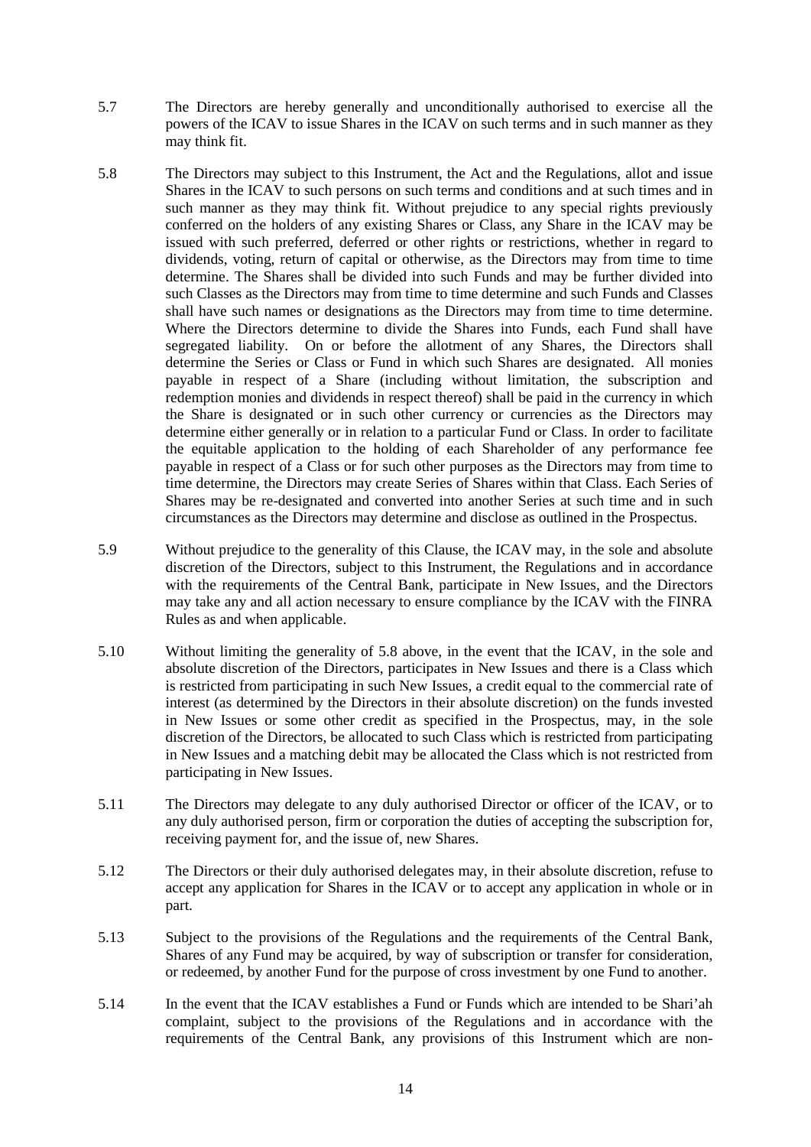- 5.7 The Directors are hereby generally and unconditionally authorised to exercise all the powers of the ICAV to issue Shares in the ICAV on such terms and in such manner as they may think fit.
- 5.8 The Directors may subject to this Instrument, the Act and the Regulations, allot and issue Shares in the ICAV to such persons on such terms and conditions and at such times and in such manner as they may think fit. Without prejudice to any special rights previously conferred on the holders of any existing Shares or Class, any Share in the ICAV may be issued with such preferred, deferred or other rights or restrictions, whether in regard to dividends, voting, return of capital or otherwise, as the Directors may from time to time determine. The Shares shall be divided into such Funds and may be further divided into such Classes as the Directors may from time to time determine and such Funds and Classes shall have such names or designations as the Directors may from time to time determine. Where the Directors determine to divide the Shares into Funds, each Fund shall have segregated liability. On or before the allotment of any Shares, the Directors shall determine the Series or Class or Fund in which such Shares are designated. All monies payable in respect of a Share (including without limitation, the subscription and redemption monies and dividends in respect thereof) shall be paid in the currency in which the Share is designated or in such other currency or currencies as the Directors may determine either generally or in relation to a particular Fund or Class. In order to facilitate the equitable application to the holding of each Shareholder of any performance fee payable in respect of a Class or for such other purposes as the Directors may from time to time determine, the Directors may create Series of Shares within that Class. Each Series of Shares may be re-designated and converted into another Series at such time and in such circumstances as the Directors may determine and disclose as outlined in the Prospectus.
- 5.9 Without prejudice to the generality of this Clause, the ICAV may, in the sole and absolute discretion of the Directors, subject to this Instrument, the Regulations and in accordance with the requirements of the Central Bank, participate in New Issues, and the Directors may take any and all action necessary to ensure compliance by the ICAV with the FINRA Rules as and when applicable.
- 5.10 Without limiting the generality of 5.8 above, in the event that the ICAV, in the sole and absolute discretion of the Directors, participates in New Issues and there is a Class which is restricted from participating in such New Issues, a credit equal to the commercial rate of interest (as determined by the Directors in their absolute discretion) on the funds invested in New Issues or some other credit as specified in the Prospectus, may, in the sole discretion of the Directors, be allocated to such Class which is restricted from participating in New Issues and a matching debit may be allocated the Class which is not restricted from participating in New Issues.
- 5.11 The Directors may delegate to any duly authorised Director or officer of the ICAV, or to any duly authorised person, firm or corporation the duties of accepting the subscription for, receiving payment for, and the issue of, new Shares.
- 5.12 The Directors or their duly authorised delegates may, in their absolute discretion, refuse to accept any application for Shares in the ICAV or to accept any application in whole or in part.
- 5.13 Subject to the provisions of the Regulations and the requirements of the Central Bank, Shares of any Fund may be acquired, by way of subscription or transfer for consideration, or redeemed, by another Fund for the purpose of cross investment by one Fund to another.
- 5.14 In the event that the ICAV establishes a Fund or Funds which are intended to be Shari'ah complaint, subject to the provisions of the Regulations and in accordance with the requirements of the Central Bank, any provisions of this Instrument which are non-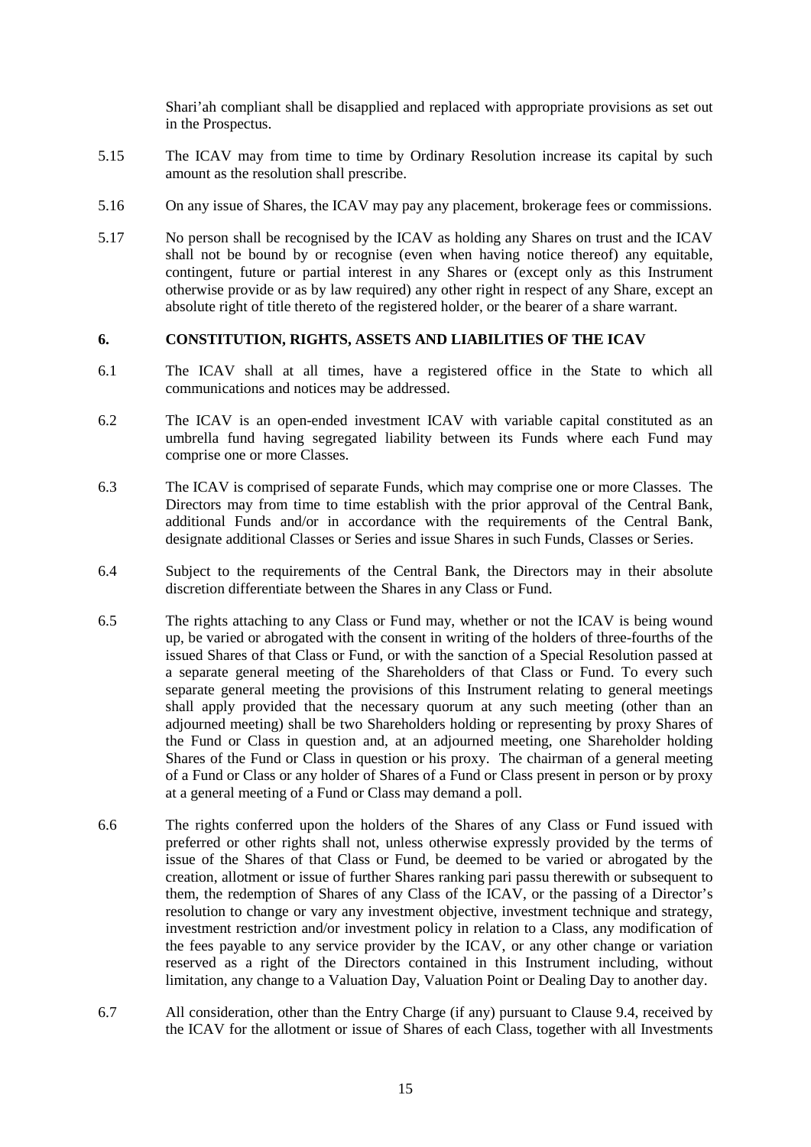Shari'ah compliant shall be disapplied and replaced with appropriate provisions as set out in the Prospectus.

- 5.15 The ICAV may from time to time by Ordinary Resolution increase its capital by such amount as the resolution shall prescribe.
- 5.16 On any issue of Shares, the ICAV may pay any placement, brokerage fees or commissions.
- 5.17 No person shall be recognised by the ICAV as holding any Shares on trust and the ICAV shall not be bound by or recognise (even when having notice thereof) any equitable, contingent, future or partial interest in any Shares or (except only as this Instrument otherwise provide or as by law required) any other right in respect of any Share, except an absolute right of title thereto of the registered holder, or the bearer of a share warrant.

### **6. CONSTITUTION, RIGHTS, ASSETS AND LIABILITIES OF THE ICAV**

- 6.1 The ICAV shall at all times, have a registered office in the State to which all communications and notices may be addressed.
- 6.2 The ICAV is an open-ended investment ICAV with variable capital constituted as an umbrella fund having segregated liability between its Funds where each Fund may comprise one or more Classes.
- 6.3 The ICAV is comprised of separate Funds, which may comprise one or more Classes. The Directors may from time to time establish with the prior approval of the Central Bank, additional Funds and/or in accordance with the requirements of the Central Bank, designate additional Classes or Series and issue Shares in such Funds, Classes or Series.
- 6.4 Subject to the requirements of the Central Bank, the Directors may in their absolute discretion differentiate between the Shares in any Class or Fund.
- 6.5 The rights attaching to any Class or Fund may, whether or not the ICAV is being wound up, be varied or abrogated with the consent in writing of the holders of three-fourths of the issued Shares of that Class or Fund, or with the sanction of a Special Resolution passed at a separate general meeting of the Shareholders of that Class or Fund. To every such separate general meeting the provisions of this Instrument relating to general meetings shall apply provided that the necessary quorum at any such meeting (other than an adjourned meeting) shall be two Shareholders holding or representing by proxy Shares of the Fund or Class in question and, at an adjourned meeting, one Shareholder holding Shares of the Fund or Class in question or his proxy. The chairman of a general meeting of a Fund or Class or any holder of Shares of a Fund or Class present in person or by proxy at a general meeting of a Fund or Class may demand a poll.
- 6.6 The rights conferred upon the holders of the Shares of any Class or Fund issued with preferred or other rights shall not, unless otherwise expressly provided by the terms of issue of the Shares of that Class or Fund, be deemed to be varied or abrogated by the creation, allotment or issue of further Shares ranking pari passu therewith or subsequent to them, the redemption of Shares of any Class of the ICAV, or the passing of a Director's resolution to change or vary any investment objective, investment technique and strategy, investment restriction and/or investment policy in relation to a Class, any modification of the fees payable to any service provider by the ICAV, or any other change or variation reserved as a right of the Directors contained in this Instrument including, without limitation, any change to a Valuation Day, Valuation Point or Dealing Day to another day.
- 6.7 All consideration, other than the Entry Charge (if any) pursuant to Clause 9.4, received by the ICAV for the allotment or issue of Shares of each Class, together with all Investments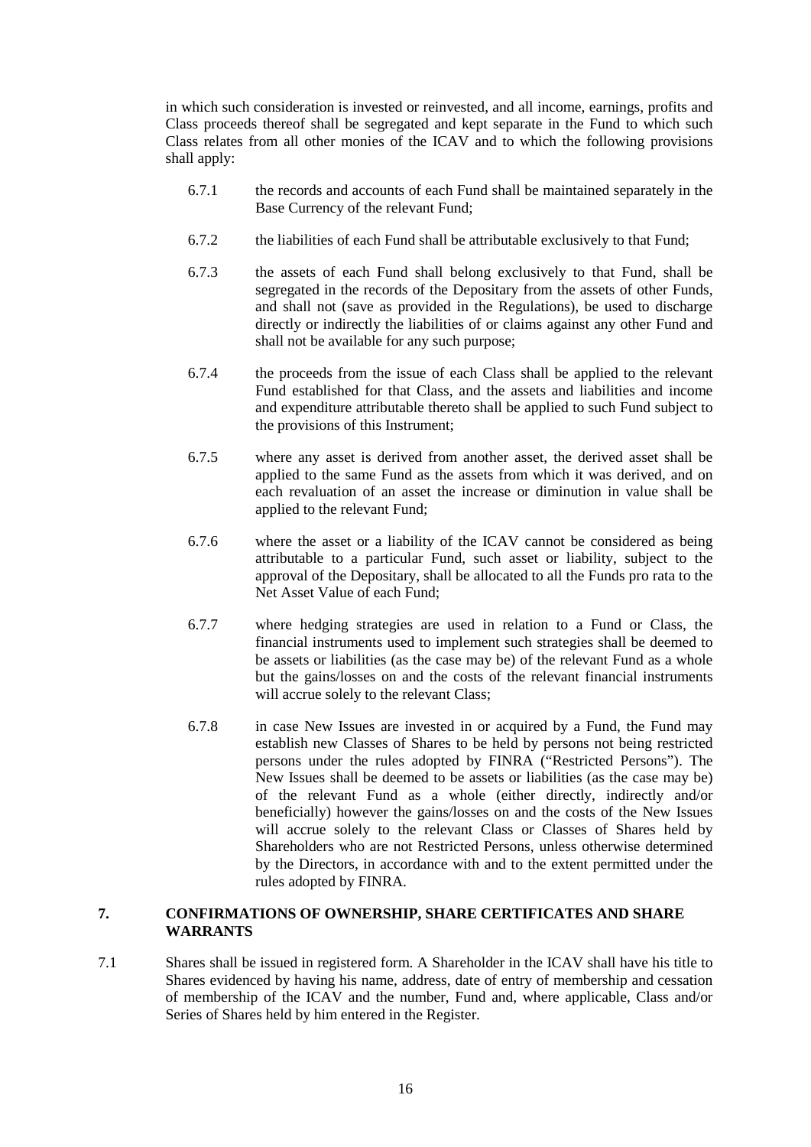in which such consideration is invested or reinvested, and all income, earnings, profits and Class proceeds thereof shall be segregated and kept separate in the Fund to which such Class relates from all other monies of the ICAV and to which the following provisions shall apply:

- 6.7.1 the records and accounts of each Fund shall be maintained separately in the Base Currency of the relevant Fund;
- 6.7.2 the liabilities of each Fund shall be attributable exclusively to that Fund;
- 6.7.3 the assets of each Fund shall belong exclusively to that Fund, shall be segregated in the records of the Depositary from the assets of other Funds, and shall not (save as provided in the Regulations), be used to discharge directly or indirectly the liabilities of or claims against any other Fund and shall not be available for any such purpose;
- 6.7.4 the proceeds from the issue of each Class shall be applied to the relevant Fund established for that Class, and the assets and liabilities and income and expenditure attributable thereto shall be applied to such Fund subject to the provisions of this Instrument;
- 6.7.5 where any asset is derived from another asset, the derived asset shall be applied to the same Fund as the assets from which it was derived, and on each revaluation of an asset the increase or diminution in value shall be applied to the relevant Fund;
- 6.7.6 where the asset or a liability of the ICAV cannot be considered as being attributable to a particular Fund, such asset or liability, subject to the approval of the Depositary, shall be allocated to all the Funds pro rata to the Net Asset Value of each Fund;
- 6.7.7 where hedging strategies are used in relation to a Fund or Class, the financial instruments used to implement such strategies shall be deemed to be assets or liabilities (as the case may be) of the relevant Fund as a whole but the gains/losses on and the costs of the relevant financial instruments will accrue solely to the relevant Class;
- 6.7.8 in case New Issues are invested in or acquired by a Fund, the Fund may establish new Classes of Shares to be held by persons not being restricted persons under the rules adopted by FINRA ("Restricted Persons"). The New Issues shall be deemed to be assets or liabilities (as the case may be) of the relevant Fund as a whole (either directly, indirectly and/or beneficially) however the gains/losses on and the costs of the New Issues will accrue solely to the relevant Class or Classes of Shares held by Shareholders who are not Restricted Persons, unless otherwise determined by the Directors, in accordance with and to the extent permitted under the rules adopted by FINRA.

### **7. CONFIRMATIONS OF OWNERSHIP, SHARE CERTIFICATES AND SHARE WARRANTS**

7.1 Shares shall be issued in registered form. A Shareholder in the ICAV shall have his title to Shares evidenced by having his name, address, date of entry of membership and cessation of membership of the ICAV and the number, Fund and, where applicable, Class and/or Series of Shares held by him entered in the Register.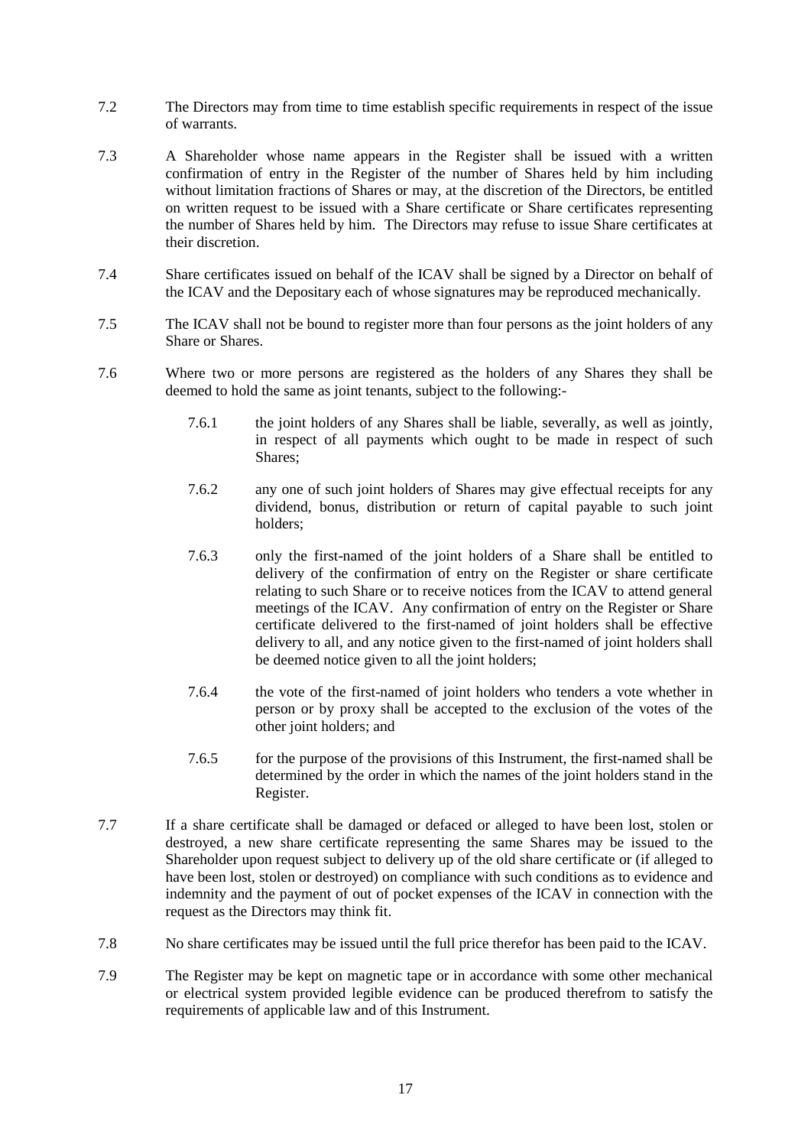- 7.2 The Directors may from time to time establish specific requirements in respect of the issue of warrants.
- 7.3 A Shareholder whose name appears in the Register shall be issued with a written confirmation of entry in the Register of the number of Shares held by him including without limitation fractions of Shares or may, at the discretion of the Directors, be entitled on written request to be issued with a Share certificate or Share certificates representing the number of Shares held by him. The Directors may refuse to issue Share certificates at their discretion.
- 7.4 Share certificates issued on behalf of the ICAV shall be signed by a Director on behalf of the ICAV and the Depositary each of whose signatures may be reproduced mechanically.
- 7.5 The ICAV shall not be bound to register more than four persons as the joint holders of any Share or Shares.
- 7.6 Where two or more persons are registered as the holders of any Shares they shall be deemed to hold the same as joint tenants, subject to the following:-
	- 7.6.1 the joint holders of any Shares shall be liable, severally, as well as jointly, in respect of all payments which ought to be made in respect of such Shares;
	- 7.6.2 any one of such joint holders of Shares may give effectual receipts for any dividend, bonus, distribution or return of capital payable to such joint holders;
	- 7.6.3 only the first-named of the joint holders of a Share shall be entitled to delivery of the confirmation of entry on the Register or share certificate relating to such Share or to receive notices from the ICAV to attend general meetings of the ICAV. Any confirmation of entry on the Register or Share certificate delivered to the first-named of joint holders shall be effective delivery to all, and any notice given to the first-named of joint holders shall be deemed notice given to all the joint holders;
	- 7.6.4 the vote of the first-named of joint holders who tenders a vote whether in person or by proxy shall be accepted to the exclusion of the votes of the other joint holders; and
	- 7.6.5 for the purpose of the provisions of this Instrument, the first-named shall be determined by the order in which the names of the joint holders stand in the Register.
- 7.7 If a share certificate shall be damaged or defaced or alleged to have been lost, stolen or destroyed, a new share certificate representing the same Shares may be issued to the Shareholder upon request subject to delivery up of the old share certificate or (if alleged to have been lost, stolen or destroyed) on compliance with such conditions as to evidence and indemnity and the payment of out of pocket expenses of the ICAV in connection with the request as the Directors may think fit.
- 7.8 No share certificates may be issued until the full price therefor has been paid to the ICAV.
- 7.9 The Register may be kept on magnetic tape or in accordance with some other mechanical or electrical system provided legible evidence can be produced therefrom to satisfy the requirements of applicable law and of this Instrument.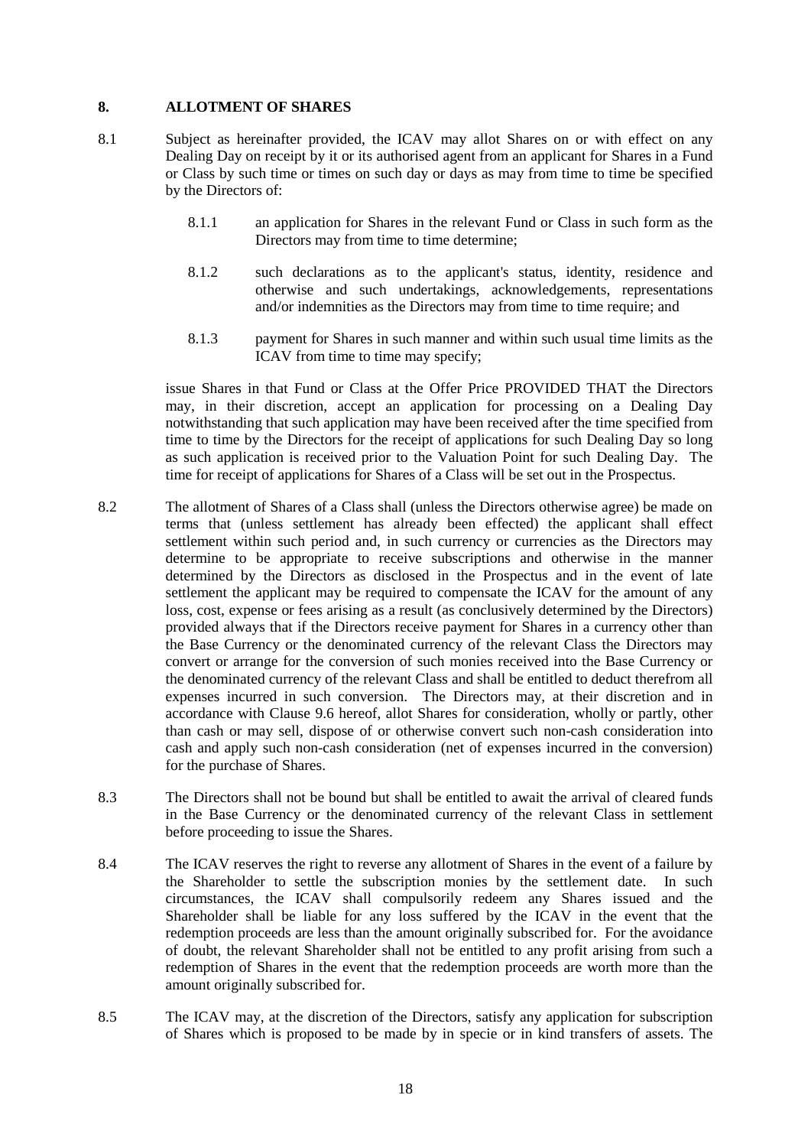### **8. ALLOTMENT OF SHARES**

- 8.1 Subject as hereinafter provided, the ICAV may allot Shares on or with effect on any Dealing Day on receipt by it or its authorised agent from an applicant for Shares in a Fund or Class by such time or times on such day or days as may from time to time be specified by the Directors of:
	- 8.1.1 an application for Shares in the relevant Fund or Class in such form as the Directors may from time to time determine;
	- 8.1.2 such declarations as to the applicant's status, identity, residence and otherwise and such undertakings, acknowledgements, representations and/or indemnities as the Directors may from time to time require; and
	- 8.1.3 payment for Shares in such manner and within such usual time limits as the ICAV from time to time may specify;

issue Shares in that Fund or Class at the Offer Price PROVIDED THAT the Directors may, in their discretion, accept an application for processing on a Dealing Day notwithstanding that such application may have been received after the time specified from time to time by the Directors for the receipt of applications for such Dealing Day so long as such application is received prior to the Valuation Point for such Dealing Day. The time for receipt of applications for Shares of a Class will be set out in the Prospectus.

- 8.2 The allotment of Shares of a Class shall (unless the Directors otherwise agree) be made on terms that (unless settlement has already been effected) the applicant shall effect settlement within such period and, in such currency or currencies as the Directors may determine to be appropriate to receive subscriptions and otherwise in the manner determined by the Directors as disclosed in the Prospectus and in the event of late settlement the applicant may be required to compensate the ICAV for the amount of any loss, cost, expense or fees arising as a result (as conclusively determined by the Directors) provided always that if the Directors receive payment for Shares in a currency other than the Base Currency or the denominated currency of the relevant Class the Directors may convert or arrange for the conversion of such monies received into the Base Currency or the denominated currency of the relevant Class and shall be entitled to deduct therefrom all expenses incurred in such conversion. The Directors may, at their discretion and in accordance with Clause 9.6 hereof, allot Shares for consideration, wholly or partly, other than cash or may sell, dispose of or otherwise convert such non-cash consideration into cash and apply such non-cash consideration (net of expenses incurred in the conversion) for the purchase of Shares.
- 8.3 The Directors shall not be bound but shall be entitled to await the arrival of cleared funds in the Base Currency or the denominated currency of the relevant Class in settlement before proceeding to issue the Shares.
- 8.4 The ICAV reserves the right to reverse any allotment of Shares in the event of a failure by the Shareholder to settle the subscription monies by the settlement date. In such circumstances, the ICAV shall compulsorily redeem any Shares issued and the Shareholder shall be liable for any loss suffered by the ICAV in the event that the redemption proceeds are less than the amount originally subscribed for. For the avoidance of doubt, the relevant Shareholder shall not be entitled to any profit arising from such a redemption of Shares in the event that the redemption proceeds are worth more than the amount originally subscribed for.
- 8.5 The ICAV may, at the discretion of the Directors, satisfy any application for subscription of Shares which is proposed to be made by in specie or in kind transfers of assets. The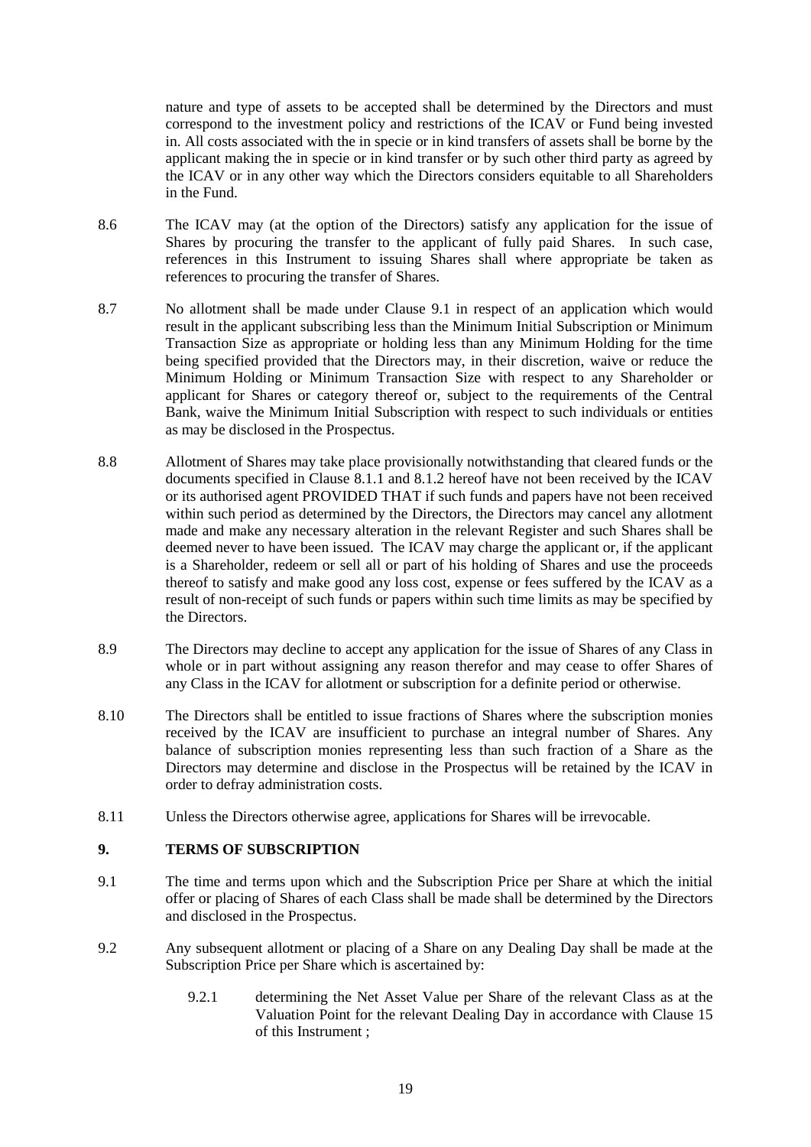nature and type of assets to be accepted shall be determined by the Directors and must correspond to the investment policy and restrictions of the ICAV or Fund being invested in. All costs associated with the in specie or in kind transfers of assets shall be borne by the applicant making the in specie or in kind transfer or by such other third party as agreed by the ICAV or in any other way which the Directors considers equitable to all Shareholders in the Fund.

- 8.6 The ICAV may (at the option of the Directors) satisfy any application for the issue of Shares by procuring the transfer to the applicant of fully paid Shares. In such case, references in this Instrument to issuing Shares shall where appropriate be taken as references to procuring the transfer of Shares.
- 8.7 No allotment shall be made under Clause 9.1 in respect of an application which would result in the applicant subscribing less than the Minimum Initial Subscription or Minimum Transaction Size as appropriate or holding less than any Minimum Holding for the time being specified provided that the Directors may, in their discretion, waive or reduce the Minimum Holding or Minimum Transaction Size with respect to any Shareholder or applicant for Shares or category thereof or, subject to the requirements of the Central Bank, waive the Minimum Initial Subscription with respect to such individuals or entities as may be disclosed in the Prospectus.
- 8.8 Allotment of Shares may take place provisionally notwithstanding that cleared funds or the documents specified in Clause 8.1.1 and 8.1.2 hereof have not been received by the ICAV or its authorised agent PROVIDED THAT if such funds and papers have not been received within such period as determined by the Directors, the Directors may cancel any allotment made and make any necessary alteration in the relevant Register and such Shares shall be deemed never to have been issued. The ICAV may charge the applicant or, if the applicant is a Shareholder, redeem or sell all or part of his holding of Shares and use the proceeds thereof to satisfy and make good any loss cost, expense or fees suffered by the ICAV as a result of non-receipt of such funds or papers within such time limits as may be specified by the Directors.
- 8.9 The Directors may decline to accept any application for the issue of Shares of any Class in whole or in part without assigning any reason therefor and may cease to offer Shares of any Class in the ICAV for allotment or subscription for a definite period or otherwise.
- 8.10 The Directors shall be entitled to issue fractions of Shares where the subscription monies received by the ICAV are insufficient to purchase an integral number of Shares. Any balance of subscription monies representing less than such fraction of a Share as the Directors may determine and disclose in the Prospectus will be retained by the ICAV in order to defray administration costs.
- 8.11 Unless the Directors otherwise agree, applications for Shares will be irrevocable.

## **9. TERMS OF SUBSCRIPTION**

- 9.1 The time and terms upon which and the Subscription Price per Share at which the initial offer or placing of Shares of each Class shall be made shall be determined by the Directors and disclosed in the Prospectus.
- 9.2 Any subsequent allotment or placing of a Share on any Dealing Day shall be made at the Subscription Price per Share which is ascertained by:
	- 9.2.1 determining the Net Asset Value per Share of the relevant Class as at the Valuation Point for the relevant Dealing Day in accordance with Clause 15 of this Instrument ;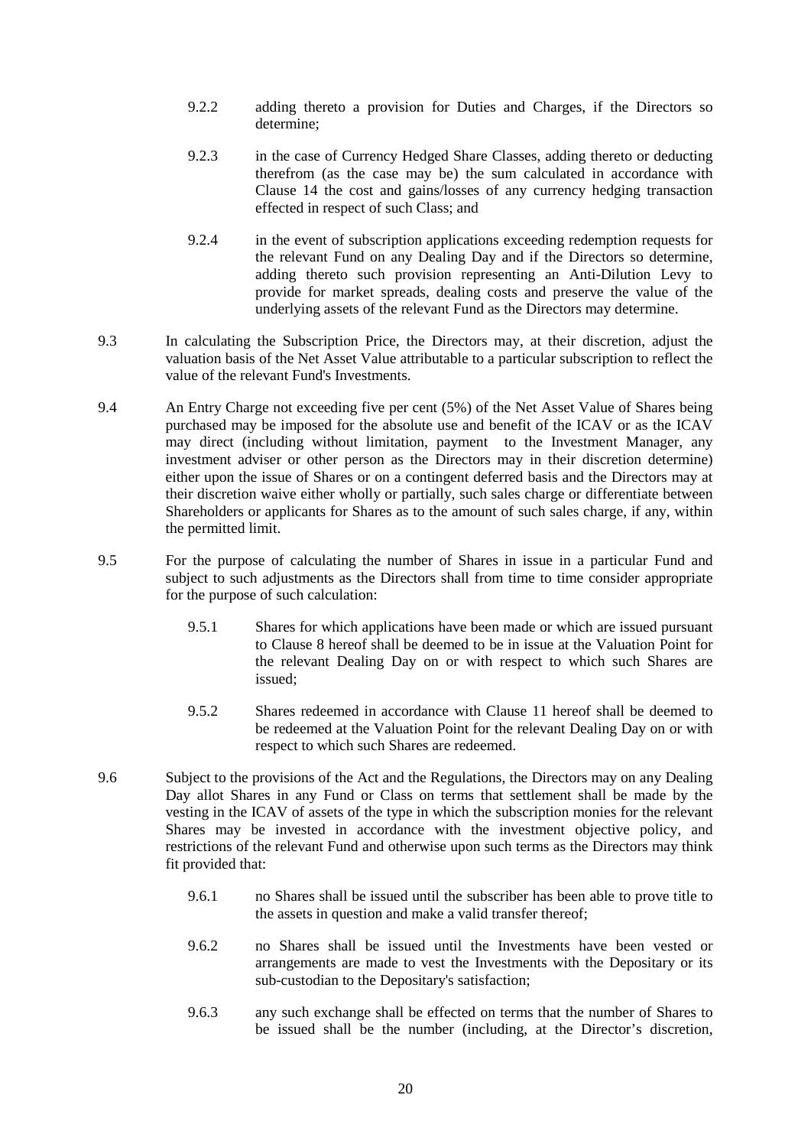- 9.2.2 adding thereto a provision for Duties and Charges, if the Directors so determine;
- 9.2.3 in the case of Currency Hedged Share Classes, adding thereto or deducting therefrom (as the case may be) the sum calculated in accordance with Clause 14 the cost and gains/losses of any currency hedging transaction effected in respect of such Class; and
- 9.2.4 in the event of subscription applications exceeding redemption requests for the relevant Fund on any Dealing Day and if the Directors so determine, adding thereto such provision representing an Anti-Dilution Levy to provide for market spreads, dealing costs and preserve the value of the underlying assets of the relevant Fund as the Directors may determine.
- 9.3 In calculating the Subscription Price, the Directors may, at their discretion, adjust the valuation basis of the Net Asset Value attributable to a particular subscription to reflect the value of the relevant Fund's Investments.
- 9.4 An Entry Charge not exceeding five per cent (5%) of the Net Asset Value of Shares being purchased may be imposed for the absolute use and benefit of the ICAV or as the ICAV may direct (including without limitation, payment to the Investment Manager, any investment adviser or other person as the Directors may in their discretion determine) either upon the issue of Shares or on a contingent deferred basis and the Directors may at their discretion waive either wholly or partially, such sales charge or differentiate between Shareholders or applicants for Shares as to the amount of such sales charge, if any, within the permitted limit.
- 9.5 For the purpose of calculating the number of Shares in issue in a particular Fund and subject to such adjustments as the Directors shall from time to time consider appropriate for the purpose of such calculation:
	- 9.5.1 Shares for which applications have been made or which are issued pursuant to Clause 8 hereof shall be deemed to be in issue at the Valuation Point for the relevant Dealing Day on or with respect to which such Shares are issued;
	- 9.5.2 Shares redeemed in accordance with Clause 11 hereof shall be deemed to be redeemed at the Valuation Point for the relevant Dealing Day on or with respect to which such Shares are redeemed.
- 9.6 Subject to the provisions of the Act and the Regulations, the Directors may on any Dealing Day allot Shares in any Fund or Class on terms that settlement shall be made by the vesting in the ICAV of assets of the type in which the subscription monies for the relevant Shares may be invested in accordance with the investment objective policy, and restrictions of the relevant Fund and otherwise upon such terms as the Directors may think fit provided that:
	- 9.6.1 no Shares shall be issued until the subscriber has been able to prove title to the assets in question and make a valid transfer thereof;
	- 9.6.2 no Shares shall be issued until the Investments have been vested or arrangements are made to vest the Investments with the Depositary or its sub-custodian to the Depositary's satisfaction;
	- 9.6.3 any such exchange shall be effected on terms that the number of Shares to be issued shall be the number (including, at the Director's discretion,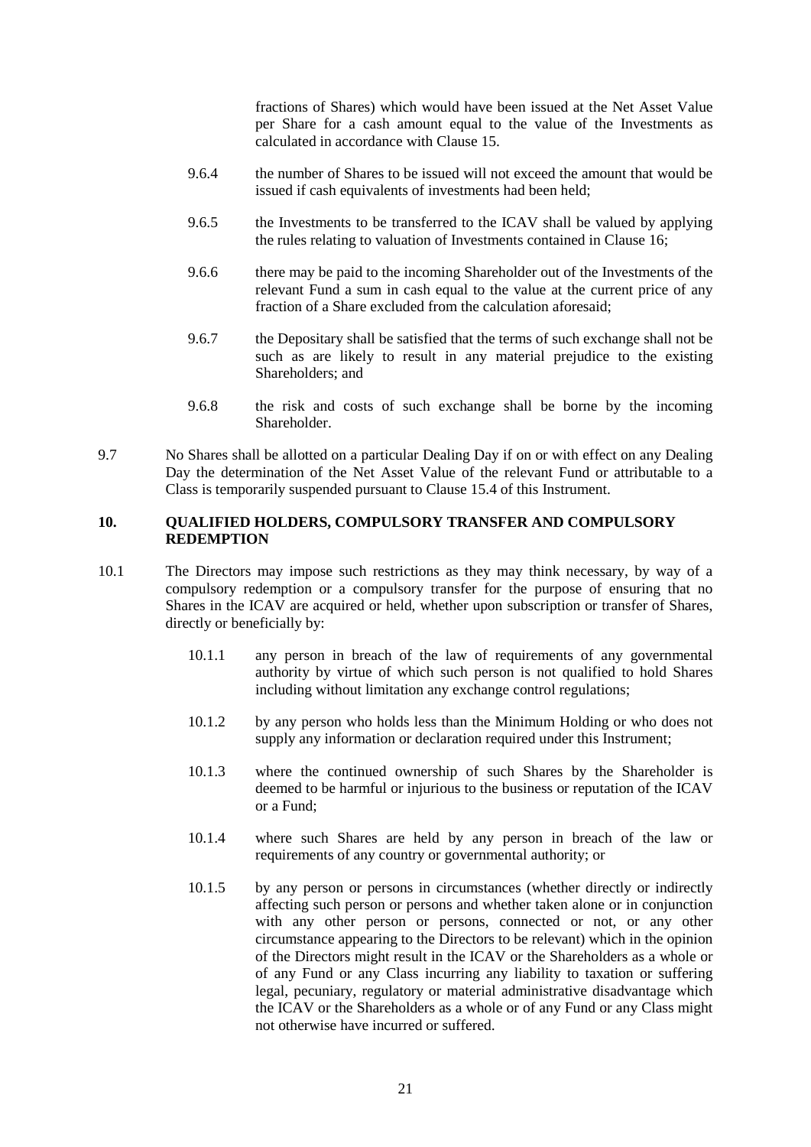fractions of Shares) which would have been issued at the Net Asset Value per Share for a cash amount equal to the value of the Investments as calculated in accordance with Clause 15.

- 9.6.4 the number of Shares to be issued will not exceed the amount that would be issued if cash equivalents of investments had been held:
- 9.6.5 the Investments to be transferred to the ICAV shall be valued by applying the rules relating to valuation of Investments contained in Clause 16;
- 9.6.6 there may be paid to the incoming Shareholder out of the Investments of the relevant Fund a sum in cash equal to the value at the current price of any fraction of a Share excluded from the calculation aforesaid;
- 9.6.7 the Depositary shall be satisfied that the terms of such exchange shall not be such as are likely to result in any material prejudice to the existing Shareholders; and
- 9.6.8 the risk and costs of such exchange shall be borne by the incoming Shareholder.
- 9.7 No Shares shall be allotted on a particular Dealing Day if on or with effect on any Dealing Day the determination of the Net Asset Value of the relevant Fund or attributable to a Class is temporarily suspended pursuant to Clause 15.4 of this Instrument.

## **10. QUALIFIED HOLDERS, COMPULSORY TRANSFER AND COMPULSORY REDEMPTION**

- 10.1 The Directors may impose such restrictions as they may think necessary, by way of a compulsory redemption or a compulsory transfer for the purpose of ensuring that no Shares in the ICAV are acquired or held, whether upon subscription or transfer of Shares, directly or beneficially by:
	- 10.1.1 any person in breach of the law of requirements of any governmental authority by virtue of which such person is not qualified to hold Shares including without limitation any exchange control regulations;
	- 10.1.2 by any person who holds less than the Minimum Holding or who does not supply any information or declaration required under this Instrument:
	- 10.1.3 where the continued ownership of such Shares by the Shareholder is deemed to be harmful or injurious to the business or reputation of the ICAV or a Fund;
	- 10.1.4 where such Shares are held by any person in breach of the law or requirements of any country or governmental authority; or
	- 10.1.5 by any person or persons in circumstances (whether directly or indirectly affecting such person or persons and whether taken alone or in conjunction with any other person or persons, connected or not, or any other circumstance appearing to the Directors to be relevant) which in the opinion of the Directors might result in the ICAV or the Shareholders as a whole or of any Fund or any Class incurring any liability to taxation or suffering legal, pecuniary, regulatory or material administrative disadvantage which the ICAV or the Shareholders as a whole or of any Fund or any Class might not otherwise have incurred or suffered.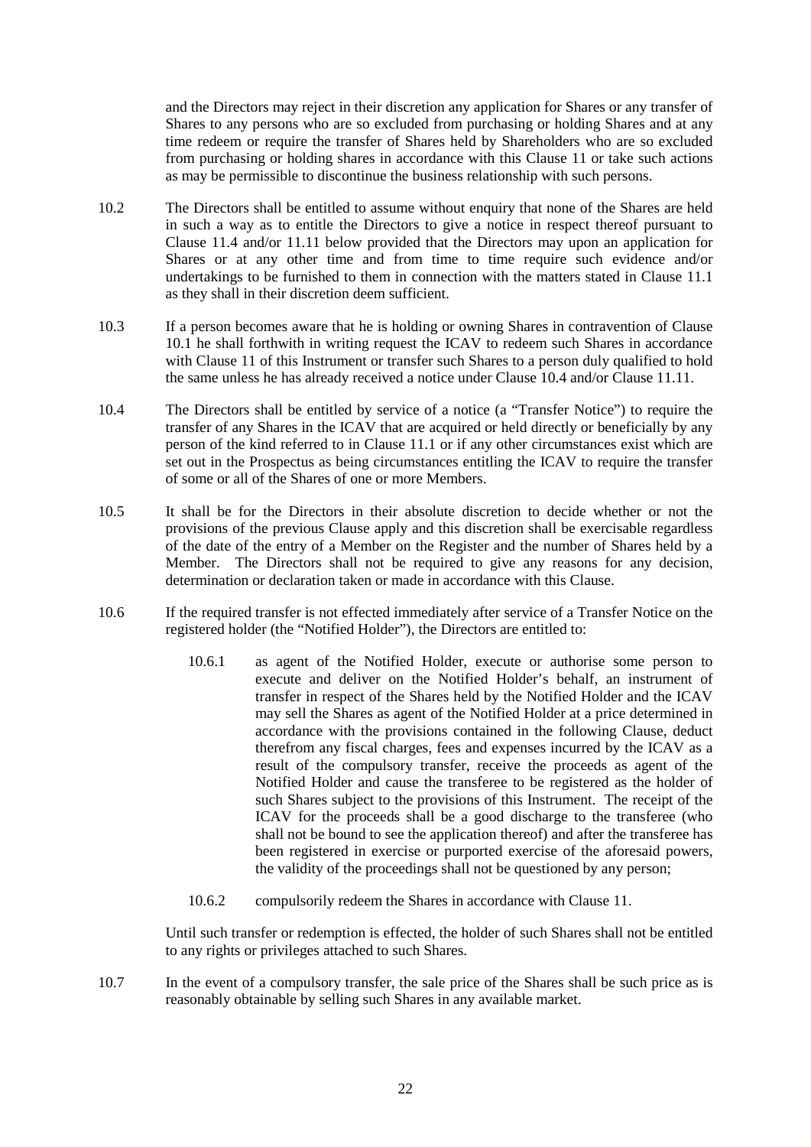and the Directors may reject in their discretion any application for Shares or any transfer of Shares to any persons who are so excluded from purchasing or holding Shares and at any time redeem or require the transfer of Shares held by Shareholders who are so excluded from purchasing or holding shares in accordance with this Clause 11 or take such actions as may be permissible to discontinue the business relationship with such persons.

- 10.2 The Directors shall be entitled to assume without enquiry that none of the Shares are held in such a way as to entitle the Directors to give a notice in respect thereof pursuant to Clause 11.4 and/or 11.11 below provided that the Directors may upon an application for Shares or at any other time and from time to time require such evidence and/or undertakings to be furnished to them in connection with the matters stated in Clause 11.1 as they shall in their discretion deem sufficient.
- 10.3 If a person becomes aware that he is holding or owning Shares in contravention of Clause 10.1 he shall forthwith in writing request the ICAV to redeem such Shares in accordance with Clause 11 of this Instrument or transfer such Shares to a person duly qualified to hold the same unless he has already received a notice under Clause 10.4 and/or Clause 11.11.
- 10.4 The Directors shall be entitled by service of a notice (a "Transfer Notice") to require the transfer of any Shares in the ICAV that are acquired or held directly or beneficially by any person of the kind referred to in Clause 11.1 or if any other circumstances exist which are set out in the Prospectus as being circumstances entitling the ICAV to require the transfer of some or all of the Shares of one or more Members.
- 10.5 It shall be for the Directors in their absolute discretion to decide whether or not the provisions of the previous Clause apply and this discretion shall be exercisable regardless of the date of the entry of a Member on the Register and the number of Shares held by a Member. The Directors shall not be required to give any reasons for any decision, determination or declaration taken or made in accordance with this Clause.
- 10.6 If the required transfer is not effected immediately after service of a Transfer Notice on the registered holder (the "Notified Holder"), the Directors are entitled to:
	- 10.6.1 as agent of the Notified Holder, execute or authorise some person to execute and deliver on the Notified Holder's behalf, an instrument of transfer in respect of the Shares held by the Notified Holder and the ICAV may sell the Shares as agent of the Notified Holder at a price determined in accordance with the provisions contained in the following Clause, deduct therefrom any fiscal charges, fees and expenses incurred by the ICAV as a result of the compulsory transfer, receive the proceeds as agent of the Notified Holder and cause the transferee to be registered as the holder of such Shares subject to the provisions of this Instrument. The receipt of the ICAV for the proceeds shall be a good discharge to the transferee (who shall not be bound to see the application thereof) and after the transferee has been registered in exercise or purported exercise of the aforesaid powers, the validity of the proceedings shall not be questioned by any person;
	- 10.6.2 compulsorily redeem the Shares in accordance with Clause 11.

Until such transfer or redemption is effected, the holder of such Shares shall not be entitled to any rights or privileges attached to such Shares.

10.7 In the event of a compulsory transfer, the sale price of the Shares shall be such price as is reasonably obtainable by selling such Shares in any available market.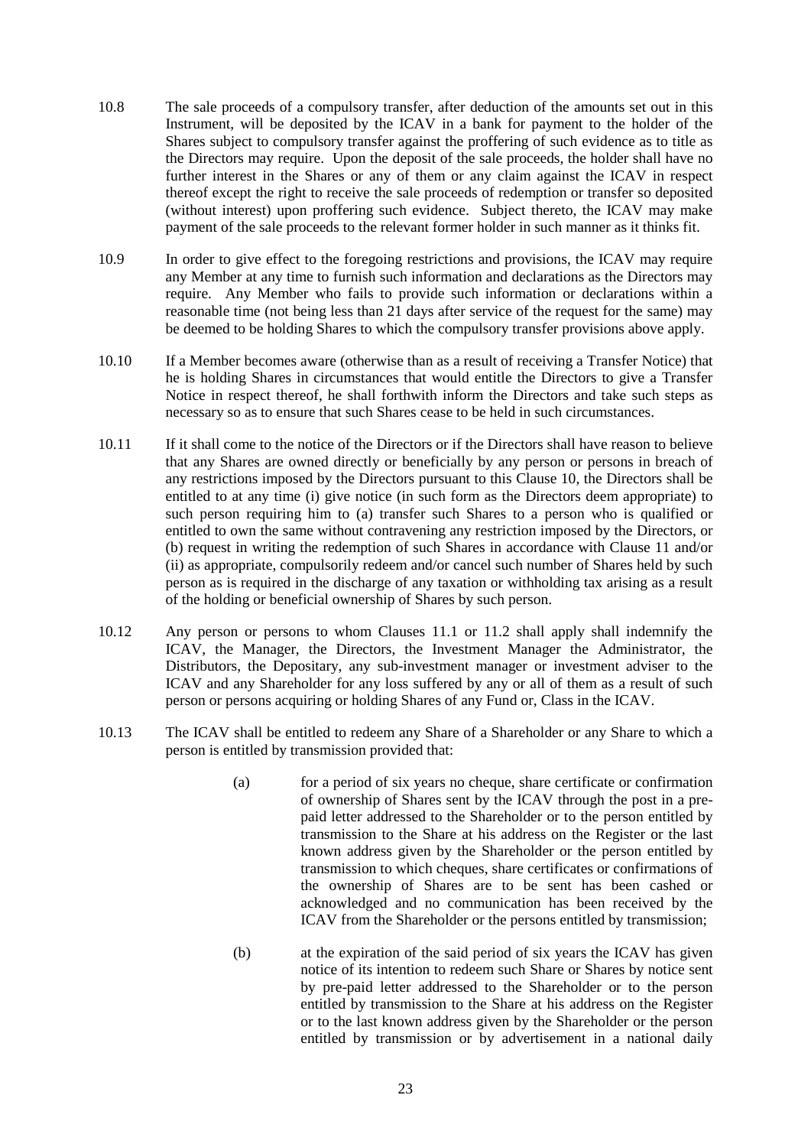- 10.8 The sale proceeds of a compulsory transfer, after deduction of the amounts set out in this Instrument, will be deposited by the ICAV in a bank for payment to the holder of the Shares subject to compulsory transfer against the proffering of such evidence as to title as the Directors may require. Upon the deposit of the sale proceeds, the holder shall have no further interest in the Shares or any of them or any claim against the ICAV in respect thereof except the right to receive the sale proceeds of redemption or transfer so deposited (without interest) upon proffering such evidence. Subject thereto, the ICAV may make payment of the sale proceeds to the relevant former holder in such manner as it thinks fit.
- 10.9 In order to give effect to the foregoing restrictions and provisions, the ICAV may require any Member at any time to furnish such information and declarations as the Directors may require. Any Member who fails to provide such information or declarations within a reasonable time (not being less than 21 days after service of the request for the same) may be deemed to be holding Shares to which the compulsory transfer provisions above apply.
- 10.10 If a Member becomes aware (otherwise than as a result of receiving a Transfer Notice) that he is holding Shares in circumstances that would entitle the Directors to give a Transfer Notice in respect thereof, he shall forthwith inform the Directors and take such steps as necessary so as to ensure that such Shares cease to be held in such circumstances.
- 10.11 If it shall come to the notice of the Directors or if the Directors shall have reason to believe that any Shares are owned directly or beneficially by any person or persons in breach of any restrictions imposed by the Directors pursuant to this Clause 10, the Directors shall be entitled to at any time (i) give notice (in such form as the Directors deem appropriate) to such person requiring him to (a) transfer such Shares to a person who is qualified or entitled to own the same without contravening any restriction imposed by the Directors, or (b) request in writing the redemption of such Shares in accordance with Clause 11 and/or (ii) as appropriate, compulsorily redeem and/or cancel such number of Shares held by such person as is required in the discharge of any taxation or withholding tax arising as a result of the holding or beneficial ownership of Shares by such person.
- 10.12 Any person or persons to whom Clauses 11.1 or 11.2 shall apply shall indemnify the ICAV, the Manager, the Directors, the Investment Manager the Administrator, the Distributors, the Depositary, any sub-investment manager or investment adviser to the ICAV and any Shareholder for any loss suffered by any or all of them as a result of such person or persons acquiring or holding Shares of any Fund or, Class in the ICAV.
- 10.13 The ICAV shall be entitled to redeem any Share of a Shareholder or any Share to which a person is entitled by transmission provided that:
	- (a) for a period of six years no cheque, share certificate or confirmation of ownership of Shares sent by the ICAV through the post in a prepaid letter addressed to the Shareholder or to the person entitled by transmission to the Share at his address on the Register or the last known address given by the Shareholder or the person entitled by transmission to which cheques, share certificates or confirmations of the ownership of Shares are to be sent has been cashed or acknowledged and no communication has been received by the ICAV from the Shareholder or the persons entitled by transmission;
	- (b) at the expiration of the said period of six years the ICAV has given notice of its intention to redeem such Share or Shares by notice sent by pre-paid letter addressed to the Shareholder or to the person entitled by transmission to the Share at his address on the Register or to the last known address given by the Shareholder or the person entitled by transmission or by advertisement in a national daily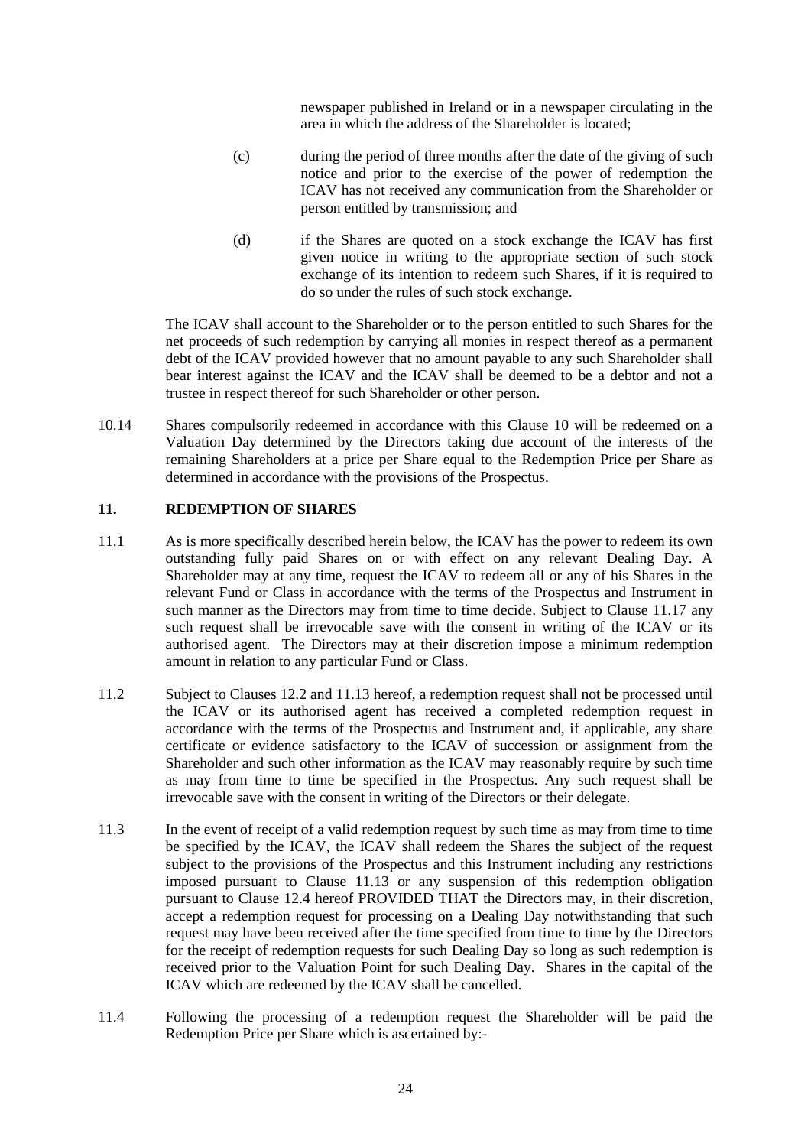newspaper published in Ireland or in a newspaper circulating in the area in which the address of the Shareholder is located;

- (c) during the period of three months after the date of the giving of such notice and prior to the exercise of the power of redemption the ICAV has not received any communication from the Shareholder or person entitled by transmission; and
- (d) if the Shares are quoted on a stock exchange the ICAV has first given notice in writing to the appropriate section of such stock exchange of its intention to redeem such Shares, if it is required to do so under the rules of such stock exchange.

The ICAV shall account to the Shareholder or to the person entitled to such Shares for the net proceeds of such redemption by carrying all monies in respect thereof as a permanent debt of the ICAV provided however that no amount payable to any such Shareholder shall bear interest against the ICAV and the ICAV shall be deemed to be a debtor and not a trustee in respect thereof for such Shareholder or other person.

10.14 Shares compulsorily redeemed in accordance with this Clause 10 will be redeemed on a Valuation Day determined by the Directors taking due account of the interests of the remaining Shareholders at a price per Share equal to the Redemption Price per Share as determined in accordance with the provisions of the Prospectus.

### **11. REDEMPTION OF SHARES**

- 11.1 As is more specifically described herein below, the ICAV has the power to redeem its own outstanding fully paid Shares on or with effect on any relevant Dealing Day. A Shareholder may at any time, request the ICAV to redeem all or any of his Shares in the relevant Fund or Class in accordance with the terms of the Prospectus and Instrument in such manner as the Directors may from time to time decide. Subject to Clause 11.17 any such request shall be irrevocable save with the consent in writing of the ICAV or its authorised agent. The Directors may at their discretion impose a minimum redemption amount in relation to any particular Fund or Class.
- 11.2 Subject to Clauses 12.2 and 11.13 hereof, a redemption request shall not be processed until the ICAV or its authorised agent has received a completed redemption request in accordance with the terms of the Prospectus and Instrument and, if applicable, any share certificate or evidence satisfactory to the ICAV of succession or assignment from the Shareholder and such other information as the ICAV may reasonably require by such time as may from time to time be specified in the Prospectus. Any such request shall be irrevocable save with the consent in writing of the Directors or their delegate.
- 11.3 In the event of receipt of a valid redemption request by such time as may from time to time be specified by the ICAV, the ICAV shall redeem the Shares the subject of the request subject to the provisions of the Prospectus and this Instrument including any restrictions imposed pursuant to Clause 11.13 or any suspension of this redemption obligation pursuant to Clause 12.4 hereof PROVIDED THAT the Directors may, in their discretion, accept a redemption request for processing on a Dealing Day notwithstanding that such request may have been received after the time specified from time to time by the Directors for the receipt of redemption requests for such Dealing Day so long as such redemption is received prior to the Valuation Point for such Dealing Day. Shares in the capital of the ICAV which are redeemed by the ICAV shall be cancelled.
- 11.4 Following the processing of a redemption request the Shareholder will be paid the Redemption Price per Share which is ascertained by:-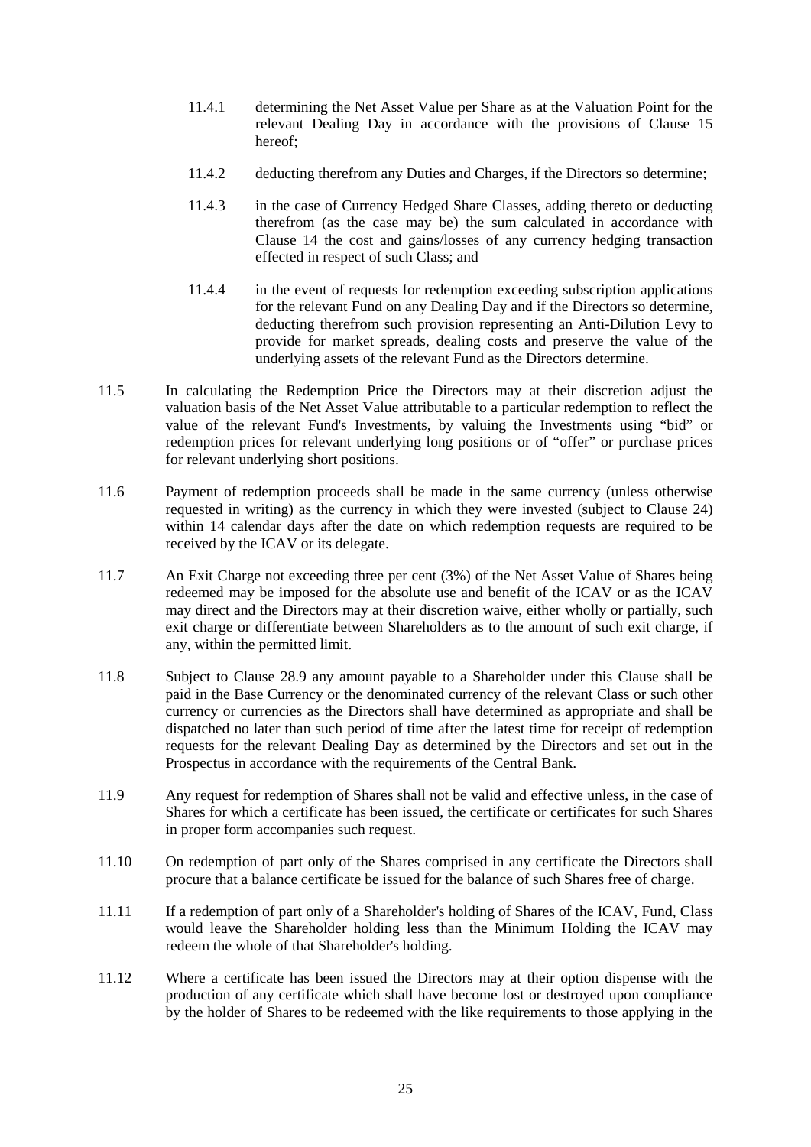- 11.4.1 determining the Net Asset Value per Share as at the Valuation Point for the relevant Dealing Day in accordance with the provisions of Clause 15 hereof;
- 11.4.2 deducting therefrom any Duties and Charges, if the Directors so determine;
- 11.4.3 in the case of Currency Hedged Share Classes, adding thereto or deducting therefrom (as the case may be) the sum calculated in accordance with Clause 14 the cost and gains/losses of any currency hedging transaction effected in respect of such Class; and
- 11.4.4 in the event of requests for redemption exceeding subscription applications for the relevant Fund on any Dealing Day and if the Directors so determine, deducting therefrom such provision representing an Anti-Dilution Levy to provide for market spreads, dealing costs and preserve the value of the underlying assets of the relevant Fund as the Directors determine.
- 11.5 In calculating the Redemption Price the Directors may at their discretion adjust the valuation basis of the Net Asset Value attributable to a particular redemption to reflect the value of the relevant Fund's Investments, by valuing the Investments using "bid" or redemption prices for relevant underlying long positions or of "offer" or purchase prices for relevant underlying short positions.
- 11.6 Payment of redemption proceeds shall be made in the same currency (unless otherwise requested in writing) as the currency in which they were invested (subject to Clause 24) within 14 calendar days after the date on which redemption requests are required to be received by the ICAV or its delegate.
- 11.7 An Exit Charge not exceeding three per cent (3%) of the Net Asset Value of Shares being redeemed may be imposed for the absolute use and benefit of the ICAV or as the ICAV may direct and the Directors may at their discretion waive, either wholly or partially, such exit charge or differentiate between Shareholders as to the amount of such exit charge, if any, within the permitted limit.
- 11.8 Subject to Clause 28.9 any amount payable to a Shareholder under this Clause shall be paid in the Base Currency or the denominated currency of the relevant Class or such other currency or currencies as the Directors shall have determined as appropriate and shall be dispatched no later than such period of time after the latest time for receipt of redemption requests for the relevant Dealing Day as determined by the Directors and set out in the Prospectus in accordance with the requirements of the Central Bank.
- 11.9 Any request for redemption of Shares shall not be valid and effective unless, in the case of Shares for which a certificate has been issued, the certificate or certificates for such Shares in proper form accompanies such request.
- 11.10 On redemption of part only of the Shares comprised in any certificate the Directors shall procure that a balance certificate be issued for the balance of such Shares free of charge.
- 11.11 If a redemption of part only of a Shareholder's holding of Shares of the ICAV, Fund, Class would leave the Shareholder holding less than the Minimum Holding the ICAV may redeem the whole of that Shareholder's holding.
- 11.12 Where a certificate has been issued the Directors may at their option dispense with the production of any certificate which shall have become lost or destroyed upon compliance by the holder of Shares to be redeemed with the like requirements to those applying in the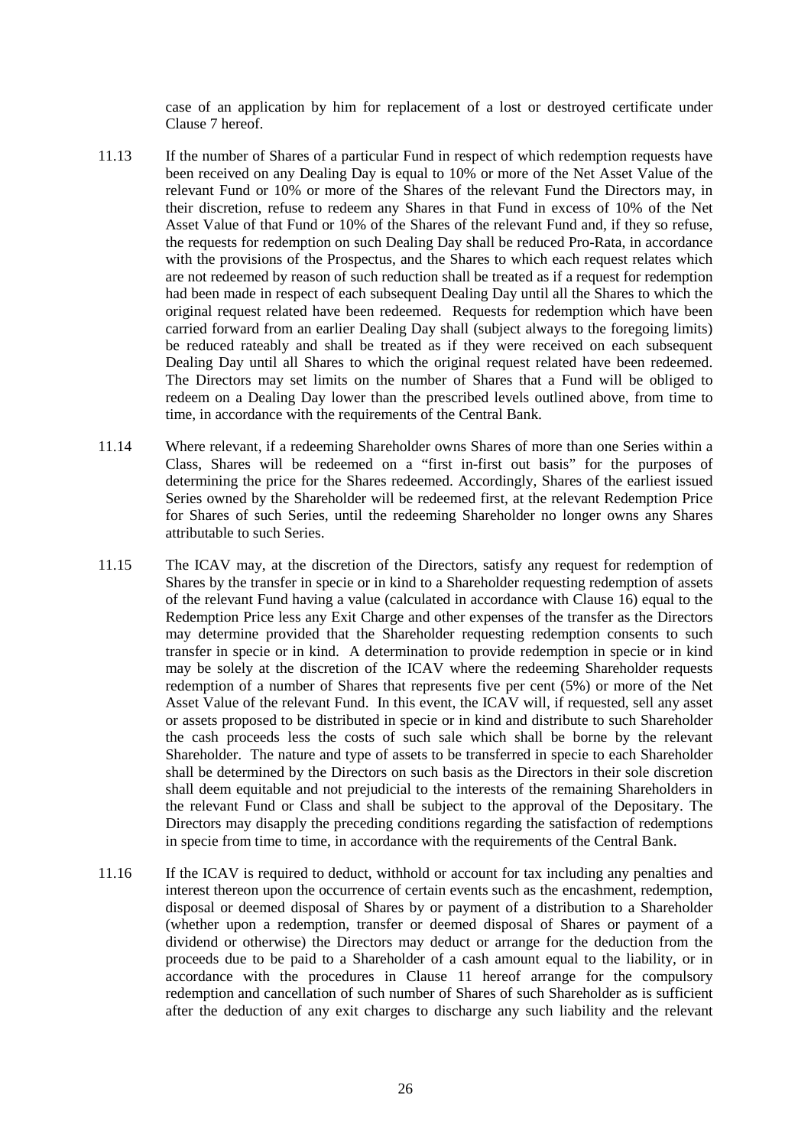case of an application by him for replacement of a lost or destroyed certificate under Clause 7 hereof.

- 11.13 If the number of Shares of a particular Fund in respect of which redemption requests have been received on any Dealing Day is equal to 10% or more of the Net Asset Value of the relevant Fund or 10% or more of the Shares of the relevant Fund the Directors may, in their discretion, refuse to redeem any Shares in that Fund in excess of 10% of the Net Asset Value of that Fund or 10% of the Shares of the relevant Fund and, if they so refuse, the requests for redemption on such Dealing Day shall be reduced Pro-Rata, in accordance with the provisions of the Prospectus, and the Shares to which each request relates which are not redeemed by reason of such reduction shall be treated as if a request for redemption had been made in respect of each subsequent Dealing Day until all the Shares to which the original request related have been redeemed. Requests for redemption which have been carried forward from an earlier Dealing Day shall (subject always to the foregoing limits) be reduced rateably and shall be treated as if they were received on each subsequent Dealing Day until all Shares to which the original request related have been redeemed. The Directors may set limits on the number of Shares that a Fund will be obliged to redeem on a Dealing Day lower than the prescribed levels outlined above, from time to time, in accordance with the requirements of the Central Bank.
- 11.14 Where relevant, if a redeeming Shareholder owns Shares of more than one Series within a Class, Shares will be redeemed on a "first in-first out basis" for the purposes of determining the price for the Shares redeemed. Accordingly, Shares of the earliest issued Series owned by the Shareholder will be redeemed first, at the relevant Redemption Price for Shares of such Series, until the redeeming Shareholder no longer owns any Shares attributable to such Series.
- 11.15 The ICAV may, at the discretion of the Directors, satisfy any request for redemption of Shares by the transfer in specie or in kind to a Shareholder requesting redemption of assets of the relevant Fund having a value (calculated in accordance with Clause 16) equal to the Redemption Price less any Exit Charge and other expenses of the transfer as the Directors may determine provided that the Shareholder requesting redemption consents to such transfer in specie or in kind. A determination to provide redemption in specie or in kind may be solely at the discretion of the ICAV where the redeeming Shareholder requests redemption of a number of Shares that represents five per cent (5%) or more of the Net Asset Value of the relevant Fund. In this event, the ICAV will, if requested, sell any asset or assets proposed to be distributed in specie or in kind and distribute to such Shareholder the cash proceeds less the costs of such sale which shall be borne by the relevant Shareholder. The nature and type of assets to be transferred in specie to each Shareholder shall be determined by the Directors on such basis as the Directors in their sole discretion shall deem equitable and not prejudicial to the interests of the remaining Shareholders in the relevant Fund or Class and shall be subject to the approval of the Depositary. The Directors may disapply the preceding conditions regarding the satisfaction of redemptions in specie from time to time, in accordance with the requirements of the Central Bank.
- 11.16 If the ICAV is required to deduct, withhold or account for tax including any penalties and interest thereon upon the occurrence of certain events such as the encashment, redemption, disposal or deemed disposal of Shares by or payment of a distribution to a Shareholder (whether upon a redemption, transfer or deemed disposal of Shares or payment of a dividend or otherwise) the Directors may deduct or arrange for the deduction from the proceeds due to be paid to a Shareholder of a cash amount equal to the liability, or in accordance with the procedures in Clause 11 hereof arrange for the compulsory redemption and cancellation of such number of Shares of such Shareholder as is sufficient after the deduction of any exit charges to discharge any such liability and the relevant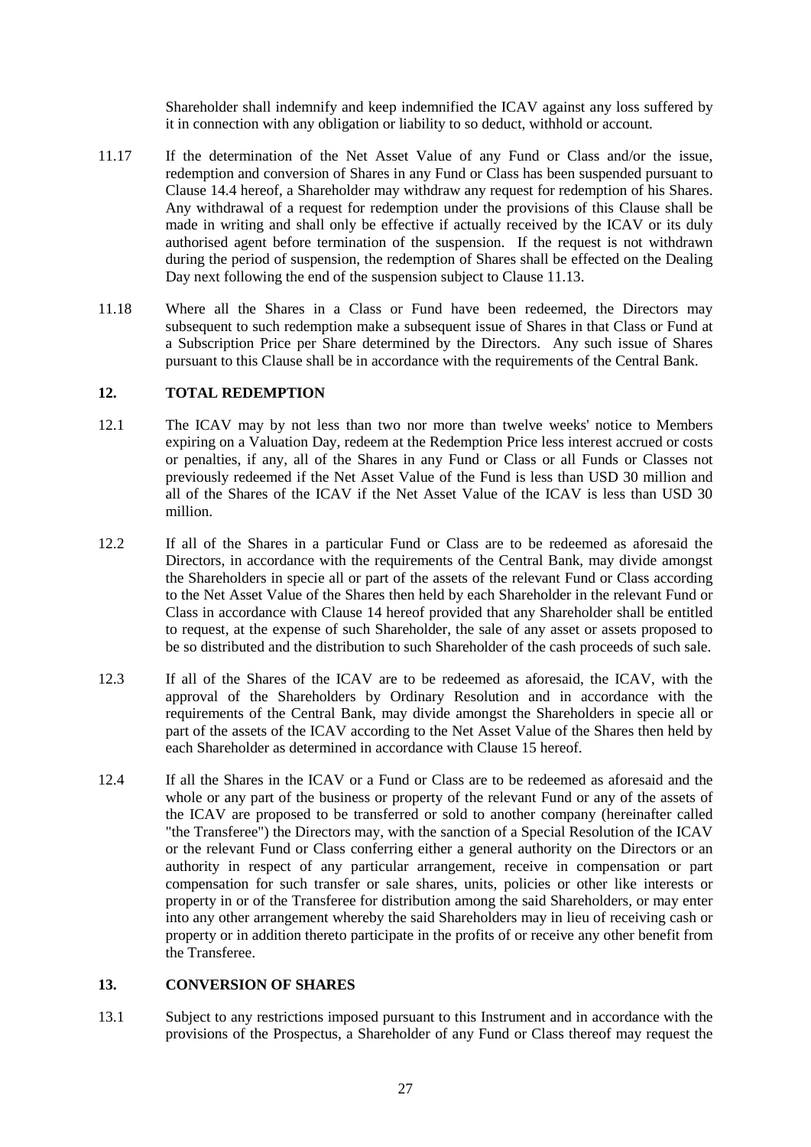Shareholder shall indemnify and keep indemnified the ICAV against any loss suffered by it in connection with any obligation or liability to so deduct, withhold or account.

- 11.17 If the determination of the Net Asset Value of any Fund or Class and/or the issue, redemption and conversion of Shares in any Fund or Class has been suspended pursuant to Clause 14.4 hereof, a Shareholder may withdraw any request for redemption of his Shares. Any withdrawal of a request for redemption under the provisions of this Clause shall be made in writing and shall only be effective if actually received by the ICAV or its duly authorised agent before termination of the suspension. If the request is not withdrawn during the period of suspension, the redemption of Shares shall be effected on the Dealing Day next following the end of the suspension subject to Clause 11.13.
- 11.18 Where all the Shares in a Class or Fund have been redeemed, the Directors may subsequent to such redemption make a subsequent issue of Shares in that Class or Fund at a Subscription Price per Share determined by the Directors. Any such issue of Shares pursuant to this Clause shall be in accordance with the requirements of the Central Bank.

### **12. TOTAL REDEMPTION**

- 12.1 The ICAV may by not less than two nor more than twelve weeks' notice to Members expiring on a Valuation Day, redeem at the Redemption Price less interest accrued or costs or penalties, if any, all of the Shares in any Fund or Class or all Funds or Classes not previously redeemed if the Net Asset Value of the Fund is less than USD 30 million and all of the Shares of the ICAV if the Net Asset Value of the ICAV is less than USD 30 million.
- 12.2 If all of the Shares in a particular Fund or Class are to be redeemed as aforesaid the Directors, in accordance with the requirements of the Central Bank, may divide amongst the Shareholders in specie all or part of the assets of the relevant Fund or Class according to the Net Asset Value of the Shares then held by each Shareholder in the relevant Fund or Class in accordance with Clause 14 hereof provided that any Shareholder shall be entitled to request, at the expense of such Shareholder, the sale of any asset or assets proposed to be so distributed and the distribution to such Shareholder of the cash proceeds of such sale.
- 12.3 If all of the Shares of the ICAV are to be redeemed as aforesaid, the ICAV, with the approval of the Shareholders by Ordinary Resolution and in accordance with the requirements of the Central Bank, may divide amongst the Shareholders in specie all or part of the assets of the ICAV according to the Net Asset Value of the Shares then held by each Shareholder as determined in accordance with Clause 15 hereof.
- 12.4 If all the Shares in the ICAV or a Fund or Class are to be redeemed as aforesaid and the whole or any part of the business or property of the relevant Fund or any of the assets of the ICAV are proposed to be transferred or sold to another company (hereinafter called "the Transferee") the Directors may, with the sanction of a Special Resolution of the ICAV or the relevant Fund or Class conferring either a general authority on the Directors or an authority in respect of any particular arrangement, receive in compensation or part compensation for such transfer or sale shares, units, policies or other like interests or property in or of the Transferee for distribution among the said Shareholders, or may enter into any other arrangement whereby the said Shareholders may in lieu of receiving cash or property or in addition thereto participate in the profits of or receive any other benefit from the Transferee.

### **13. CONVERSION OF SHARES**

13.1 Subject to any restrictions imposed pursuant to this Instrument and in accordance with the provisions of the Prospectus, a Shareholder of any Fund or Class thereof may request the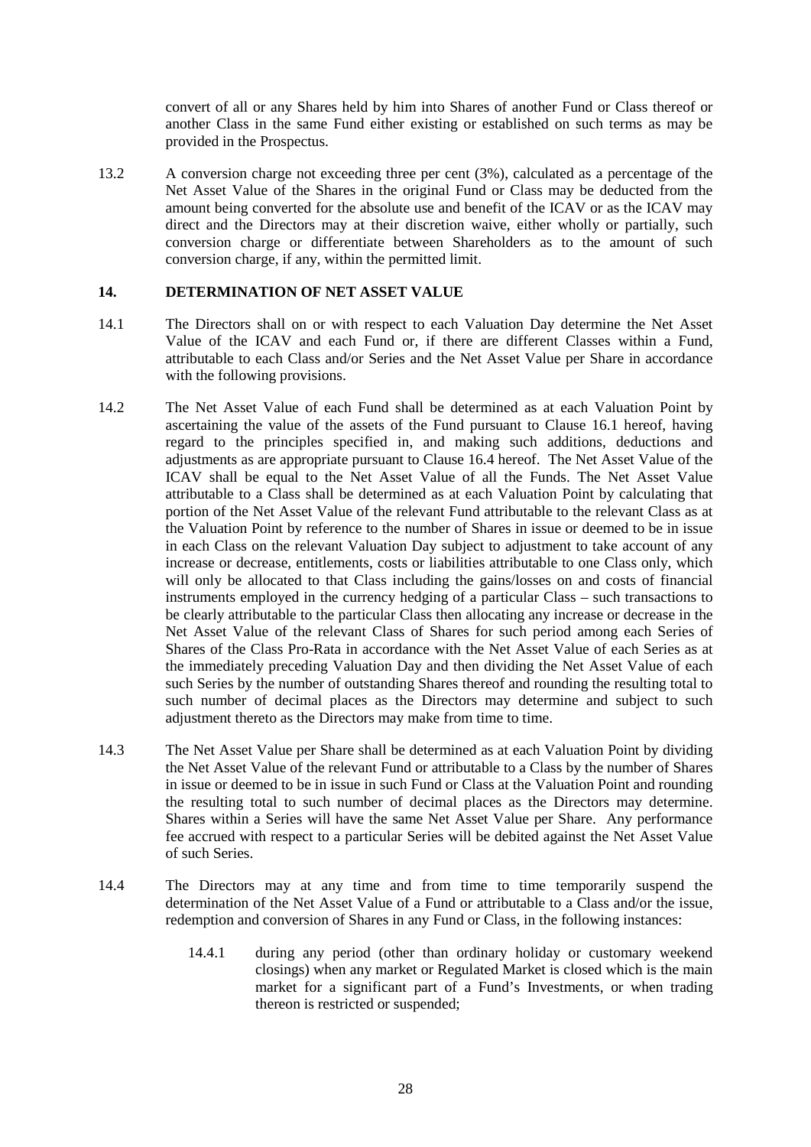convert of all or any Shares held by him into Shares of another Fund or Class thereof or another Class in the same Fund either existing or established on such terms as may be provided in the Prospectus.

13.2 A conversion charge not exceeding three per cent (3%), calculated as a percentage of the Net Asset Value of the Shares in the original Fund or Class may be deducted from the amount being converted for the absolute use and benefit of the ICAV or as the ICAV may direct and the Directors may at their discretion waive, either wholly or partially, such conversion charge or differentiate between Shareholders as to the amount of such conversion charge, if any, within the permitted limit.

#### **14. DETERMINATION OF NET ASSET VALUE**

- 14.1 The Directors shall on or with respect to each Valuation Day determine the Net Asset Value of the ICAV and each Fund or, if there are different Classes within a Fund, attributable to each Class and/or Series and the Net Asset Value per Share in accordance with the following provisions.
- 14.2 The Net Asset Value of each Fund shall be determined as at each Valuation Point by ascertaining the value of the assets of the Fund pursuant to Clause 16.1 hereof, having regard to the principles specified in, and making such additions, deductions and adjustments as are appropriate pursuant to Clause 16.4 hereof. The Net Asset Value of the ICAV shall be equal to the Net Asset Value of all the Funds. The Net Asset Value attributable to a Class shall be determined as at each Valuation Point by calculating that portion of the Net Asset Value of the relevant Fund attributable to the relevant Class as at the Valuation Point by reference to the number of Shares in issue or deemed to be in issue in each Class on the relevant Valuation Day subject to adjustment to take account of any increase or decrease, entitlements, costs or liabilities attributable to one Class only, which will only be allocated to that Class including the gains/losses on and costs of financial instruments employed in the currency hedging of a particular Class – such transactions to be clearly attributable to the particular Class then allocating any increase or decrease in the Net Asset Value of the relevant Class of Shares for such period among each Series of Shares of the Class Pro-Rata in accordance with the Net Asset Value of each Series as at the immediately preceding Valuation Day and then dividing the Net Asset Value of each such Series by the number of outstanding Shares thereof and rounding the resulting total to such number of decimal places as the Directors may determine and subject to such adjustment thereto as the Directors may make from time to time.
- 14.3 The Net Asset Value per Share shall be determined as at each Valuation Point by dividing the Net Asset Value of the relevant Fund or attributable to a Class by the number of Shares in issue or deemed to be in issue in such Fund or Class at the Valuation Point and rounding the resulting total to such number of decimal places as the Directors may determine. Shares within a Series will have the same Net Asset Value per Share. Any performance fee accrued with respect to a particular Series will be debited against the Net Asset Value of such Series.
- 14.4 The Directors may at any time and from time to time temporarily suspend the determination of the Net Asset Value of a Fund or attributable to a Class and/or the issue, redemption and conversion of Shares in any Fund or Class, in the following instances:
	- 14.4.1 during any period (other than ordinary holiday or customary weekend closings) when any market or Regulated Market is closed which is the main market for a significant part of a Fund's Investments, or when trading thereon is restricted or suspended;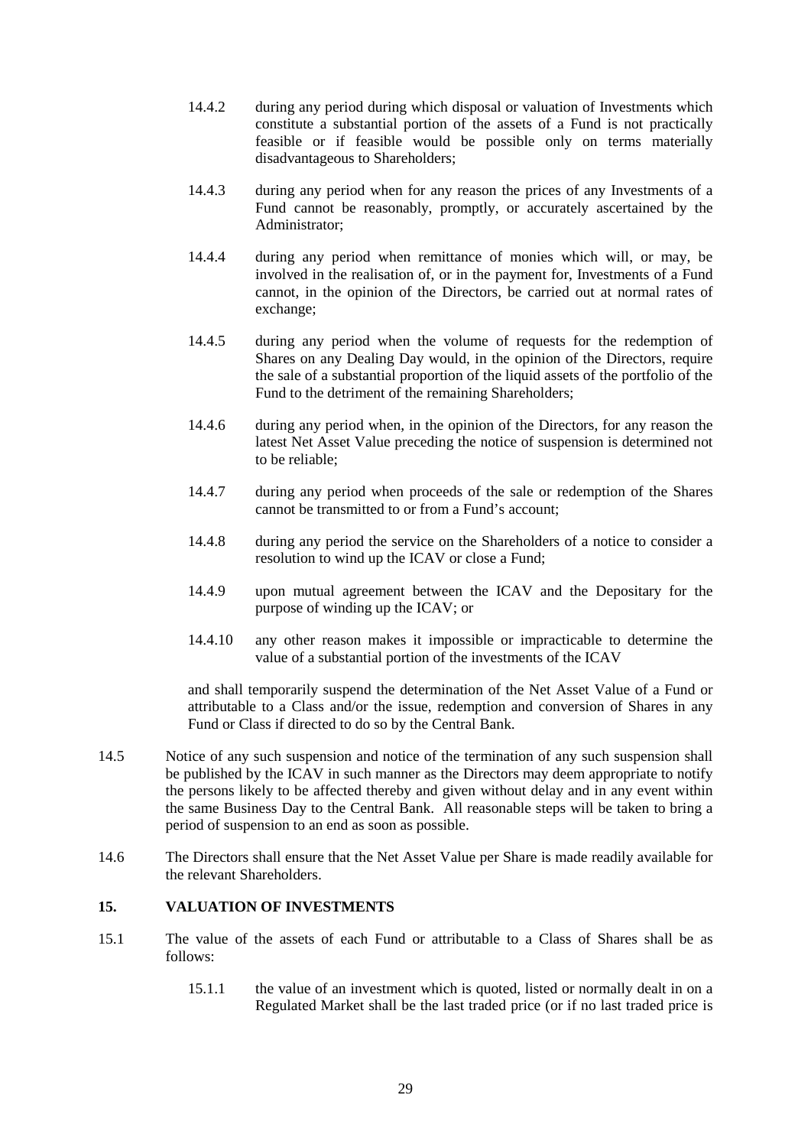- 14.4.2 during any period during which disposal or valuation of Investments which constitute a substantial portion of the assets of a Fund is not practically feasible or if feasible would be possible only on terms materially disadvantageous to Shareholders;
- 14.4.3 during any period when for any reason the prices of any Investments of a Fund cannot be reasonably, promptly, or accurately ascertained by the Administrator;
- 14.4.4 during any period when remittance of monies which will, or may, be involved in the realisation of, or in the payment for, Investments of a Fund cannot, in the opinion of the Directors, be carried out at normal rates of exchange;
- 14.4.5 during any period when the volume of requests for the redemption of Shares on any Dealing Day would, in the opinion of the Directors, require the sale of a substantial proportion of the liquid assets of the portfolio of the Fund to the detriment of the remaining Shareholders;
- 14.4.6 during any period when, in the opinion of the Directors, for any reason the latest Net Asset Value preceding the notice of suspension is determined not to be reliable;
- 14.4.7 during any period when proceeds of the sale or redemption of the Shares cannot be transmitted to or from a Fund's account;
- 14.4.8 during any period the service on the Shareholders of a notice to consider a resolution to wind up the ICAV or close a Fund;
- 14.4.9 upon mutual agreement between the ICAV and the Depositary for the purpose of winding up the ICAV; or
- 14.4.10 any other reason makes it impossible or impracticable to determine the value of a substantial portion of the investments of the ICAV

and shall temporarily suspend the determination of the Net Asset Value of a Fund or attributable to a Class and/or the issue, redemption and conversion of Shares in any Fund or Class if directed to do so by the Central Bank.

- 14.5 Notice of any such suspension and notice of the termination of any such suspension shall be published by the ICAV in such manner as the Directors may deem appropriate to notify the persons likely to be affected thereby and given without delay and in any event within the same Business Day to the Central Bank. All reasonable steps will be taken to bring a period of suspension to an end as soon as possible.
- 14.6 The Directors shall ensure that the Net Asset Value per Share is made readily available for the relevant Shareholders.

### **15. VALUATION OF INVESTMENTS**

- 15.1 The value of the assets of each Fund or attributable to a Class of Shares shall be as follows:
	- 15.1.1 the value of an investment which is quoted, listed or normally dealt in on a Regulated Market shall be the last traded price (or if no last traded price is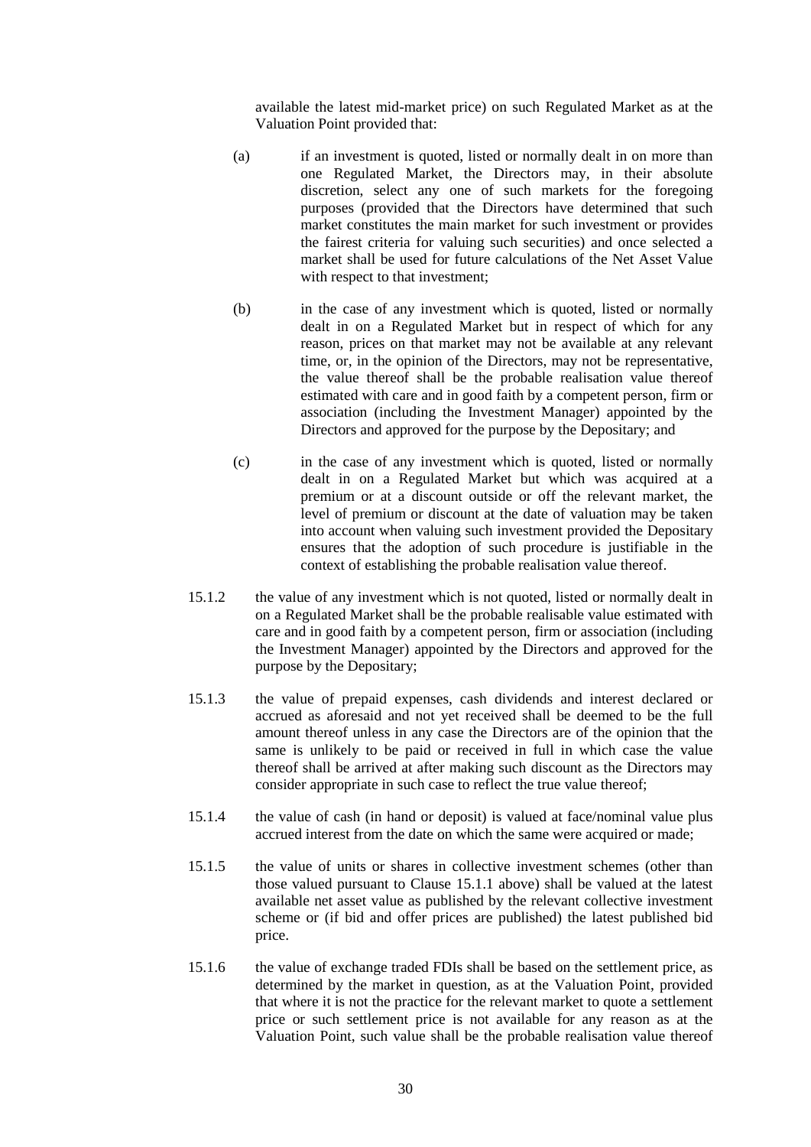available the latest mid-market price) on such Regulated Market as at the Valuation Point provided that:

- (a) if an investment is quoted, listed or normally dealt in on more than one Regulated Market, the Directors may, in their absolute discretion, select any one of such markets for the foregoing purposes (provided that the Directors have determined that such market constitutes the main market for such investment or provides the fairest criteria for valuing such securities) and once selected a market shall be used for future calculations of the Net Asset Value with respect to that investment;
- (b) in the case of any investment which is quoted, listed or normally dealt in on a Regulated Market but in respect of which for any reason, prices on that market may not be available at any relevant time, or, in the opinion of the Directors, may not be representative, the value thereof shall be the probable realisation value thereof estimated with care and in good faith by a competent person, firm or association (including the Investment Manager) appointed by the Directors and approved for the purpose by the Depositary; and
- (c) in the case of any investment which is quoted, listed or normally dealt in on a Regulated Market but which was acquired at a premium or at a discount outside or off the relevant market, the level of premium or discount at the date of valuation may be taken into account when valuing such investment provided the Depositary ensures that the adoption of such procedure is justifiable in the context of establishing the probable realisation value thereof.
- 15.1.2 the value of any investment which is not quoted, listed or normally dealt in on a Regulated Market shall be the probable realisable value estimated with care and in good faith by a competent person, firm or association (including the Investment Manager) appointed by the Directors and approved for the purpose by the Depositary;
- 15.1.3 the value of prepaid expenses, cash dividends and interest declared or accrued as aforesaid and not yet received shall be deemed to be the full amount thereof unless in any case the Directors are of the opinion that the same is unlikely to be paid or received in full in which case the value thereof shall be arrived at after making such discount as the Directors may consider appropriate in such case to reflect the true value thereof;
- 15.1.4 the value of cash (in hand or deposit) is valued at face/nominal value plus accrued interest from the date on which the same were acquired or made;
- 15.1.5 the value of units or shares in collective investment schemes (other than those valued pursuant to Clause 15.1.1 above) shall be valued at the latest available net asset value as published by the relevant collective investment scheme or (if bid and offer prices are published) the latest published bid price.
- 15.1.6 the value of exchange traded FDIs shall be based on the settlement price, as determined by the market in question, as at the Valuation Point, provided that where it is not the practice for the relevant market to quote a settlement price or such settlement price is not available for any reason as at the Valuation Point, such value shall be the probable realisation value thereof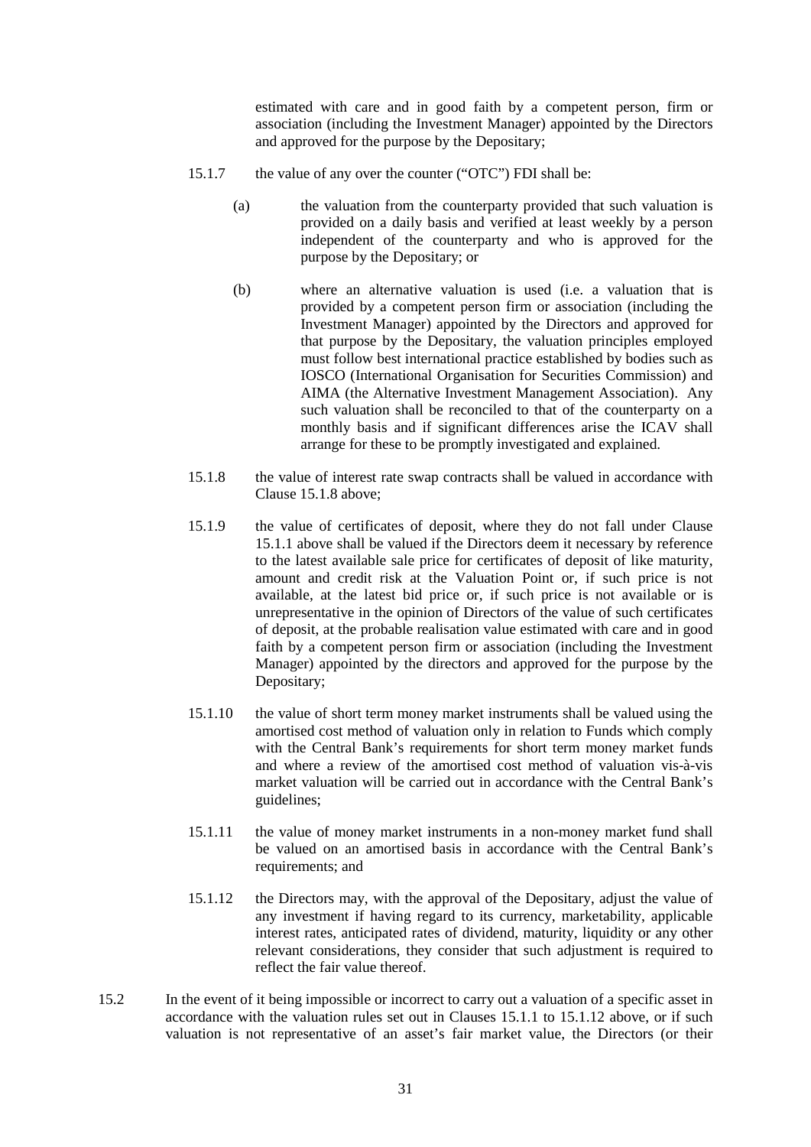estimated with care and in good faith by a competent person, firm or association (including the Investment Manager) appointed by the Directors and approved for the purpose by the Depositary;

- 15.1.7 the value of any over the counter ("OTC") FDI shall be:
	- (a) the valuation from the counterparty provided that such valuation is provided on a daily basis and verified at least weekly by a person independent of the counterparty and who is approved for the purpose by the Depositary; or
	- (b) where an alternative valuation is used (i.e. a valuation that is provided by a competent person firm or association (including the Investment Manager) appointed by the Directors and approved for that purpose by the Depositary, the valuation principles employed must follow best international practice established by bodies such as IOSCO (International Organisation for Securities Commission) and AIMA (the Alternative Investment Management Association). Any such valuation shall be reconciled to that of the counterparty on a monthly basis and if significant differences arise the ICAV shall arrange for these to be promptly investigated and explained.
- 15.1.8 the value of interest rate swap contracts shall be valued in accordance with Clause 15.1.8 above;
- 15.1.9 the value of certificates of deposit, where they do not fall under Clause 15.1.1 above shall be valued if the Directors deem it necessary by reference to the latest available sale price for certificates of deposit of like maturity, amount and credit risk at the Valuation Point or, if such price is not available, at the latest bid price or, if such price is not available or is unrepresentative in the opinion of Directors of the value of such certificates of deposit, at the probable realisation value estimated with care and in good faith by a competent person firm or association (including the Investment Manager) appointed by the directors and approved for the purpose by the Depositary;
- 15.1.10 the value of short term money market instruments shall be valued using the amortised cost method of valuation only in relation to Funds which comply with the Central Bank's requirements for short term money market funds and where a review of the amortised cost method of valuation vis-à-vis market valuation will be carried out in accordance with the Central Bank's guidelines;
- 15.1.11 the value of money market instruments in a non-money market fund shall be valued on an amortised basis in accordance with the Central Bank's requirements; and
- 15.1.12 the Directors may, with the approval of the Depositary, adjust the value of any investment if having regard to its currency, marketability, applicable interest rates, anticipated rates of dividend, maturity, liquidity or any other relevant considerations, they consider that such adjustment is required to reflect the fair value thereof.
- 15.2 In the event of it being impossible or incorrect to carry out a valuation of a specific asset in accordance with the valuation rules set out in Clauses 15.1.1 to 15.1.12 above, or if such valuation is not representative of an asset's fair market value, the Directors (or their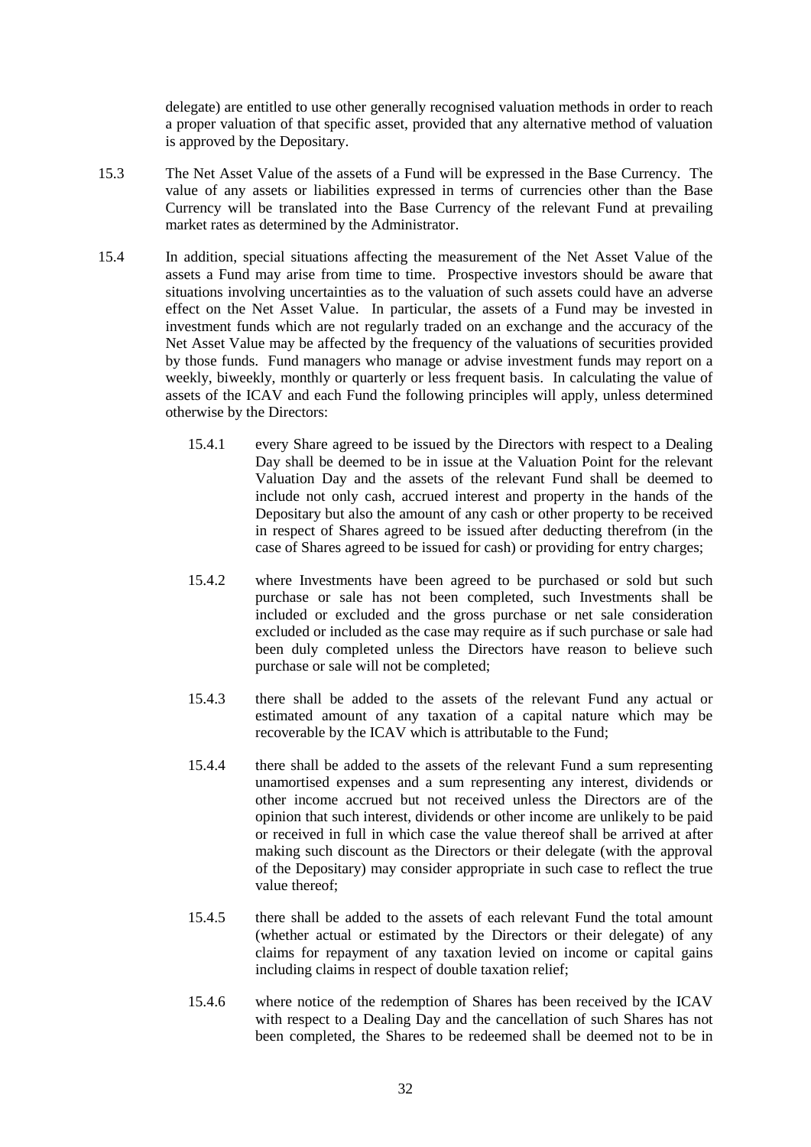delegate) are entitled to use other generally recognised valuation methods in order to reach a proper valuation of that specific asset, provided that any alternative method of valuation is approved by the Depositary.

- 15.3 The Net Asset Value of the assets of a Fund will be expressed in the Base Currency. The value of any assets or liabilities expressed in terms of currencies other than the Base Currency will be translated into the Base Currency of the relevant Fund at prevailing market rates as determined by the Administrator.
- 15.4 In addition, special situations affecting the measurement of the Net Asset Value of the assets a Fund may arise from time to time. Prospective investors should be aware that situations involving uncertainties as to the valuation of such assets could have an adverse effect on the Net Asset Value. In particular, the assets of a Fund may be invested in investment funds which are not regularly traded on an exchange and the accuracy of the Net Asset Value may be affected by the frequency of the valuations of securities provided by those funds. Fund managers who manage or advise investment funds may report on a weekly, biweekly, monthly or quarterly or less frequent basis. In calculating the value of assets of the ICAV and each Fund the following principles will apply, unless determined otherwise by the Directors:
	- 15.4.1 every Share agreed to be issued by the Directors with respect to a Dealing Day shall be deemed to be in issue at the Valuation Point for the relevant Valuation Day and the assets of the relevant Fund shall be deemed to include not only cash, accrued interest and property in the hands of the Depositary but also the amount of any cash or other property to be received in respect of Shares agreed to be issued after deducting therefrom (in the case of Shares agreed to be issued for cash) or providing for entry charges;
	- 15.4.2 where Investments have been agreed to be purchased or sold but such purchase or sale has not been completed, such Investments shall be included or excluded and the gross purchase or net sale consideration excluded or included as the case may require as if such purchase or sale had been duly completed unless the Directors have reason to believe such purchase or sale will not be completed;
	- 15.4.3 there shall be added to the assets of the relevant Fund any actual or estimated amount of any taxation of a capital nature which may be recoverable by the ICAV which is attributable to the Fund;
	- 15.4.4 there shall be added to the assets of the relevant Fund a sum representing unamortised expenses and a sum representing any interest, dividends or other income accrued but not received unless the Directors are of the opinion that such interest, dividends or other income are unlikely to be paid or received in full in which case the value thereof shall be arrived at after making such discount as the Directors or their delegate (with the approval of the Depositary) may consider appropriate in such case to reflect the true value thereof;
	- 15.4.5 there shall be added to the assets of each relevant Fund the total amount (whether actual or estimated by the Directors or their delegate) of any claims for repayment of any taxation levied on income or capital gains including claims in respect of double taxation relief;
	- 15.4.6 where notice of the redemption of Shares has been received by the ICAV with respect to a Dealing Day and the cancellation of such Shares has not been completed, the Shares to be redeemed shall be deemed not to be in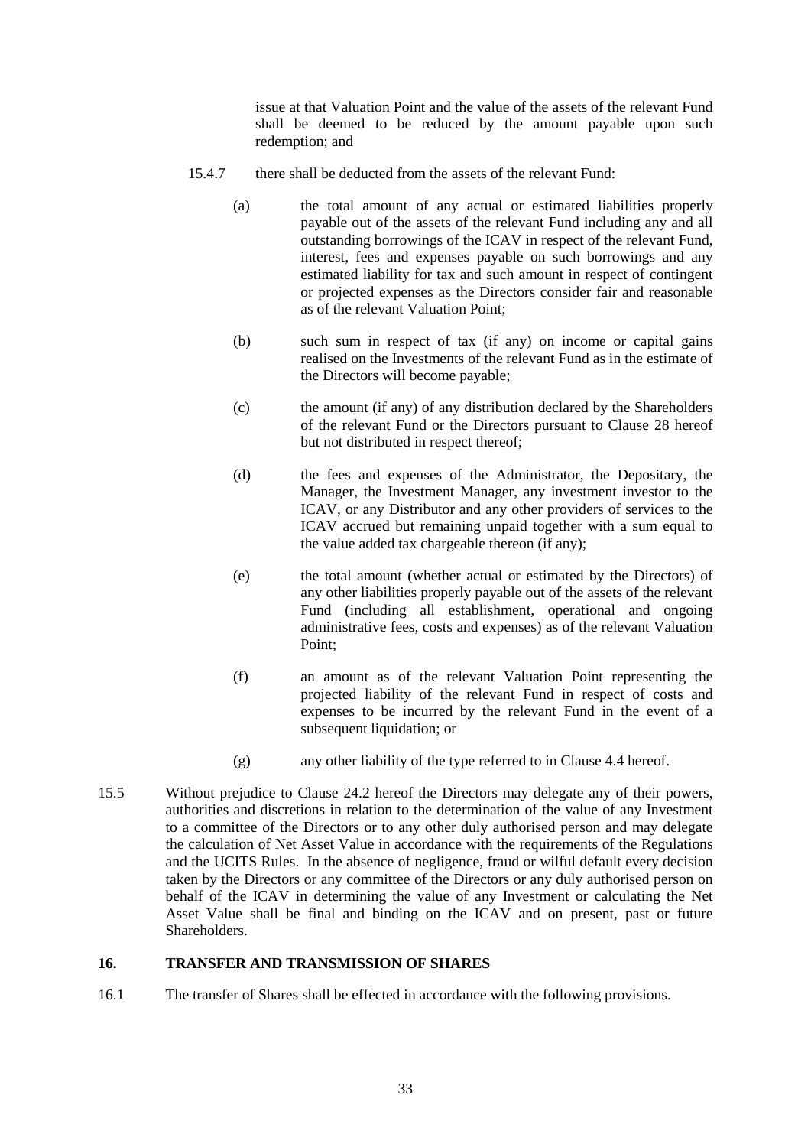issue at that Valuation Point and the value of the assets of the relevant Fund shall be deemed to be reduced by the amount payable upon such redemption; and

- 15.4.7 there shall be deducted from the assets of the relevant Fund:
	- (a) the total amount of any actual or estimated liabilities properly payable out of the assets of the relevant Fund including any and all outstanding borrowings of the ICAV in respect of the relevant Fund, interest, fees and expenses payable on such borrowings and any estimated liability for tax and such amount in respect of contingent or projected expenses as the Directors consider fair and reasonable as of the relevant Valuation Point;
	- (b) such sum in respect of tax (if any) on income or capital gains realised on the Investments of the relevant Fund as in the estimate of the Directors will become payable;
	- (c) the amount (if any) of any distribution declared by the Shareholders of the relevant Fund or the Directors pursuant to Clause 28 hereof but not distributed in respect thereof;
	- (d) the fees and expenses of the Administrator, the Depositary, the Manager, the Investment Manager, any investment investor to the ICAV, or any Distributor and any other providers of services to the ICAV accrued but remaining unpaid together with a sum equal to the value added tax chargeable thereon (if any);
	- (e) the total amount (whether actual or estimated by the Directors) of any other liabilities properly payable out of the assets of the relevant Fund (including all establishment, operational and ongoing administrative fees, costs and expenses) as of the relevant Valuation Point;
	- (f) an amount as of the relevant Valuation Point representing the projected liability of the relevant Fund in respect of costs and expenses to be incurred by the relevant Fund in the event of a subsequent liquidation; or
	- (g) any other liability of the type referred to in Clause 4.4 hereof.
- 15.5 Without prejudice to Clause 24.2 hereof the Directors may delegate any of their powers, authorities and discretions in relation to the determination of the value of any Investment to a committee of the Directors or to any other duly authorised person and may delegate the calculation of Net Asset Value in accordance with the requirements of the Regulations and the UCITS Rules. In the absence of negligence, fraud or wilful default every decision taken by the Directors or any committee of the Directors or any duly authorised person on behalf of the ICAV in determining the value of any Investment or calculating the Net Asset Value shall be final and binding on the ICAV and on present, past or future **Shareholders**

### **16. TRANSFER AND TRANSMISSION OF SHARES**

16.1 The transfer of Shares shall be effected in accordance with the following provisions.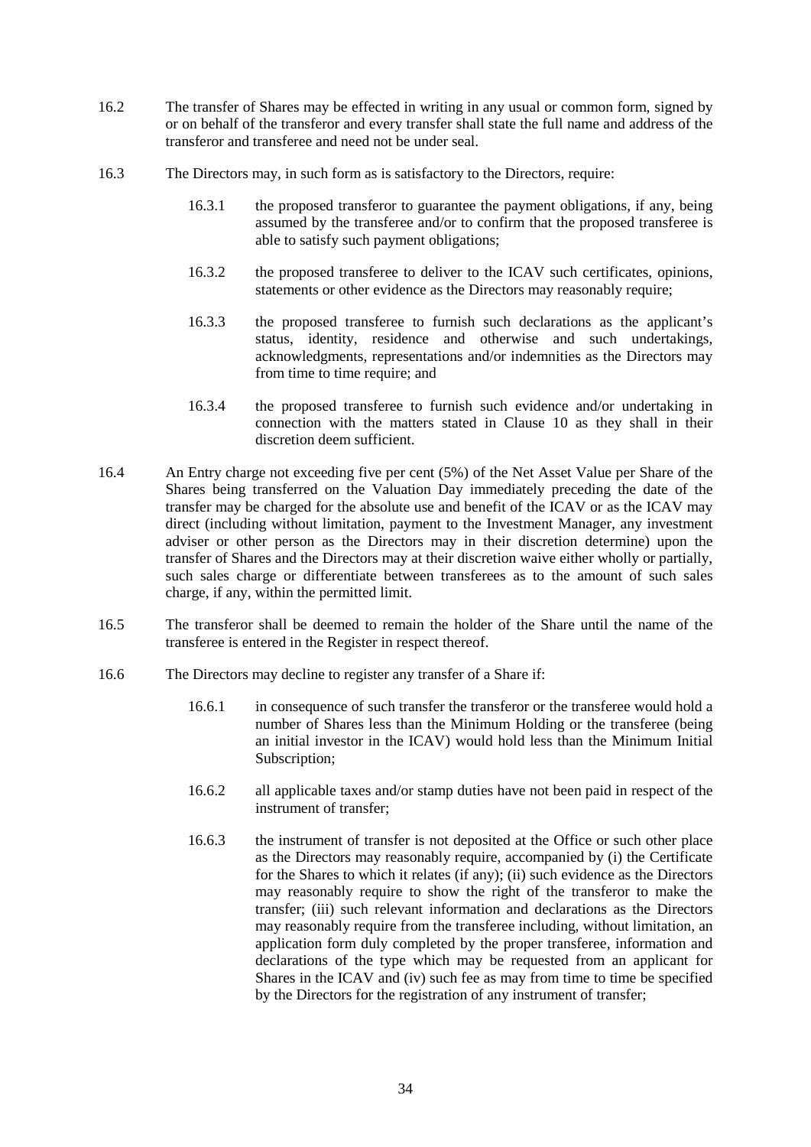- 16.2 The transfer of Shares may be effected in writing in any usual or common form, signed by or on behalf of the transferor and every transfer shall state the full name and address of the transferor and transferee and need not be under seal.
- 16.3 The Directors may, in such form as is satisfactory to the Directors, require:
	- 16.3.1 the proposed transferor to guarantee the payment obligations, if any, being assumed by the transferee and/or to confirm that the proposed transferee is able to satisfy such payment obligations;
	- 16.3.2 the proposed transferee to deliver to the ICAV such certificates, opinions, statements or other evidence as the Directors may reasonably require;
	- 16.3.3 the proposed transferee to furnish such declarations as the applicant's status, identity, residence and otherwise and such undertakings, acknowledgments, representations and/or indemnities as the Directors may from time to time require; and
	- 16.3.4 the proposed transferee to furnish such evidence and/or undertaking in connection with the matters stated in Clause 10 as they shall in their discretion deem sufficient.
- 16.4 An Entry charge not exceeding five per cent (5%) of the Net Asset Value per Share of the Shares being transferred on the Valuation Day immediately preceding the date of the transfer may be charged for the absolute use and benefit of the ICAV or as the ICAV may direct (including without limitation, payment to the Investment Manager, any investment adviser or other person as the Directors may in their discretion determine) upon the transfer of Shares and the Directors may at their discretion waive either wholly or partially, such sales charge or differentiate between transferees as to the amount of such sales charge, if any, within the permitted limit.
- 16.5 The transferor shall be deemed to remain the holder of the Share until the name of the transferee is entered in the Register in respect thereof.
- 16.6 The Directors may decline to register any transfer of a Share if:
	- 16.6.1 in consequence of such transfer the transferor or the transferee would hold a number of Shares less than the Minimum Holding or the transferee (being an initial investor in the ICAV) would hold less than the Minimum Initial Subscription;
	- 16.6.2 all applicable taxes and/or stamp duties have not been paid in respect of the instrument of transfer;
	- 16.6.3 the instrument of transfer is not deposited at the Office or such other place as the Directors may reasonably require, accompanied by (i) the Certificate for the Shares to which it relates (if any); (ii) such evidence as the Directors may reasonably require to show the right of the transferor to make the transfer; (iii) such relevant information and declarations as the Directors may reasonably require from the transferee including, without limitation, an application form duly completed by the proper transferee, information and declarations of the type which may be requested from an applicant for Shares in the ICAV and (iv) such fee as may from time to time be specified by the Directors for the registration of any instrument of transfer;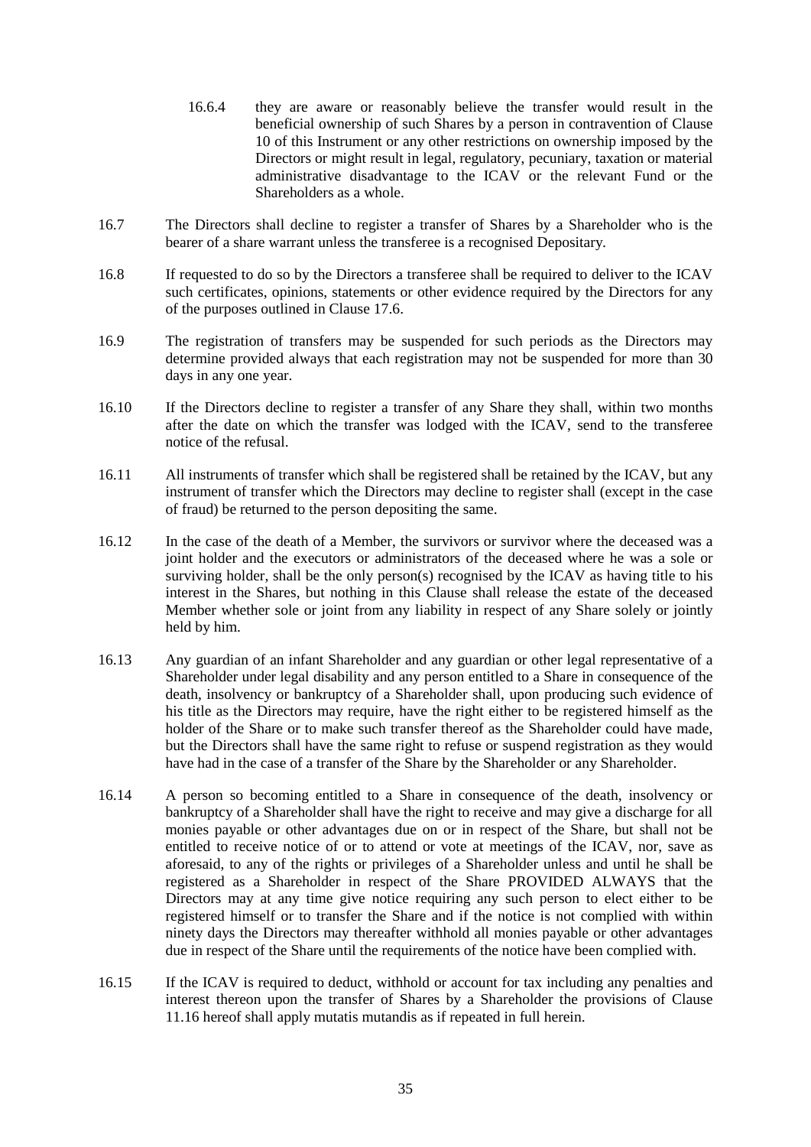- 16.6.4 they are aware or reasonably believe the transfer would result in the beneficial ownership of such Shares by a person in contravention of Clause 10 of this Instrument or any other restrictions on ownership imposed by the Directors or might result in legal, regulatory, pecuniary, taxation or material administrative disadvantage to the ICAV or the relevant Fund or the Shareholders as a whole.
- 16.7 The Directors shall decline to register a transfer of Shares by a Shareholder who is the bearer of a share warrant unless the transferee is a recognised Depositary*.*
- 16.8 If requested to do so by the Directors a transferee shall be required to deliver to the ICAV such certificates, opinions, statements or other evidence required by the Directors for any of the purposes outlined in Clause 17.6.
- 16.9 The registration of transfers may be suspended for such periods as the Directors may determine provided always that each registration may not be suspended for more than 30 days in any one year.
- 16.10 If the Directors decline to register a transfer of any Share they shall, within two months after the date on which the transfer was lodged with the ICAV, send to the transferee notice of the refusal.
- 16.11 All instruments of transfer which shall be registered shall be retained by the ICAV, but any instrument of transfer which the Directors may decline to register shall (except in the case of fraud) be returned to the person depositing the same.
- 16.12 In the case of the death of a Member, the survivors or survivor where the deceased was a joint holder and the executors or administrators of the deceased where he was a sole or surviving holder, shall be the only person(s) recognised by the ICAV as having title to his interest in the Shares, but nothing in this Clause shall release the estate of the deceased Member whether sole or joint from any liability in respect of any Share solely or jointly held by him.
- 16.13 Any guardian of an infant Shareholder and any guardian or other legal representative of a Shareholder under legal disability and any person entitled to a Share in consequence of the death, insolvency or bankruptcy of a Shareholder shall, upon producing such evidence of his title as the Directors may require, have the right either to be registered himself as the holder of the Share or to make such transfer thereof as the Shareholder could have made, but the Directors shall have the same right to refuse or suspend registration as they would have had in the case of a transfer of the Share by the Shareholder or any Shareholder.
- 16.14 A person so becoming entitled to a Share in consequence of the death, insolvency or bankruptcy of a Shareholder shall have the right to receive and may give a discharge for all monies payable or other advantages due on or in respect of the Share, but shall not be entitled to receive notice of or to attend or vote at meetings of the ICAV, nor, save as aforesaid, to any of the rights or privileges of a Shareholder unless and until he shall be registered as a Shareholder in respect of the Share PROVIDED ALWAYS that the Directors may at any time give notice requiring any such person to elect either to be registered himself or to transfer the Share and if the notice is not complied with within ninety days the Directors may thereafter withhold all monies payable or other advantages due in respect of the Share until the requirements of the notice have been complied with.
- 16.15 If the ICAV is required to deduct, withhold or account for tax including any penalties and interest thereon upon the transfer of Shares by a Shareholder the provisions of Clause 11.16 hereof shall apply mutatis mutandis as if repeated in full herein.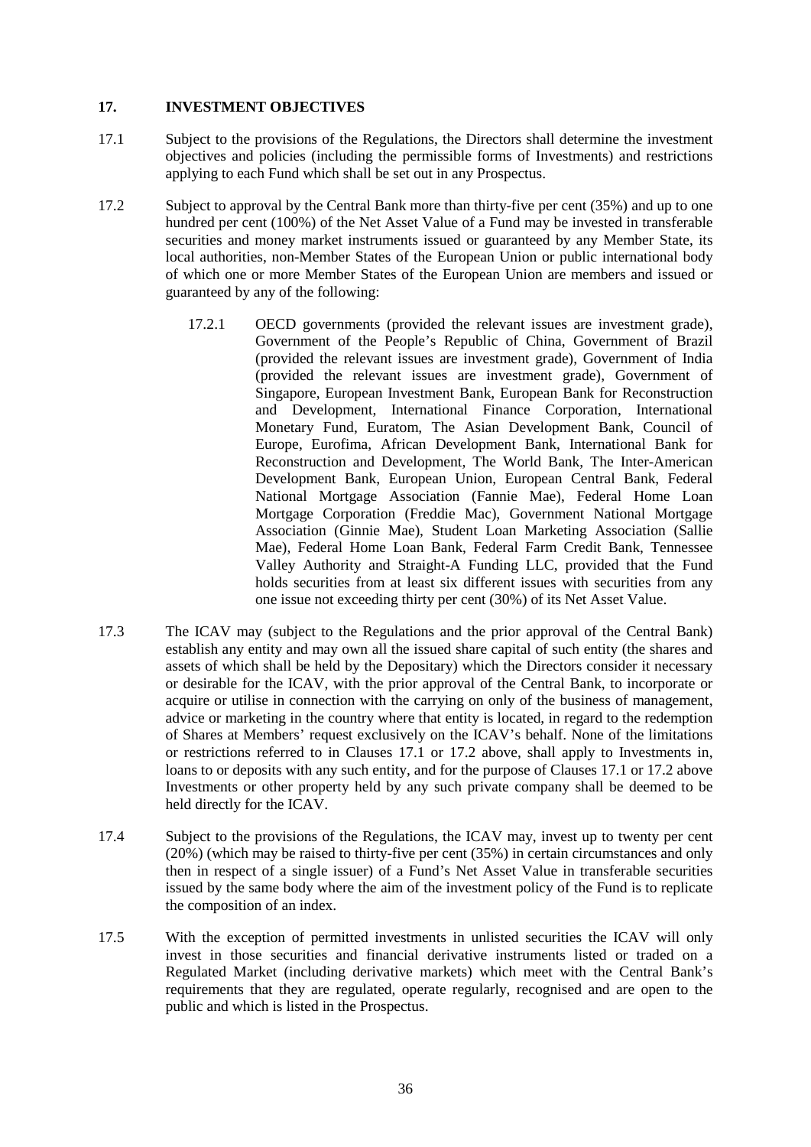### **17. INVESTMENT OBJECTIVES**

- 17.1 Subject to the provisions of the Regulations, the Directors shall determine the investment objectives and policies (including the permissible forms of Investments) and restrictions applying to each Fund which shall be set out in any Prospectus.
- 17.2 Subject to approval by the Central Bank more than thirty-five per cent (35%) and up to one hundred per cent (100%) of the Net Asset Value of a Fund may be invested in transferable securities and money market instruments issued or guaranteed by any Member State, its local authorities, non-Member States of the European Union or public international body of which one or more Member States of the European Union are members and issued or guaranteed by any of the following:
	- 17.2.1 OECD governments (provided the relevant issues are investment grade), Government of the People's Republic of China, Government of Brazil (provided the relevant issues are investment grade), Government of India (provided the relevant issues are investment grade), Government of Singapore, European Investment Bank, European Bank for Reconstruction and Development, International Finance Corporation, International Monetary Fund, Euratom, The Asian Development Bank, Council of Europe, Eurofima, African Development Bank, International Bank for Reconstruction and Development, The World Bank, The Inter-American Development Bank, European Union, European Central Bank, Federal National Mortgage Association (Fannie Mae), Federal Home Loan Mortgage Corporation (Freddie Mac), Government National Mortgage Association (Ginnie Mae), Student Loan Marketing Association (Sallie Mae), Federal Home Loan Bank, Federal Farm Credit Bank, Tennessee Valley Authority and Straight-A Funding LLC, provided that the Fund holds securities from at least six different issues with securities from any one issue not exceeding thirty per cent (30%) of its Net Asset Value.
- 17.3 The ICAV may (subject to the Regulations and the prior approval of the Central Bank) establish any entity and may own all the issued share capital of such entity (the shares and assets of which shall be held by the Depositary) which the Directors consider it necessary or desirable for the ICAV, with the prior approval of the Central Bank, to incorporate or acquire or utilise in connection with the carrying on only of the business of management, advice or marketing in the country where that entity is located, in regard to the redemption of Shares at Members' request exclusively on the ICAV's behalf. None of the limitations or restrictions referred to in Clauses 17.1 or 17.2 above, shall apply to Investments in, loans to or deposits with any such entity, and for the purpose of Clauses 17.1 or 17.2 above Investments or other property held by any such private company shall be deemed to be held directly for the ICAV.
- 17.4 Subject to the provisions of the Regulations, the ICAV may, invest up to twenty per cent (20%) (which may be raised to thirty-five per cent (35%) in certain circumstances and only then in respect of a single issuer) of a Fund's Net Asset Value in transferable securities issued by the same body where the aim of the investment policy of the Fund is to replicate the composition of an index.
- 17.5 With the exception of permitted investments in unlisted securities the ICAV will only invest in those securities and financial derivative instruments listed or traded on a Regulated Market (including derivative markets) which meet with the Central Bank's requirements that they are regulated, operate regularly, recognised and are open to the public and which is listed in the Prospectus.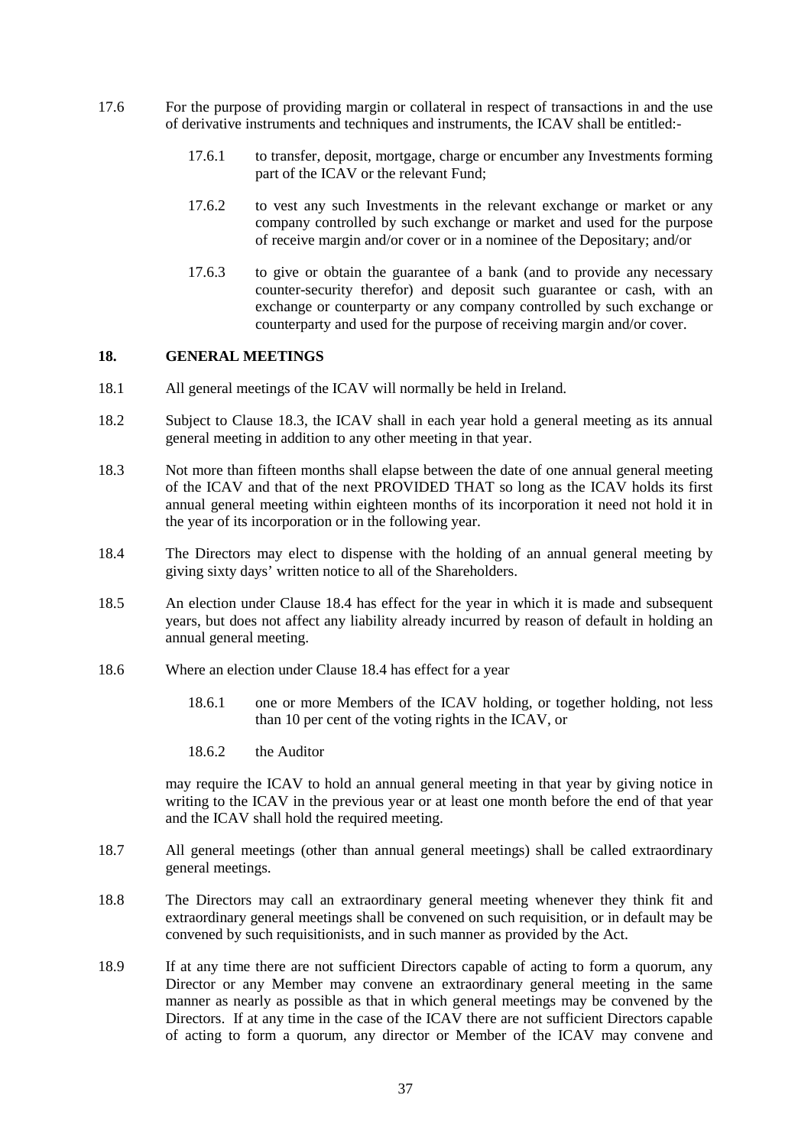- 17.6 For the purpose of providing margin or collateral in respect of transactions in and the use of derivative instruments and techniques and instruments, the ICAV shall be entitled:-
	- 17.6.1 to transfer, deposit, mortgage, charge or encumber any Investments forming part of the ICAV or the relevant Fund;
	- 17.6.2 to vest any such Investments in the relevant exchange or market or any company controlled by such exchange or market and used for the purpose of receive margin and/or cover or in a nominee of the Depositary; and/or
	- 17.6.3 to give or obtain the guarantee of a bank (and to provide any necessary counter-security therefor) and deposit such guarantee or cash, with an exchange or counterparty or any company controlled by such exchange or counterparty and used for the purpose of receiving margin and/or cover.

#### **18. GENERAL MEETINGS**

- 18.1 All general meetings of the ICAV will normally be held in Ireland.
- 18.2 Subject to Clause 18.3, the ICAV shall in each year hold a general meeting as its annual general meeting in addition to any other meeting in that year.
- 18.3 Not more than fifteen months shall elapse between the date of one annual general meeting of the ICAV and that of the next PROVIDED THAT so long as the ICAV holds its first annual general meeting within eighteen months of its incorporation it need not hold it in the year of its incorporation or in the following year.
- 18.4 The Directors may elect to dispense with the holding of an annual general meeting by giving sixty days' written notice to all of the Shareholders.
- 18.5 An election under Clause 18.4 has effect for the year in which it is made and subsequent years, but does not affect any liability already incurred by reason of default in holding an annual general meeting.
- 18.6 Where an election under Clause 18.4 has effect for a year
	- 18.6.1 one or more Members of the ICAV holding, or together holding, not less than 10 per cent of the voting rights in the ICAV, or
	- 18.6.2 the Auditor

may require the ICAV to hold an annual general meeting in that year by giving notice in writing to the ICAV in the previous year or at least one month before the end of that year and the ICAV shall hold the required meeting.

- 18.7 All general meetings (other than annual general meetings) shall be called extraordinary general meetings.
- 18.8 The Directors may call an extraordinary general meeting whenever they think fit and extraordinary general meetings shall be convened on such requisition, or in default may be convened by such requisitionists, and in such manner as provided by the Act.
- 18.9 If at any time there are not sufficient Directors capable of acting to form a quorum, any Director or any Member may convene an extraordinary general meeting in the same manner as nearly as possible as that in which general meetings may be convened by the Directors. If at any time in the case of the ICAV there are not sufficient Directors capable of acting to form a quorum, any director or Member of the ICAV may convene and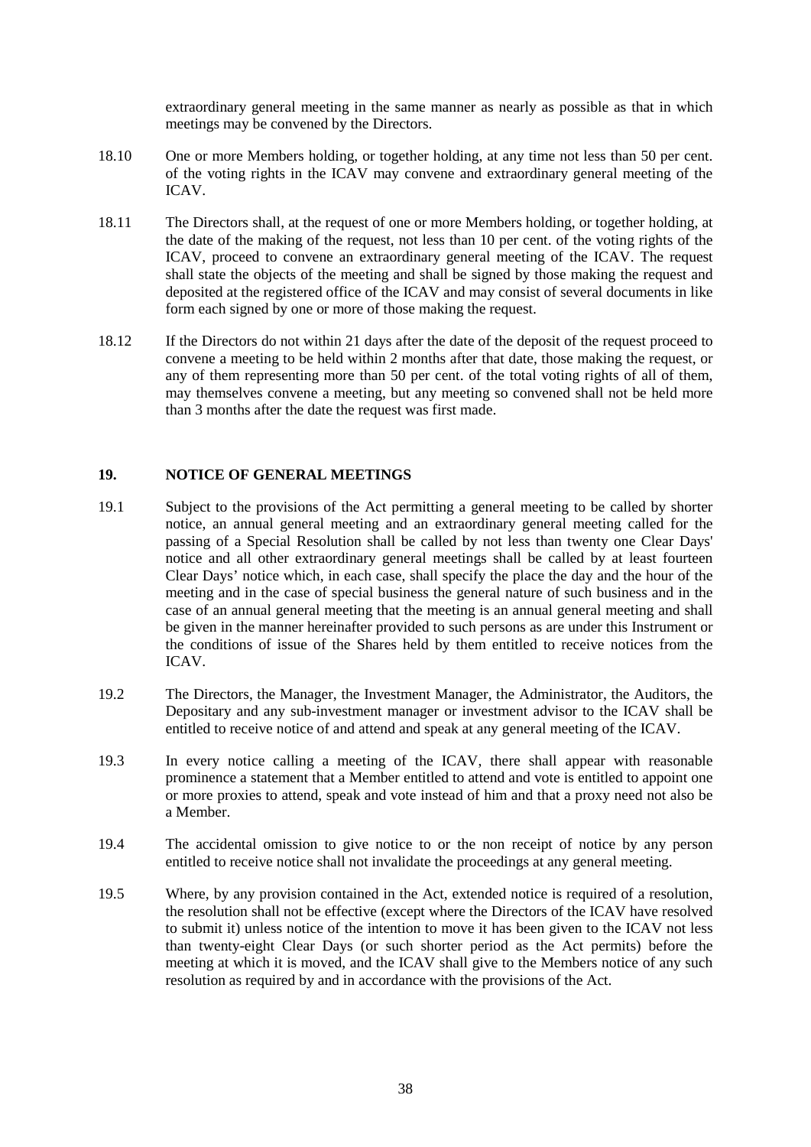extraordinary general meeting in the same manner as nearly as possible as that in which meetings may be convened by the Directors.

- 18.10 One or more Members holding, or together holding, at any time not less than 50 per cent. of the voting rights in the ICAV may convene and extraordinary general meeting of the ICAV.
- 18.11 The Directors shall, at the request of one or more Members holding, or together holding, at the date of the making of the request, not less than 10 per cent. of the voting rights of the ICAV, proceed to convene an extraordinary general meeting of the ICAV. The request shall state the objects of the meeting and shall be signed by those making the request and deposited at the registered office of the ICAV and may consist of several documents in like form each signed by one or more of those making the request.
- 18.12 If the Directors do not within 21 days after the date of the deposit of the request proceed to convene a meeting to be held within 2 months after that date, those making the request, or any of them representing more than 50 per cent. of the total voting rights of all of them, may themselves convene a meeting, but any meeting so convened shall not be held more than 3 months after the date the request was first made.

### **19. NOTICE OF GENERAL MEETINGS**

- 19.1 Subject to the provisions of the Act permitting a general meeting to be called by shorter notice, an annual general meeting and an extraordinary general meeting called for the passing of a Special Resolution shall be called by not less than twenty one Clear Days' notice and all other extraordinary general meetings shall be called by at least fourteen Clear Days' notice which, in each case, shall specify the place the day and the hour of the meeting and in the case of special business the general nature of such business and in the case of an annual general meeting that the meeting is an annual general meeting and shall be given in the manner hereinafter provided to such persons as are under this Instrument or the conditions of issue of the Shares held by them entitled to receive notices from the ICAV.
- 19.2 The Directors, the Manager, the Investment Manager, the Administrator, the Auditors, the Depositary and any sub-investment manager or investment advisor to the ICAV shall be entitled to receive notice of and attend and speak at any general meeting of the ICAV.
- 19.3 In every notice calling a meeting of the ICAV, there shall appear with reasonable prominence a statement that a Member entitled to attend and vote is entitled to appoint one or more proxies to attend, speak and vote instead of him and that a proxy need not also be a Member.
- 19.4 The accidental omission to give notice to or the non receipt of notice by any person entitled to receive notice shall not invalidate the proceedings at any general meeting.
- 19.5 Where, by any provision contained in the Act, extended notice is required of a resolution, the resolution shall not be effective (except where the Directors of the ICAV have resolved to submit it) unless notice of the intention to move it has been given to the ICAV not less than twenty-eight Clear Days (or such shorter period as the Act permits) before the meeting at which it is moved, and the ICAV shall give to the Members notice of any such resolution as required by and in accordance with the provisions of the Act.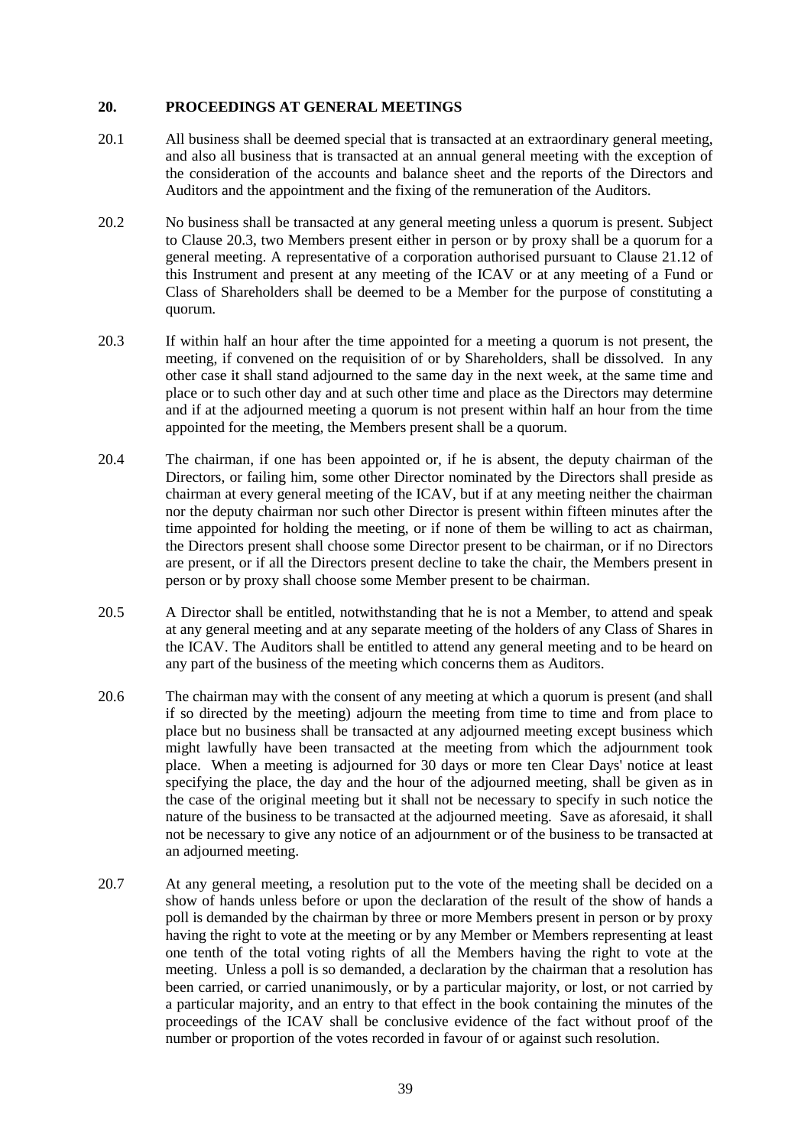#### **20. PROCEEDINGS AT GENERAL MEETINGS**

- 20.1 All business shall be deemed special that is transacted at an extraordinary general meeting, and also all business that is transacted at an annual general meeting with the exception of the consideration of the accounts and balance sheet and the reports of the Directors and Auditors and the appointment and the fixing of the remuneration of the Auditors.
- 20.2 No business shall be transacted at any general meeting unless a quorum is present. Subject to Clause 20.3, two Members present either in person or by proxy shall be a quorum for a general meeting. A representative of a corporation authorised pursuant to Clause 21.12 of this Instrument and present at any meeting of the ICAV or at any meeting of a Fund or Class of Shareholders shall be deemed to be a Member for the purpose of constituting a quorum.
- 20.3 If within half an hour after the time appointed for a meeting a quorum is not present, the meeting, if convened on the requisition of or by Shareholders, shall be dissolved. In any other case it shall stand adjourned to the same day in the next week, at the same time and place or to such other day and at such other time and place as the Directors may determine and if at the adjourned meeting a quorum is not present within half an hour from the time appointed for the meeting, the Members present shall be a quorum.
- 20.4 The chairman, if one has been appointed or, if he is absent, the deputy chairman of the Directors, or failing him, some other Director nominated by the Directors shall preside as chairman at every general meeting of the ICAV, but if at any meeting neither the chairman nor the deputy chairman nor such other Director is present within fifteen minutes after the time appointed for holding the meeting, or if none of them be willing to act as chairman, the Directors present shall choose some Director present to be chairman, or if no Directors are present, or if all the Directors present decline to take the chair, the Members present in person or by proxy shall choose some Member present to be chairman.
- 20.5 A Director shall be entitled, notwithstanding that he is not a Member, to attend and speak at any general meeting and at any separate meeting of the holders of any Class of Shares in the ICAV. The Auditors shall be entitled to attend any general meeting and to be heard on any part of the business of the meeting which concerns them as Auditors.
- 20.6 The chairman may with the consent of any meeting at which a quorum is present (and shall if so directed by the meeting) adjourn the meeting from time to time and from place to place but no business shall be transacted at any adjourned meeting except business which might lawfully have been transacted at the meeting from which the adjournment took place. When a meeting is adjourned for 30 days or more ten Clear Days' notice at least specifying the place, the day and the hour of the adjourned meeting, shall be given as in the case of the original meeting but it shall not be necessary to specify in such notice the nature of the business to be transacted at the adjourned meeting. Save as aforesaid, it shall not be necessary to give any notice of an adjournment or of the business to be transacted at an adjourned meeting.
- 20.7 At any general meeting, a resolution put to the vote of the meeting shall be decided on a show of hands unless before or upon the declaration of the result of the show of hands a poll is demanded by the chairman by three or more Members present in person or by proxy having the right to vote at the meeting or by any Member or Members representing at least one tenth of the total voting rights of all the Members having the right to vote at the meeting. Unless a poll is so demanded, a declaration by the chairman that a resolution has been carried, or carried unanimously, or by a particular majority, or lost, or not carried by a particular majority, and an entry to that effect in the book containing the minutes of the proceedings of the ICAV shall be conclusive evidence of the fact without proof of the number or proportion of the votes recorded in favour of or against such resolution.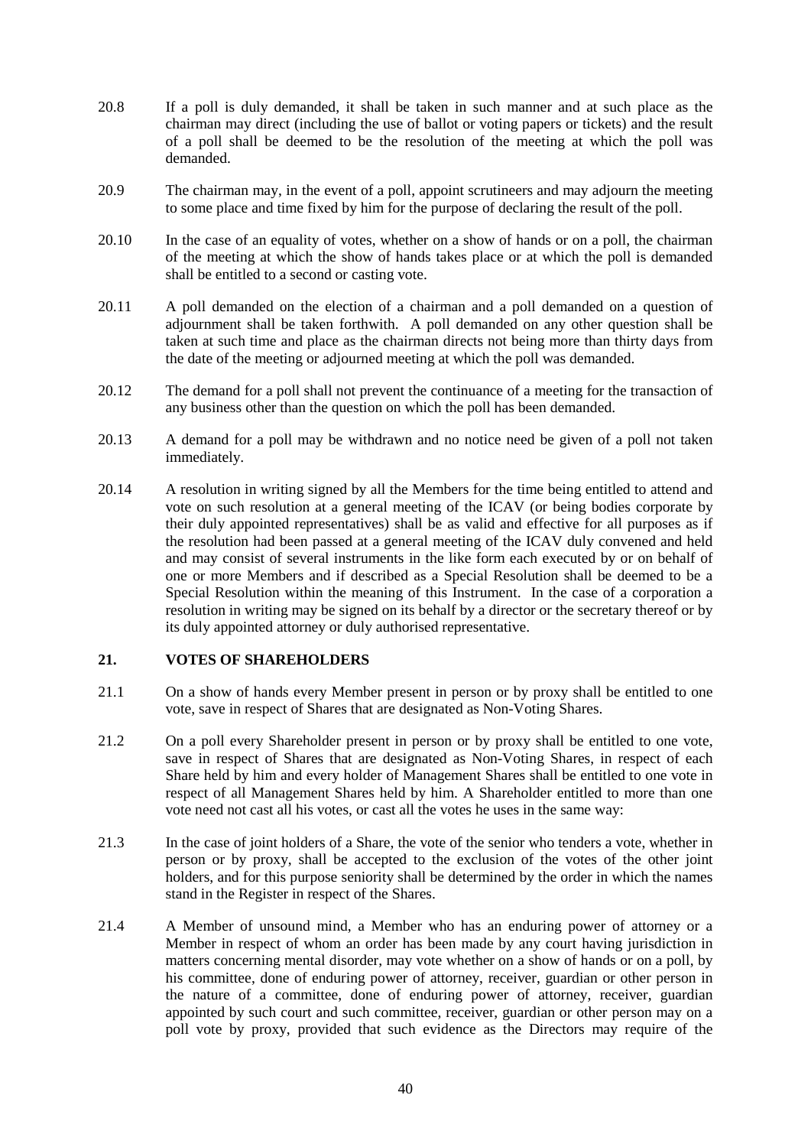- 20.8 If a poll is duly demanded, it shall be taken in such manner and at such place as the chairman may direct (including the use of ballot or voting papers or tickets) and the result of a poll shall be deemed to be the resolution of the meeting at which the poll was demanded.
- 20.9 The chairman may, in the event of a poll, appoint scrutineers and may adjourn the meeting to some place and time fixed by him for the purpose of declaring the result of the poll.
- 20.10 In the case of an equality of votes, whether on a show of hands or on a poll, the chairman of the meeting at which the show of hands takes place or at which the poll is demanded shall be entitled to a second or casting vote.
- 20.11 A poll demanded on the election of a chairman and a poll demanded on a question of adjournment shall be taken forthwith. A poll demanded on any other question shall be taken at such time and place as the chairman directs not being more than thirty days from the date of the meeting or adjourned meeting at which the poll was demanded.
- 20.12 The demand for a poll shall not prevent the continuance of a meeting for the transaction of any business other than the question on which the poll has been demanded.
- 20.13 A demand for a poll may be withdrawn and no notice need be given of a poll not taken immediately.
- 20.14 A resolution in writing signed by all the Members for the time being entitled to attend and vote on such resolution at a general meeting of the ICAV (or being bodies corporate by their duly appointed representatives) shall be as valid and effective for all purposes as if the resolution had been passed at a general meeting of the ICAV duly convened and held and may consist of several instruments in the like form each executed by or on behalf of one or more Members and if described as a Special Resolution shall be deemed to be a Special Resolution within the meaning of this Instrument. In the case of a corporation a resolution in writing may be signed on its behalf by a director or the secretary thereof or by its duly appointed attorney or duly authorised representative.

### **21. VOTES OF SHAREHOLDERS**

- 21.1 On a show of hands every Member present in person or by proxy shall be entitled to one vote, save in respect of Shares that are designated as Non-Voting Shares.
- 21.2 On a poll every Shareholder present in person or by proxy shall be entitled to one vote, save in respect of Shares that are designated as Non-Voting Shares, in respect of each Share held by him and every holder of Management Shares shall be entitled to one vote in respect of all Management Shares held by him. A Shareholder entitled to more than one vote need not cast all his votes, or cast all the votes he uses in the same way:
- 21.3 In the case of joint holders of a Share, the vote of the senior who tenders a vote, whether in person or by proxy, shall be accepted to the exclusion of the votes of the other joint holders, and for this purpose seniority shall be determined by the order in which the names stand in the Register in respect of the Shares.
- 21.4 A Member of unsound mind, a Member who has an enduring power of attorney or a Member in respect of whom an order has been made by any court having jurisdiction in matters concerning mental disorder, may vote whether on a show of hands or on a poll, by his committee, done of enduring power of attorney, receiver, guardian or other person in the nature of a committee, done of enduring power of attorney, receiver, guardian appointed by such court and such committee, receiver, guardian or other person may on a poll vote by proxy, provided that such evidence as the Directors may require of the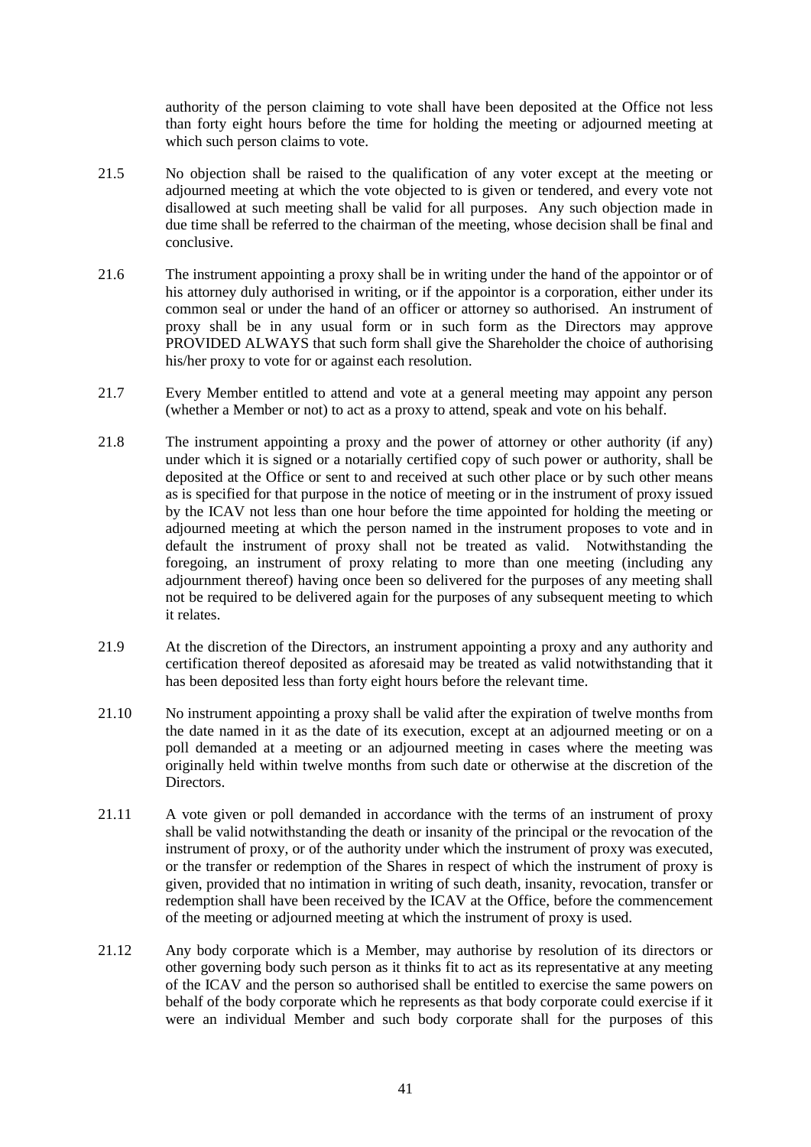authority of the person claiming to vote shall have been deposited at the Office not less than forty eight hours before the time for holding the meeting or adjourned meeting at which such person claims to vote.

- 21.5 No objection shall be raised to the qualification of any voter except at the meeting or adjourned meeting at which the vote objected to is given or tendered, and every vote not disallowed at such meeting shall be valid for all purposes. Any such objection made in due time shall be referred to the chairman of the meeting, whose decision shall be final and conclusive.
- 21.6 The instrument appointing a proxy shall be in writing under the hand of the appointor or of his attorney duly authorised in writing, or if the appointor is a corporation, either under its common seal or under the hand of an officer or attorney so authorised. An instrument of proxy shall be in any usual form or in such form as the Directors may approve PROVIDED ALWAYS that such form shall give the Shareholder the choice of authorising his/her proxy to vote for or against each resolution.
- 21.7 Every Member entitled to attend and vote at a general meeting may appoint any person (whether a Member or not) to act as a proxy to attend, speak and vote on his behalf.
- 21.8 The instrument appointing a proxy and the power of attorney or other authority (if any) under which it is signed or a notarially certified copy of such power or authority, shall be deposited at the Office or sent to and received at such other place or by such other means as is specified for that purpose in the notice of meeting or in the instrument of proxy issued by the ICAV not less than one hour before the time appointed for holding the meeting or adjourned meeting at which the person named in the instrument proposes to vote and in default the instrument of proxy shall not be treated as valid. Notwithstanding the foregoing, an instrument of proxy relating to more than one meeting (including any adjournment thereof) having once been so delivered for the purposes of any meeting shall not be required to be delivered again for the purposes of any subsequent meeting to which it relates.
- 21.9 At the discretion of the Directors, an instrument appointing a proxy and any authority and certification thereof deposited as aforesaid may be treated as valid notwithstanding that it has been deposited less than forty eight hours before the relevant time.
- 21.10 No instrument appointing a proxy shall be valid after the expiration of twelve months from the date named in it as the date of its execution, except at an adjourned meeting or on a poll demanded at a meeting or an adjourned meeting in cases where the meeting was originally held within twelve months from such date or otherwise at the discretion of the Directors.
- 21.11 A vote given or poll demanded in accordance with the terms of an instrument of proxy shall be valid notwithstanding the death or insanity of the principal or the revocation of the instrument of proxy, or of the authority under which the instrument of proxy was executed, or the transfer or redemption of the Shares in respect of which the instrument of proxy is given, provided that no intimation in writing of such death, insanity, revocation, transfer or redemption shall have been received by the ICAV at the Office, before the commencement of the meeting or adjourned meeting at which the instrument of proxy is used.
- 21.12 Any body corporate which is a Member, may authorise by resolution of its directors or other governing body such person as it thinks fit to act as its representative at any meeting of the ICAV and the person so authorised shall be entitled to exercise the same powers on behalf of the body corporate which he represents as that body corporate could exercise if it were an individual Member and such body corporate shall for the purposes of this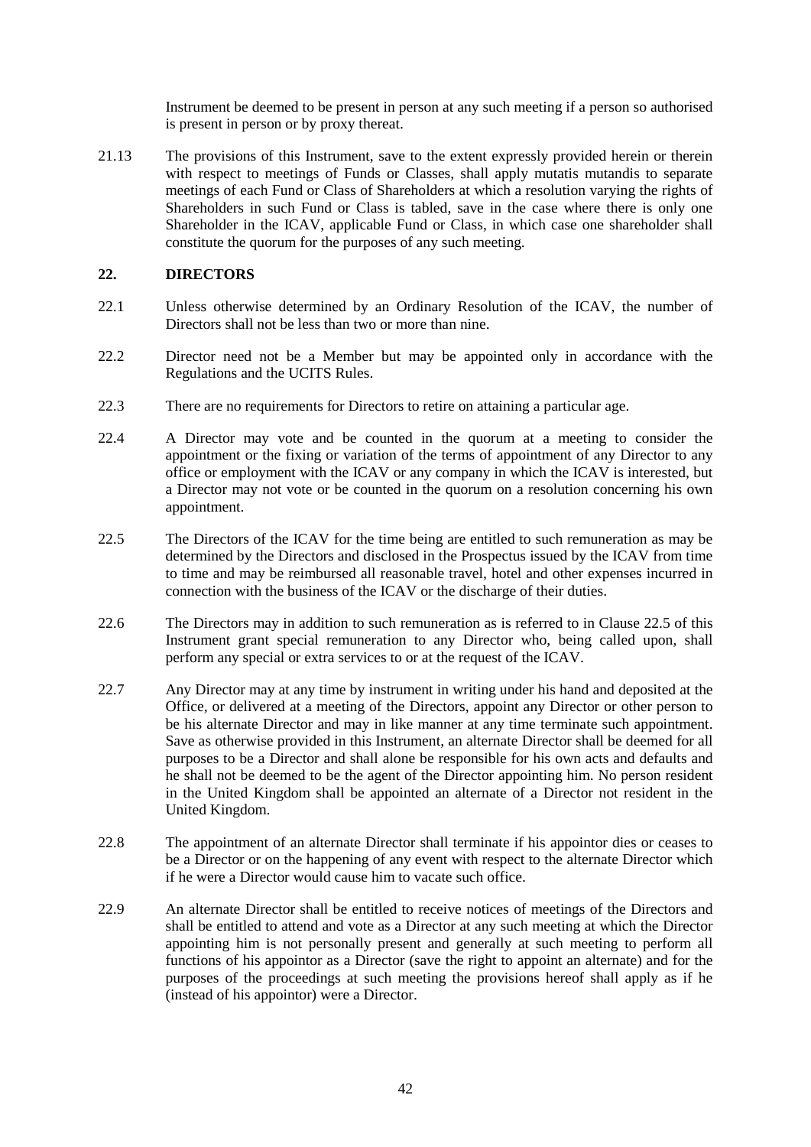Instrument be deemed to be present in person at any such meeting if a person so authorised is present in person or by proxy thereat.

21.13 The provisions of this Instrument, save to the extent expressly provided herein or therein with respect to meetings of Funds or Classes, shall apply mutatis mutandis to separate meetings of each Fund or Class of Shareholders at which a resolution varying the rights of Shareholders in such Fund or Class is tabled, save in the case where there is only one Shareholder in the ICAV, applicable Fund or Class, in which case one shareholder shall constitute the quorum for the purposes of any such meeting.

### **22. DIRECTORS**

- 22.1 Unless otherwise determined by an Ordinary Resolution of the ICAV, the number of Directors shall not be less than two or more than nine.
- 22.2 Director need not be a Member but may be appointed only in accordance with the Regulations and the UCITS Rules.
- 22.3 There are no requirements for Directors to retire on attaining a particular age.
- 22.4 A Director may vote and be counted in the quorum at a meeting to consider the appointment or the fixing or variation of the terms of appointment of any Director to any office or employment with the ICAV or any company in which the ICAV is interested, but a Director may not vote or be counted in the quorum on a resolution concerning his own appointment.
- 22.5 The Directors of the ICAV for the time being are entitled to such remuneration as may be determined by the Directors and disclosed in the Prospectus issued by the ICAV from time to time and may be reimbursed all reasonable travel, hotel and other expenses incurred in connection with the business of the ICAV or the discharge of their duties.
- 22.6 The Directors may in addition to such remuneration as is referred to in Clause 22.5 of this Instrument grant special remuneration to any Director who, being called upon, shall perform any special or extra services to or at the request of the ICAV.
- 22.7 Any Director may at any time by instrument in writing under his hand and deposited at the Office, or delivered at a meeting of the Directors, appoint any Director or other person to be his alternate Director and may in like manner at any time terminate such appointment. Save as otherwise provided in this Instrument, an alternate Director shall be deemed for all purposes to be a Director and shall alone be responsible for his own acts and defaults and he shall not be deemed to be the agent of the Director appointing him. No person resident in the United Kingdom shall be appointed an alternate of a Director not resident in the United Kingdom.
- 22.8 The appointment of an alternate Director shall terminate if his appointor dies or ceases to be a Director or on the happening of any event with respect to the alternate Director which if he were a Director would cause him to vacate such office.
- 22.9 An alternate Director shall be entitled to receive notices of meetings of the Directors and shall be entitled to attend and vote as a Director at any such meeting at which the Director appointing him is not personally present and generally at such meeting to perform all functions of his appointor as a Director (save the right to appoint an alternate) and for the purposes of the proceedings at such meeting the provisions hereof shall apply as if he (instead of his appointor) were a Director.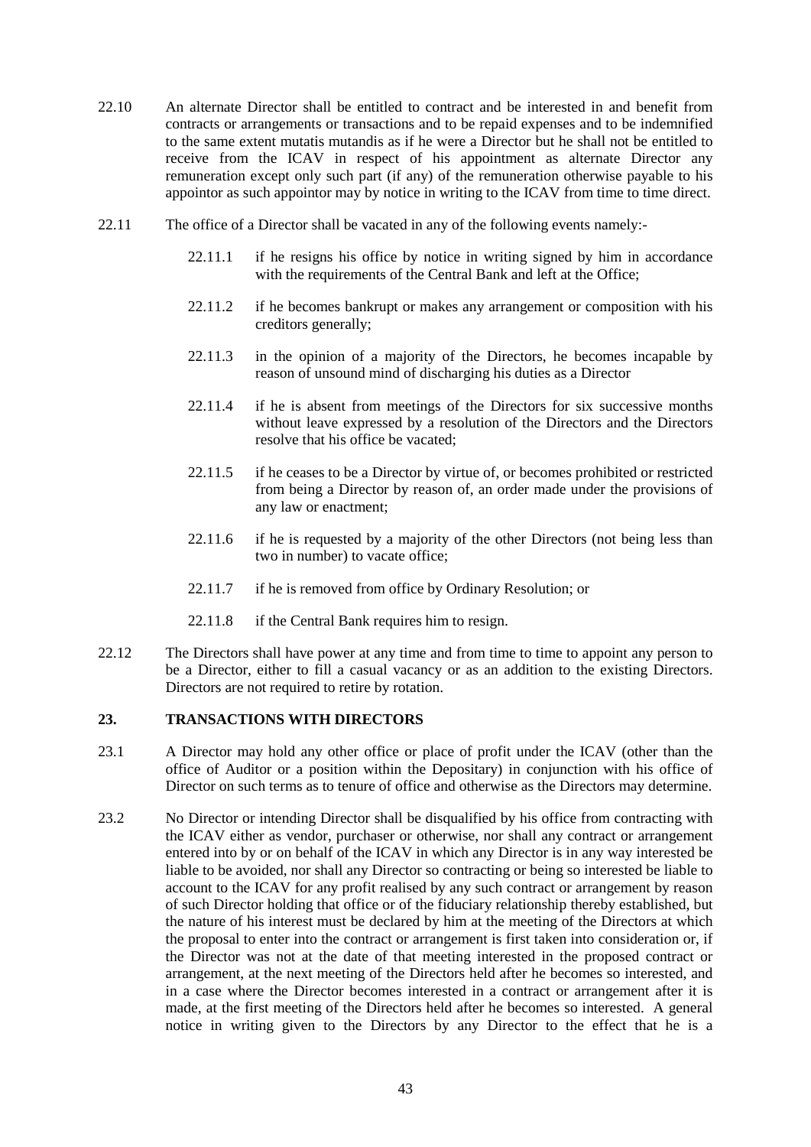- 22.10 An alternate Director shall be entitled to contract and be interested in and benefit from contracts or arrangements or transactions and to be repaid expenses and to be indemnified to the same extent mutatis mutandis as if he were a Director but he shall not be entitled to receive from the ICAV in respect of his appointment as alternate Director any remuneration except only such part (if any) of the remuneration otherwise payable to his appointor as such appointor may by notice in writing to the ICAV from time to time direct.
- 22.11 The office of a Director shall be vacated in any of the following events namely:-
	- 22.11.1 if he resigns his office by notice in writing signed by him in accordance with the requirements of the Central Bank and left at the Office;
	- 22.11.2 if he becomes bankrupt or makes any arrangement or composition with his creditors generally;
	- 22.11.3 in the opinion of a majority of the Directors, he becomes incapable by reason of unsound mind of discharging his duties as a Director
	- 22.11.4 if he is absent from meetings of the Directors for six successive months without leave expressed by a resolution of the Directors and the Directors resolve that his office be vacated;
	- 22.11.5 if he ceases to be a Director by virtue of, or becomes prohibited or restricted from being a Director by reason of, an order made under the provisions of any law or enactment;
	- 22.11.6 if he is requested by a majority of the other Directors (not being less than two in number) to vacate office;
	- 22.11.7 if he is removed from office by Ordinary Resolution; or
	- 22.11.8 if the Central Bank requires him to resign.
- 22.12 The Directors shall have power at any time and from time to time to appoint any person to be a Director, either to fill a casual vacancy or as an addition to the existing Directors. Directors are not required to retire by rotation.

### **23. TRANSACTIONS WITH DIRECTORS**

- 23.1 A Director may hold any other office or place of profit under the ICAV (other than the office of Auditor or a position within the Depositary) in conjunction with his office of Director on such terms as to tenure of office and otherwise as the Directors may determine.
- 23.2 No Director or intending Director shall be disqualified by his office from contracting with the ICAV either as vendor, purchaser or otherwise, nor shall any contract or arrangement entered into by or on behalf of the ICAV in which any Director is in any way interested be liable to be avoided, nor shall any Director so contracting or being so interested be liable to account to the ICAV for any profit realised by any such contract or arrangement by reason of such Director holding that office or of the fiduciary relationship thereby established, but the nature of his interest must be declared by him at the meeting of the Directors at which the proposal to enter into the contract or arrangement is first taken into consideration or, if the Director was not at the date of that meeting interested in the proposed contract or arrangement, at the next meeting of the Directors held after he becomes so interested, and in a case where the Director becomes interested in a contract or arrangement after it is made, at the first meeting of the Directors held after he becomes so interested. A general notice in writing given to the Directors by any Director to the effect that he is a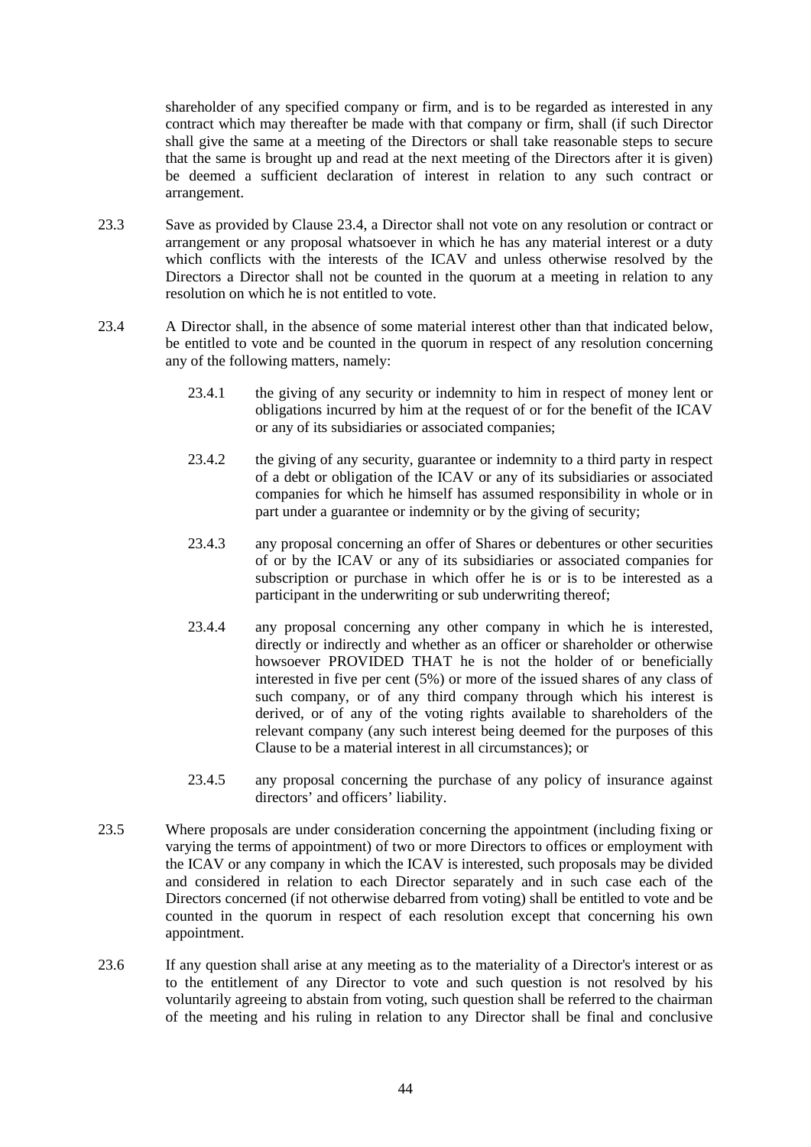shareholder of any specified company or firm, and is to be regarded as interested in any contract which may thereafter be made with that company or firm, shall (if such Director shall give the same at a meeting of the Directors or shall take reasonable steps to secure that the same is brought up and read at the next meeting of the Directors after it is given) be deemed a sufficient declaration of interest in relation to any such contract or arrangement.

- 23.3 Save as provided by Clause 23.4, a Director shall not vote on any resolution or contract or arrangement or any proposal whatsoever in which he has any material interest or a duty which conflicts with the interests of the ICAV and unless otherwise resolved by the Directors a Director shall not be counted in the quorum at a meeting in relation to any resolution on which he is not entitled to vote.
- 23.4 A Director shall, in the absence of some material interest other than that indicated below, be entitled to vote and be counted in the quorum in respect of any resolution concerning any of the following matters, namely:
	- 23.4.1 the giving of any security or indemnity to him in respect of money lent or obligations incurred by him at the request of or for the benefit of the ICAV or any of its subsidiaries or associated companies;
	- 23.4.2 the giving of any security, guarantee or indemnity to a third party in respect of a debt or obligation of the ICAV or any of its subsidiaries or associated companies for which he himself has assumed responsibility in whole or in part under a guarantee or indemnity or by the giving of security;
	- 23.4.3 any proposal concerning an offer of Shares or debentures or other securities of or by the ICAV or any of its subsidiaries or associated companies for subscription or purchase in which offer he is or is to be interested as a participant in the underwriting or sub underwriting thereof;
	- 23.4.4 any proposal concerning any other company in which he is interested, directly or indirectly and whether as an officer or shareholder or otherwise howsoever PROVIDED THAT he is not the holder of or beneficially interested in five per cent (5%) or more of the issued shares of any class of such company, or of any third company through which his interest is derived, or of any of the voting rights available to shareholders of the relevant company (any such interest being deemed for the purposes of this Clause to be a material interest in all circumstances); or
	- 23.4.5 any proposal concerning the purchase of any policy of insurance against directors' and officers' liability.
- 23.5 Where proposals are under consideration concerning the appointment (including fixing or varying the terms of appointment) of two or more Directors to offices or employment with the ICAV or any company in which the ICAV is interested, such proposals may be divided and considered in relation to each Director separately and in such case each of the Directors concerned (if not otherwise debarred from voting) shall be entitled to vote and be counted in the quorum in respect of each resolution except that concerning his own appointment.
- 23.6 If any question shall arise at any meeting as to the materiality of a Director's interest or as to the entitlement of any Director to vote and such question is not resolved by his voluntarily agreeing to abstain from voting, such question shall be referred to the chairman of the meeting and his ruling in relation to any Director shall be final and conclusive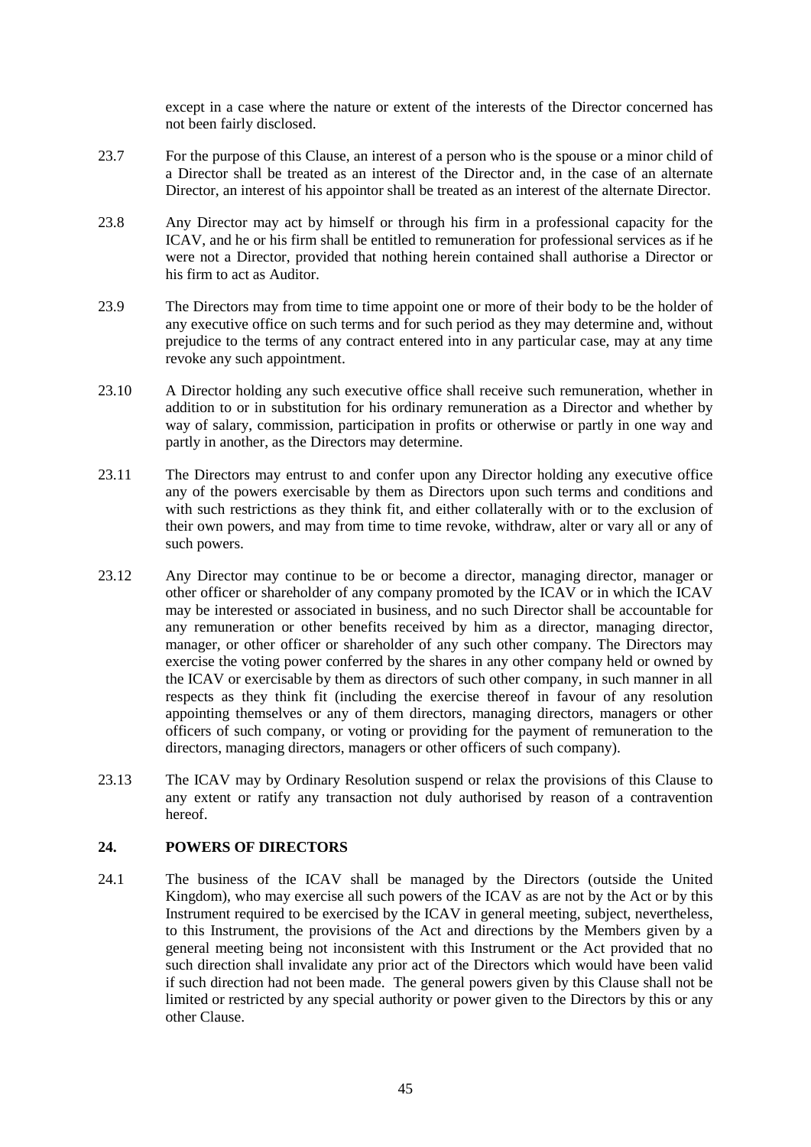except in a case where the nature or extent of the interests of the Director concerned has not been fairly disclosed.

- 23.7 For the purpose of this Clause, an interest of a person who is the spouse or a minor child of a Director shall be treated as an interest of the Director and, in the case of an alternate Director, an interest of his appointor shall be treated as an interest of the alternate Director.
- 23.8 Any Director may act by himself or through his firm in a professional capacity for the ICAV, and he or his firm shall be entitled to remuneration for professional services as if he were not a Director, provided that nothing herein contained shall authorise a Director or his firm to act as Auditor.
- 23.9 The Directors may from time to time appoint one or more of their body to be the holder of any executive office on such terms and for such period as they may determine and, without prejudice to the terms of any contract entered into in any particular case, may at any time revoke any such appointment.
- 23.10 A Director holding any such executive office shall receive such remuneration, whether in addition to or in substitution for his ordinary remuneration as a Director and whether by way of salary, commission, participation in profits or otherwise or partly in one way and partly in another, as the Directors may determine.
- 23.11 The Directors may entrust to and confer upon any Director holding any executive office any of the powers exercisable by them as Directors upon such terms and conditions and with such restrictions as they think fit, and either collaterally with or to the exclusion of their own powers, and may from time to time revoke, withdraw, alter or vary all or any of such powers.
- 23.12 Any Director may continue to be or become a director, managing director, manager or other officer or shareholder of any company promoted by the ICAV or in which the ICAV may be interested or associated in business, and no such Director shall be accountable for any remuneration or other benefits received by him as a director, managing director, manager, or other officer or shareholder of any such other company. The Directors may exercise the voting power conferred by the shares in any other company held or owned by the ICAV or exercisable by them as directors of such other company, in such manner in all respects as they think fit (including the exercise thereof in favour of any resolution appointing themselves or any of them directors, managing directors, managers or other officers of such company, or voting or providing for the payment of remuneration to the directors, managing directors, managers or other officers of such company).
- 23.13 The ICAV may by Ordinary Resolution suspend or relax the provisions of this Clause to any extent or ratify any transaction not duly authorised by reason of a contravention hereof.

## **24. POWERS OF DIRECTORS**

24.1 The business of the ICAV shall be managed by the Directors (outside the United Kingdom), who may exercise all such powers of the ICAV as are not by the Act or by this Instrument required to be exercised by the ICAV in general meeting, subject, nevertheless, to this Instrument, the provisions of the Act and directions by the Members given by a general meeting being not inconsistent with this Instrument or the Act provided that no such direction shall invalidate any prior act of the Directors which would have been valid if such direction had not been made. The general powers given by this Clause shall not be limited or restricted by any special authority or power given to the Directors by this or any other Clause.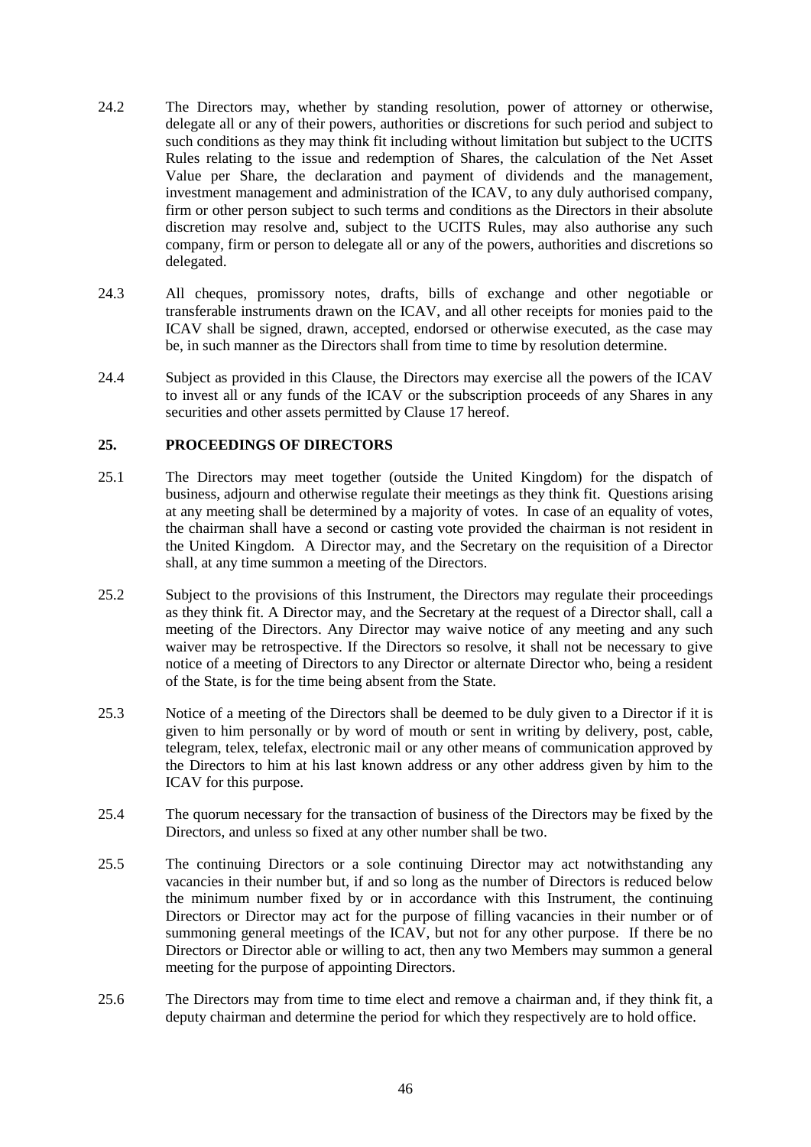- 24.2 The Directors may, whether by standing resolution, power of attorney or otherwise, delegate all or any of their powers, authorities or discretions for such period and subject to such conditions as they may think fit including without limitation but subject to the UCITS Rules relating to the issue and redemption of Shares, the calculation of the Net Asset Value per Share, the declaration and payment of dividends and the management, investment management and administration of the ICAV, to any duly authorised company, firm or other person subject to such terms and conditions as the Directors in their absolute discretion may resolve and, subject to the UCITS Rules, may also authorise any such company, firm or person to delegate all or any of the powers, authorities and discretions so delegated.
- 24.3 All cheques, promissory notes, drafts, bills of exchange and other negotiable or transferable instruments drawn on the ICAV, and all other receipts for monies paid to the ICAV shall be signed, drawn, accepted, endorsed or otherwise executed, as the case may be, in such manner as the Directors shall from time to time by resolution determine.
- 24.4 Subject as provided in this Clause, the Directors may exercise all the powers of the ICAV to invest all or any funds of the ICAV or the subscription proceeds of any Shares in any securities and other assets permitted by Clause 17 hereof.

### **25. PROCEEDINGS OF DIRECTORS**

- 25.1 The Directors may meet together (outside the United Kingdom) for the dispatch of business, adjourn and otherwise regulate their meetings as they think fit. Questions arising at any meeting shall be determined by a majority of votes. In case of an equality of votes, the chairman shall have a second or casting vote provided the chairman is not resident in the United Kingdom. A Director may, and the Secretary on the requisition of a Director shall, at any time summon a meeting of the Directors.
- 25.2 Subject to the provisions of this Instrument, the Directors may regulate their proceedings as they think fit. A Director may, and the Secretary at the request of a Director shall, call a meeting of the Directors. Any Director may waive notice of any meeting and any such waiver may be retrospective. If the Directors so resolve, it shall not be necessary to give notice of a meeting of Directors to any Director or alternate Director who, being a resident of the State, is for the time being absent from the State.
- 25.3 Notice of a meeting of the Directors shall be deemed to be duly given to a Director if it is given to him personally or by word of mouth or sent in writing by delivery, post, cable, telegram, telex, telefax, electronic mail or any other means of communication approved by the Directors to him at his last known address or any other address given by him to the ICAV for this purpose.
- 25.4 The quorum necessary for the transaction of business of the Directors may be fixed by the Directors, and unless so fixed at any other number shall be two.
- 25.5 The continuing Directors or a sole continuing Director may act notwithstanding any vacancies in their number but, if and so long as the number of Directors is reduced below the minimum number fixed by or in accordance with this Instrument, the continuing Directors or Director may act for the purpose of filling vacancies in their number or of summoning general meetings of the  $\overrightarrow{ICAV}$ , but not for any other purpose. If there be no Directors or Director able or willing to act, then any two Members may summon a general meeting for the purpose of appointing Directors.
- 25.6 The Directors may from time to time elect and remove a chairman and, if they think fit, a deputy chairman and determine the period for which they respectively are to hold office.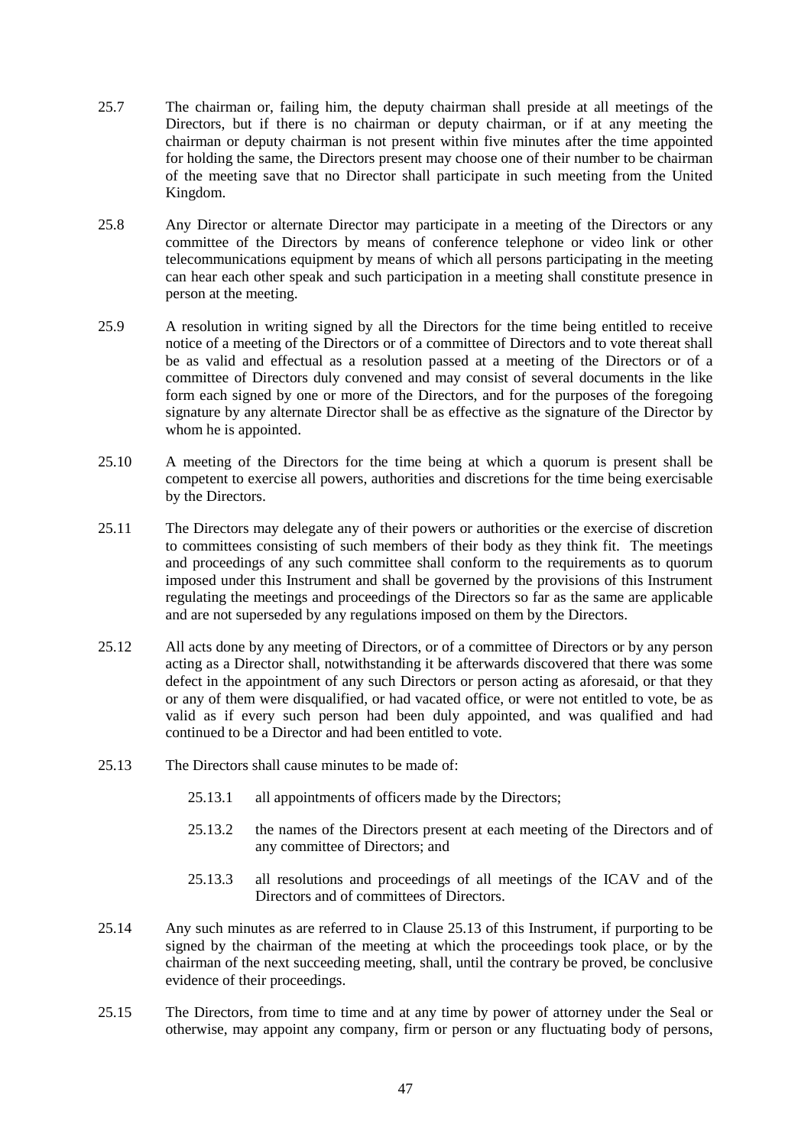- 25.7 The chairman or, failing him, the deputy chairman shall preside at all meetings of the Directors, but if there is no chairman or deputy chairman, or if at any meeting the chairman or deputy chairman is not present within five minutes after the time appointed for holding the same, the Directors present may choose one of their number to be chairman of the meeting save that no Director shall participate in such meeting from the United Kingdom.
- 25.8 Any Director or alternate Director may participate in a meeting of the Directors or any committee of the Directors by means of conference telephone or video link or other telecommunications equipment by means of which all persons participating in the meeting can hear each other speak and such participation in a meeting shall constitute presence in person at the meeting.
- 25.9 A resolution in writing signed by all the Directors for the time being entitled to receive notice of a meeting of the Directors or of a committee of Directors and to vote thereat shall be as valid and effectual as a resolution passed at a meeting of the Directors or of a committee of Directors duly convened and may consist of several documents in the like form each signed by one or more of the Directors, and for the purposes of the foregoing signature by any alternate Director shall be as effective as the signature of the Director by whom he is appointed.
- 25.10 A meeting of the Directors for the time being at which a quorum is present shall be competent to exercise all powers, authorities and discretions for the time being exercisable by the Directors.
- 25.11 The Directors may delegate any of their powers or authorities or the exercise of discretion to committees consisting of such members of their body as they think fit. The meetings and proceedings of any such committee shall conform to the requirements as to quorum imposed under this Instrument and shall be governed by the provisions of this Instrument regulating the meetings and proceedings of the Directors so far as the same are applicable and are not superseded by any regulations imposed on them by the Directors.
- 25.12 All acts done by any meeting of Directors, or of a committee of Directors or by any person acting as a Director shall, notwithstanding it be afterwards discovered that there was some defect in the appointment of any such Directors or person acting as aforesaid, or that they or any of them were disqualified, or had vacated office, or were not entitled to vote, be as valid as if every such person had been duly appointed, and was qualified and had continued to be a Director and had been entitled to vote.
- 25.13 The Directors shall cause minutes to be made of:
	- 25.13.1 all appointments of officers made by the Directors;
	- 25.13.2 the names of the Directors present at each meeting of the Directors and of any committee of Directors; and
	- 25.13.3 all resolutions and proceedings of all meetings of the ICAV and of the Directors and of committees of Directors.
- 25.14 Any such minutes as are referred to in Clause 25.13 of this Instrument, if purporting to be signed by the chairman of the meeting at which the proceedings took place, or by the chairman of the next succeeding meeting, shall, until the contrary be proved, be conclusive evidence of their proceedings.
- 25.15 The Directors, from time to time and at any time by power of attorney under the Seal or otherwise, may appoint any company, firm or person or any fluctuating body of persons,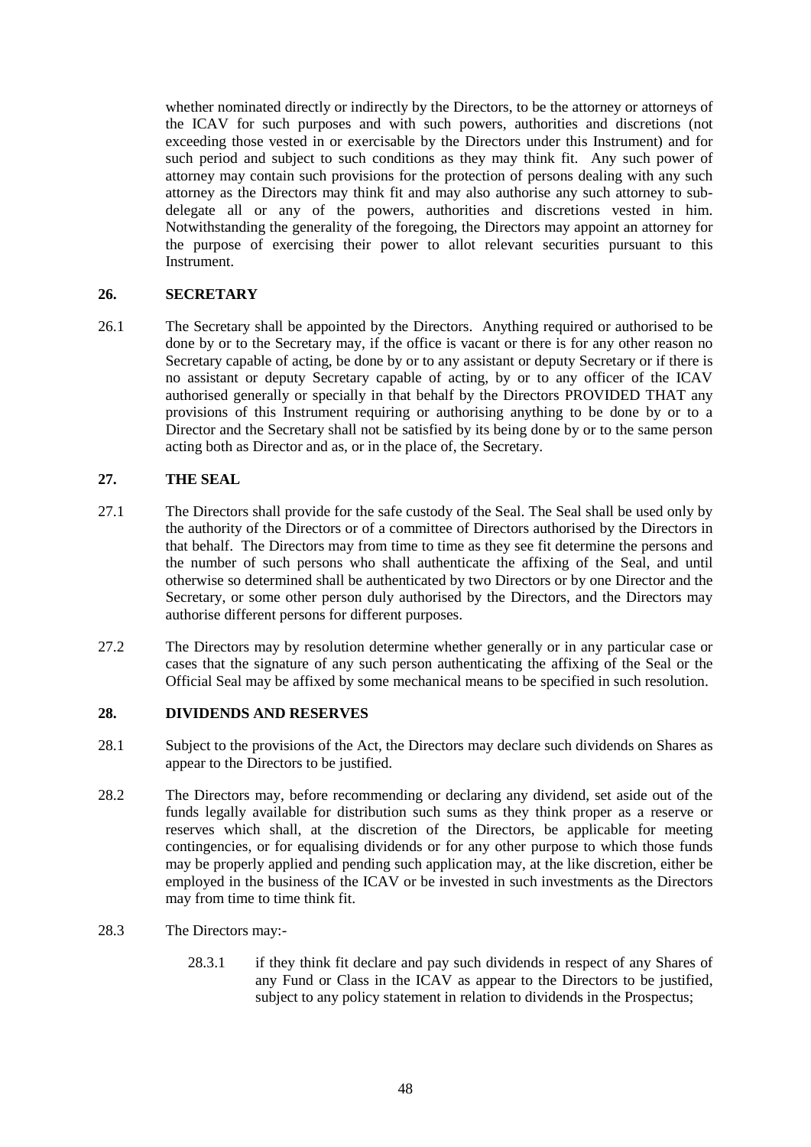whether nominated directly or indirectly by the Directors, to be the attorney or attorneys of the ICAV for such purposes and with such powers, authorities and discretions (not exceeding those vested in or exercisable by the Directors under this Instrument) and for such period and subject to such conditions as they may think fit. Any such power of attorney may contain such provisions for the protection of persons dealing with any such attorney as the Directors may think fit and may also authorise any such attorney to subdelegate all or any of the powers, authorities and discretions vested in him. Notwithstanding the generality of the foregoing, the Directors may appoint an attorney for the purpose of exercising their power to allot relevant securities pursuant to this Instrument.

### **26. SECRETARY**

26.1 The Secretary shall be appointed by the Directors. Anything required or authorised to be done by or to the Secretary may, if the office is vacant or there is for any other reason no Secretary capable of acting, be done by or to any assistant or deputy Secretary or if there is no assistant or deputy Secretary capable of acting, by or to any officer of the ICAV authorised generally or specially in that behalf by the Directors PROVIDED THAT any provisions of this Instrument requiring or authorising anything to be done by or to a Director and the Secretary shall not be satisfied by its being done by or to the same person acting both as Director and as, or in the place of, the Secretary.

## **27. THE SEAL**

- 27.1 The Directors shall provide for the safe custody of the Seal. The Seal shall be used only by the authority of the Directors or of a committee of Directors authorised by the Directors in that behalf. The Directors may from time to time as they see fit determine the persons and the number of such persons who shall authenticate the affixing of the Seal, and until otherwise so determined shall be authenticated by two Directors or by one Director and the Secretary, or some other person duly authorised by the Directors, and the Directors may authorise different persons for different purposes.
- 27.2 The Directors may by resolution determine whether generally or in any particular case or cases that the signature of any such person authenticating the affixing of the Seal or the Official Seal may be affixed by some mechanical means to be specified in such resolution.

### **28. DIVIDENDS AND RESERVES**

- 28.1 Subject to the provisions of the Act, the Directors may declare such dividends on Shares as appear to the Directors to be justified.
- 28.2 The Directors may, before recommending or declaring any dividend, set aside out of the funds legally available for distribution such sums as they think proper as a reserve or reserves which shall, at the discretion of the Directors, be applicable for meeting contingencies, or for equalising dividends or for any other purpose to which those funds may be properly applied and pending such application may, at the like discretion, either be employed in the business of the ICAV or be invested in such investments as the Directors may from time to time think fit.
- 28.3 The Directors may:-
	- 28.3.1 if they think fit declare and pay such dividends in respect of any Shares of any Fund or Class in the ICAV as appear to the Directors to be justified, subject to any policy statement in relation to dividends in the Prospectus;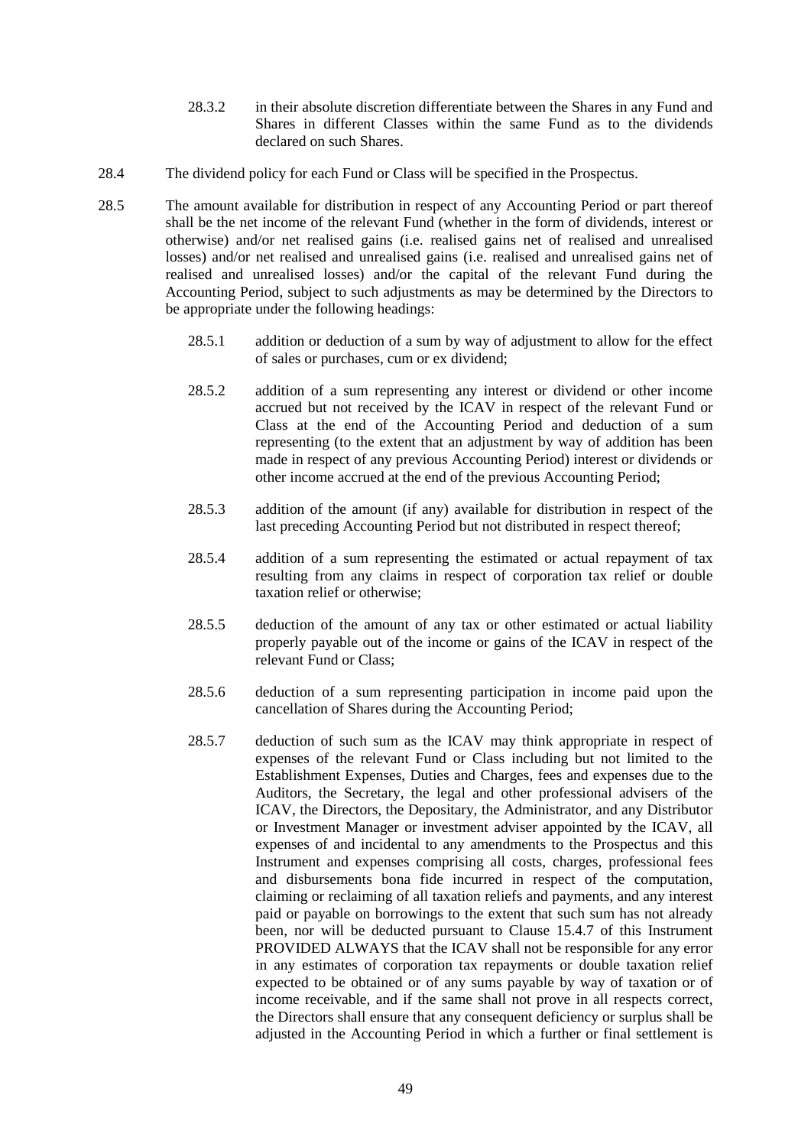- 28.3.2 in their absolute discretion differentiate between the Shares in any Fund and Shares in different Classes within the same Fund as to the dividends declared on such Shares.
- 28.4 The dividend policy for each Fund or Class will be specified in the Prospectus.
- 28.5 The amount available for distribution in respect of any Accounting Period or part thereof shall be the net income of the relevant Fund (whether in the form of dividends, interest or otherwise) and/or net realised gains (i.e. realised gains net of realised and unrealised losses) and/or net realised and unrealised gains (i.e. realised and unrealised gains net of realised and unrealised losses) and/or the capital of the relevant Fund during the Accounting Period, subject to such adjustments as may be determined by the Directors to be appropriate under the following headings:
	- 28.5.1 addition or deduction of a sum by way of adjustment to allow for the effect of sales or purchases, cum or ex dividend;
	- 28.5.2 addition of a sum representing any interest or dividend or other income accrued but not received by the ICAV in respect of the relevant Fund or Class at the end of the Accounting Period and deduction of a sum representing (to the extent that an adjustment by way of addition has been made in respect of any previous Accounting Period) interest or dividends or other income accrued at the end of the previous Accounting Period;
	- 28.5.3 addition of the amount (if any) available for distribution in respect of the last preceding Accounting Period but not distributed in respect thereof;
	- 28.5.4 addition of a sum representing the estimated or actual repayment of tax resulting from any claims in respect of corporation tax relief or double taxation relief or otherwise;
	- 28.5.5 deduction of the amount of any tax or other estimated or actual liability properly payable out of the income or gains of the ICAV in respect of the relevant Fund or Class;
	- 28.5.6 deduction of a sum representing participation in income paid upon the cancellation of Shares during the Accounting Period;
	- 28.5.7 deduction of such sum as the ICAV may think appropriate in respect of expenses of the relevant Fund or Class including but not limited to the Establishment Expenses, Duties and Charges, fees and expenses due to the Auditors, the Secretary, the legal and other professional advisers of the ICAV, the Directors, the Depositary, the Administrator, and any Distributor or Investment Manager or investment adviser appointed by the ICAV, all expenses of and incidental to any amendments to the Prospectus and this Instrument and expenses comprising all costs, charges, professional fees and disbursements bona fide incurred in respect of the computation, claiming or reclaiming of all taxation reliefs and payments, and any interest paid or payable on borrowings to the extent that such sum has not already been, nor will be deducted pursuant to Clause 15.4.7 of this Instrument PROVIDED ALWAYS that the ICAV shall not be responsible for any error in any estimates of corporation tax repayments or double taxation relief expected to be obtained or of any sums payable by way of taxation or of income receivable, and if the same shall not prove in all respects correct, the Directors shall ensure that any consequent deficiency or surplus shall be adjusted in the Accounting Period in which a further or final settlement is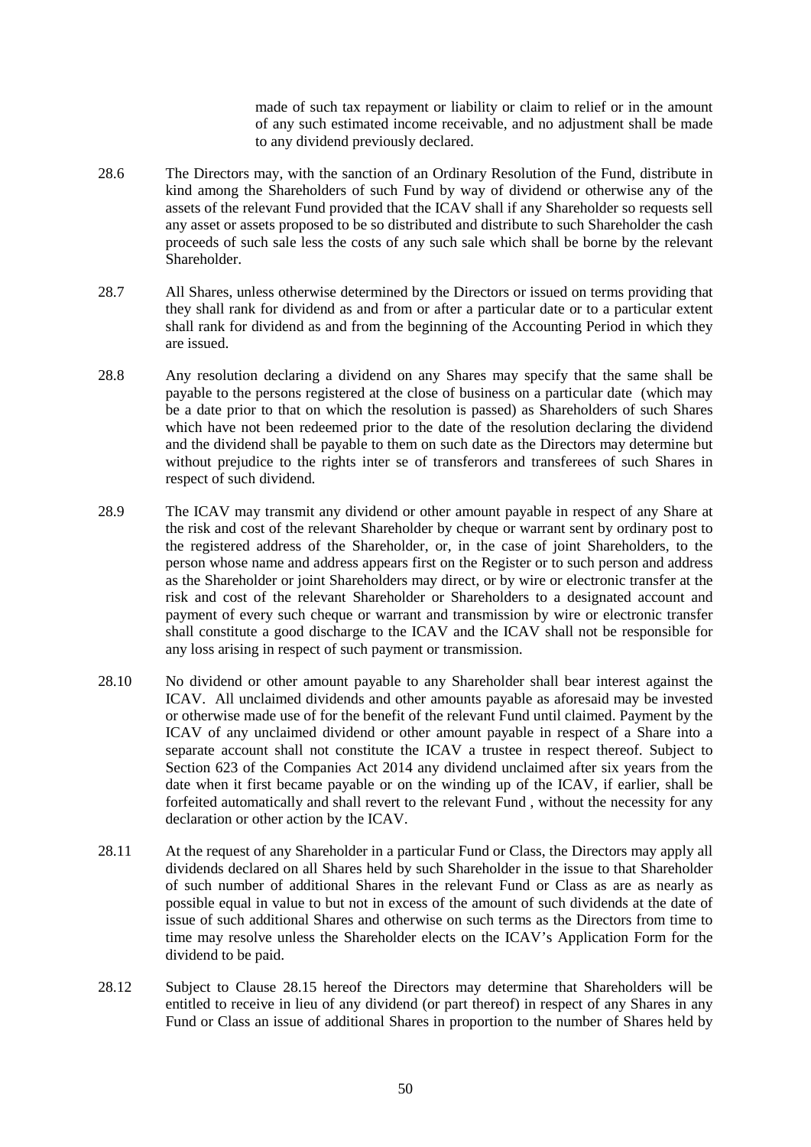made of such tax repayment or liability or claim to relief or in the amount of any such estimated income receivable, and no adjustment shall be made to any dividend previously declared.

- 28.6 The Directors may, with the sanction of an Ordinary Resolution of the Fund, distribute in kind among the Shareholders of such Fund by way of dividend or otherwise any of the assets of the relevant Fund provided that the ICAV shall if any Shareholder so requests sell any asset or assets proposed to be so distributed and distribute to such Shareholder the cash proceeds of such sale less the costs of any such sale which shall be borne by the relevant Shareholder.
- 28.7 All Shares, unless otherwise determined by the Directors or issued on terms providing that they shall rank for dividend as and from or after a particular date or to a particular extent shall rank for dividend as and from the beginning of the Accounting Period in which they are issued.
- 28.8 Any resolution declaring a dividend on any Shares may specify that the same shall be payable to the persons registered at the close of business on a particular date (which may be a date prior to that on which the resolution is passed) as Shareholders of such Shares which have not been redeemed prior to the date of the resolution declaring the dividend and the dividend shall be payable to them on such date as the Directors may determine but without prejudice to the rights inter se of transferors and transferees of such Shares in respect of such dividend.
- 28.9 The ICAV may transmit any dividend or other amount payable in respect of any Share at the risk and cost of the relevant Shareholder by cheque or warrant sent by ordinary post to the registered address of the Shareholder, or, in the case of joint Shareholders, to the person whose name and address appears first on the Register or to such person and address as the Shareholder or joint Shareholders may direct, or by wire or electronic transfer at the risk and cost of the relevant Shareholder or Shareholders to a designated account and payment of every such cheque or warrant and transmission by wire or electronic transfer shall constitute a good discharge to the ICAV and the ICAV shall not be responsible for any loss arising in respect of such payment or transmission.
- 28.10 No dividend or other amount payable to any Shareholder shall bear interest against the ICAV. All unclaimed dividends and other amounts payable as aforesaid may be invested or otherwise made use of for the benefit of the relevant Fund until claimed. Payment by the ICAV of any unclaimed dividend or other amount payable in respect of a Share into a separate account shall not constitute the ICAV a trustee in respect thereof. Subject to Section 623 of the Companies Act 2014 any dividend unclaimed after six years from the date when it first became payable or on the winding up of the ICAV, if earlier, shall be forfeited automatically and shall revert to the relevant Fund , without the necessity for any declaration or other action by the ICAV.
- 28.11 At the request of any Shareholder in a particular Fund or Class, the Directors may apply all dividends declared on all Shares held by such Shareholder in the issue to that Shareholder of such number of additional Shares in the relevant Fund or Class as are as nearly as possible equal in value to but not in excess of the amount of such dividends at the date of issue of such additional Shares and otherwise on such terms as the Directors from time to time may resolve unless the Shareholder elects on the ICAV's Application Form for the dividend to be paid.
- 28.12 Subject to Clause 28.15 hereof the Directors may determine that Shareholders will be entitled to receive in lieu of any dividend (or part thereof) in respect of any Shares in any Fund or Class an issue of additional Shares in proportion to the number of Shares held by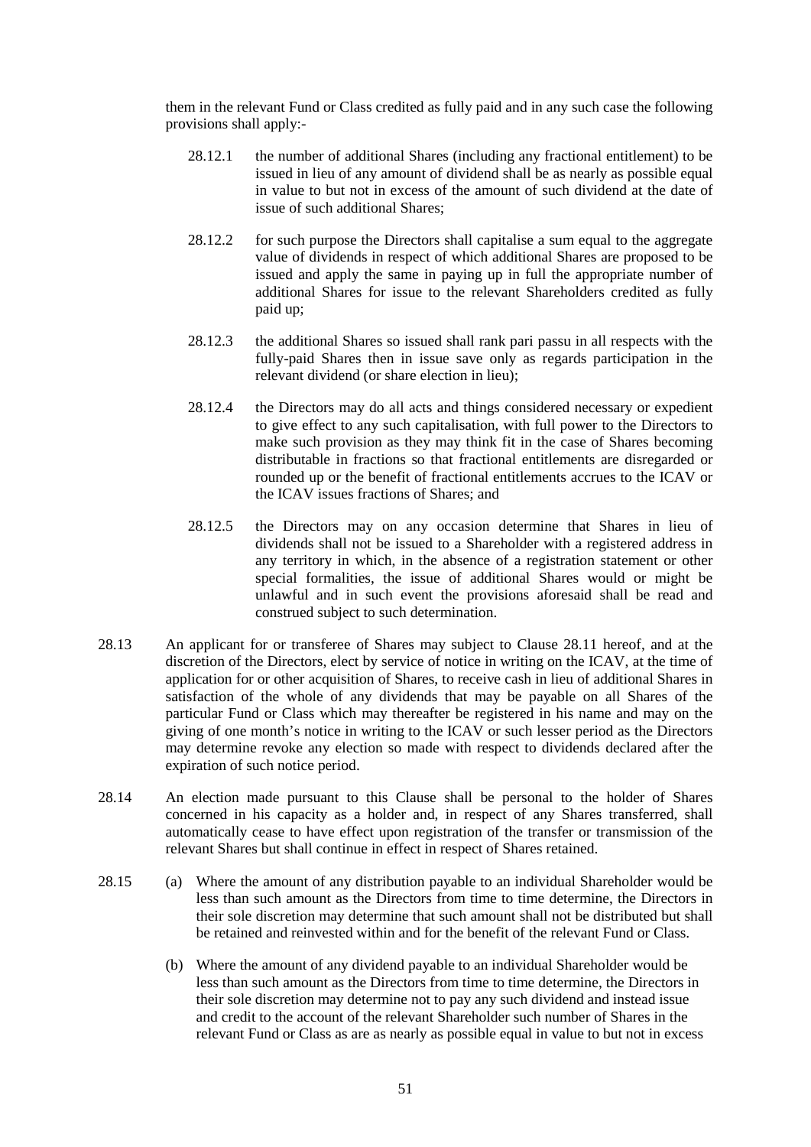them in the relevant Fund or Class credited as fully paid and in any such case the following provisions shall apply:-

- 28.12.1 the number of additional Shares (including any fractional entitlement) to be issued in lieu of any amount of dividend shall be as nearly as possible equal in value to but not in excess of the amount of such dividend at the date of issue of such additional Shares;
- 28.12.2 for such purpose the Directors shall capitalise a sum equal to the aggregate value of dividends in respect of which additional Shares are proposed to be issued and apply the same in paying up in full the appropriate number of additional Shares for issue to the relevant Shareholders credited as fully paid up;
- 28.12.3 the additional Shares so issued shall rank pari passu in all respects with the fully-paid Shares then in issue save only as regards participation in the relevant dividend (or share election in lieu);
- 28.12.4 the Directors may do all acts and things considered necessary or expedient to give effect to any such capitalisation, with full power to the Directors to make such provision as they may think fit in the case of Shares becoming distributable in fractions so that fractional entitlements are disregarded or rounded up or the benefit of fractional entitlements accrues to the ICAV or the ICAV issues fractions of Shares; and
- 28.12.5 the Directors may on any occasion determine that Shares in lieu of dividends shall not be issued to a Shareholder with a registered address in any territory in which, in the absence of a registration statement or other special formalities, the issue of additional Shares would or might be unlawful and in such event the provisions aforesaid shall be read and construed subject to such determination.
- 28.13 An applicant for or transferee of Shares may subject to Clause 28.11 hereof, and at the discretion of the Directors, elect by service of notice in writing on the ICAV, at the time of application for or other acquisition of Shares, to receive cash in lieu of additional Shares in satisfaction of the whole of any dividends that may be payable on all Shares of the particular Fund or Class which may thereafter be registered in his name and may on the giving of one month's notice in writing to the ICAV or such lesser period as the Directors may determine revoke any election so made with respect to dividends declared after the expiration of such notice period.
- 28.14 An election made pursuant to this Clause shall be personal to the holder of Shares concerned in his capacity as a holder and, in respect of any Shares transferred, shall automatically cease to have effect upon registration of the transfer or transmission of the relevant Shares but shall continue in effect in respect of Shares retained.
- 28.15 (a) Where the amount of any distribution payable to an individual Shareholder would be less than such amount as the Directors from time to time determine, the Directors in their sole discretion may determine that such amount shall not be distributed but shall be retained and reinvested within and for the benefit of the relevant Fund or Class.
	- (b) Where the amount of any dividend payable to an individual Shareholder would be less than such amount as the Directors from time to time determine, the Directors in their sole discretion may determine not to pay any such dividend and instead issue and credit to the account of the relevant Shareholder such number of Shares in the relevant Fund or Class as are as nearly as possible equal in value to but not in excess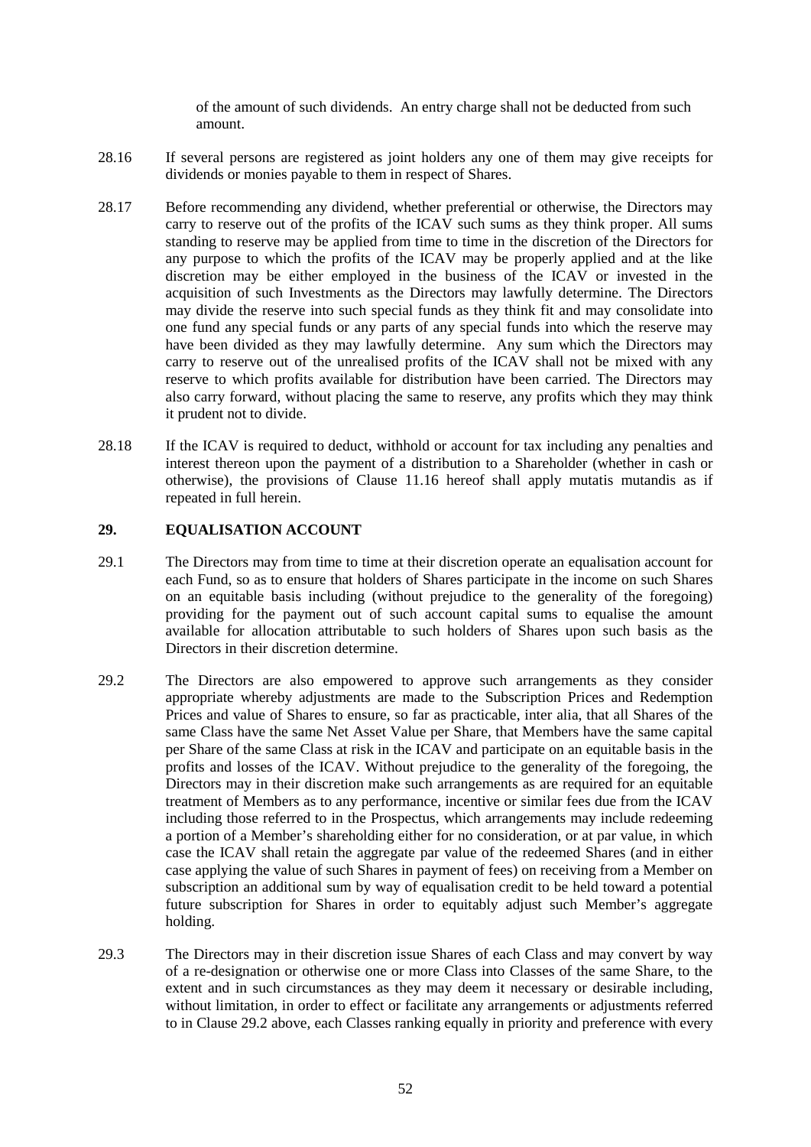of the amount of such dividends. An entry charge shall not be deducted from such amount.

- 28.16 If several persons are registered as joint holders any one of them may give receipts for dividends or monies payable to them in respect of Shares.
- 28.17 Before recommending any dividend, whether preferential or otherwise, the Directors may carry to reserve out of the profits of the ICAV such sums as they think proper. All sums standing to reserve may be applied from time to time in the discretion of the Directors for any purpose to which the profits of the ICAV may be properly applied and at the like discretion may be either employed in the business of the ICAV or invested in the acquisition of such Investments as the Directors may lawfully determine. The Directors may divide the reserve into such special funds as they think fit and may consolidate into one fund any special funds or any parts of any special funds into which the reserve may have been divided as they may lawfully determine. Any sum which the Directors may carry to reserve out of the unrealised profits of the ICAV shall not be mixed with any reserve to which profits available for distribution have been carried. The Directors may also carry forward, without placing the same to reserve, any profits which they may think it prudent not to divide.
- 28.18 If the ICAV is required to deduct, withhold or account for tax including any penalties and interest thereon upon the payment of a distribution to a Shareholder (whether in cash or otherwise), the provisions of Clause 11.16 hereof shall apply mutatis mutandis as if repeated in full herein.

## **29. EQUALISATION ACCOUNT**

- 29.1 The Directors may from time to time at their discretion operate an equalisation account for each Fund, so as to ensure that holders of Shares participate in the income on such Shares on an equitable basis including (without prejudice to the generality of the foregoing) providing for the payment out of such account capital sums to equalise the amount available for allocation attributable to such holders of Shares upon such basis as the Directors in their discretion determine.
- 29.2 The Directors are also empowered to approve such arrangements as they consider appropriate whereby adjustments are made to the Subscription Prices and Redemption Prices and value of Shares to ensure, so far as practicable, inter alia, that all Shares of the same Class have the same Net Asset Value per Share, that Members have the same capital per Share of the same Class at risk in the ICAV and participate on an equitable basis in the profits and losses of the ICAV. Without prejudice to the generality of the foregoing, the Directors may in their discretion make such arrangements as are required for an equitable treatment of Members as to any performance, incentive or similar fees due from the ICAV including those referred to in the Prospectus, which arrangements may include redeeming a portion of a Member's shareholding either for no consideration, or at par value, in which case the ICAV shall retain the aggregate par value of the redeemed Shares (and in either case applying the value of such Shares in payment of fees) on receiving from a Member on subscription an additional sum by way of equalisation credit to be held toward a potential future subscription for Shares in order to equitably adjust such Member's aggregate holding.
- 29.3 The Directors may in their discretion issue Shares of each Class and may convert by way of a re-designation or otherwise one or more Class into Classes of the same Share, to the extent and in such circumstances as they may deem it necessary or desirable including, without limitation, in order to effect or facilitate any arrangements or adjustments referred to in Clause 29.2 above, each Classes ranking equally in priority and preference with every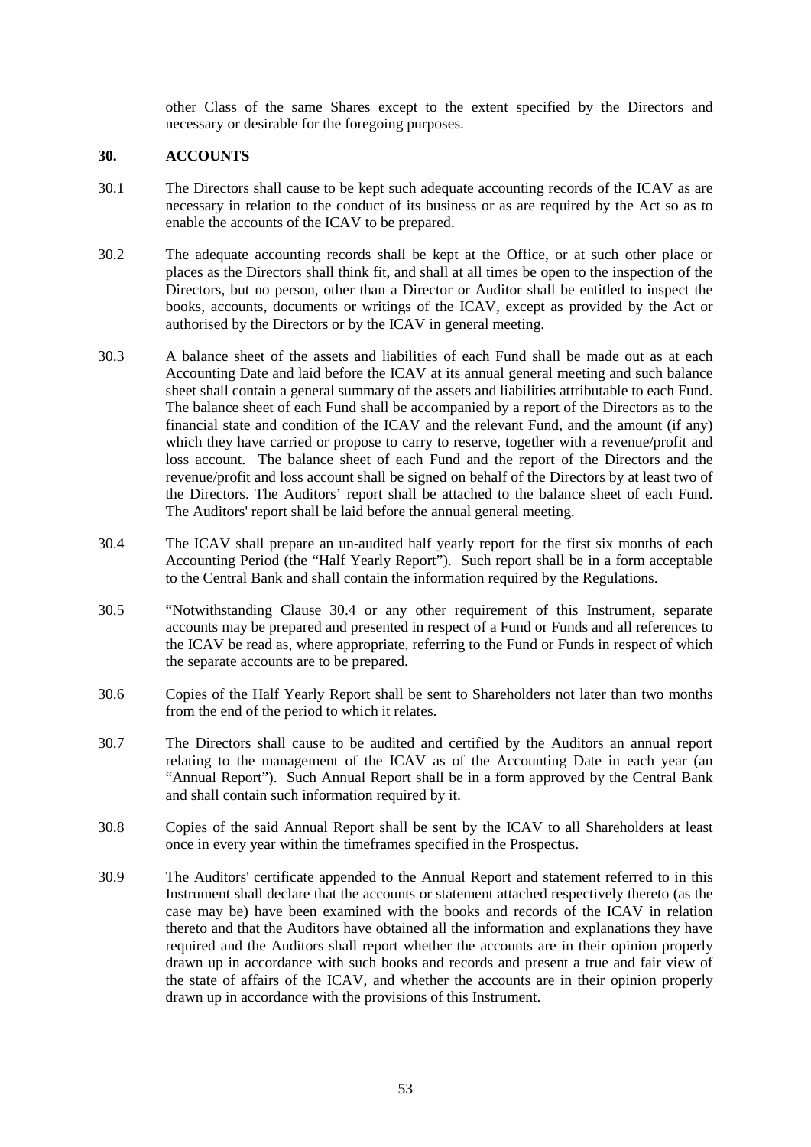other Class of the same Shares except to the extent specified by the Directors and necessary or desirable for the foregoing purposes.

#### **30. ACCOUNTS**

- 30.1 The Directors shall cause to be kept such adequate accounting records of the ICAV as are necessary in relation to the conduct of its business or as are required by the Act so as to enable the accounts of the ICAV to be prepared.
- 30.2 The adequate accounting records shall be kept at the Office, or at such other place or places as the Directors shall think fit, and shall at all times be open to the inspection of the Directors, but no person, other than a Director or Auditor shall be entitled to inspect the books, accounts, documents or writings of the ICAV, except as provided by the Act or authorised by the Directors or by the ICAV in general meeting.
- 30.3 A balance sheet of the assets and liabilities of each Fund shall be made out as at each Accounting Date and laid before the ICAV at its annual general meeting and such balance sheet shall contain a general summary of the assets and liabilities attributable to each Fund. The balance sheet of each Fund shall be accompanied by a report of the Directors as to the financial state and condition of the ICAV and the relevant Fund, and the amount (if any) which they have carried or propose to carry to reserve, together with a revenue/profit and loss account. The balance sheet of each Fund and the report of the Directors and the revenue/profit and loss account shall be signed on behalf of the Directors by at least two of the Directors. The Auditors' report shall be attached to the balance sheet of each Fund. The Auditors' report shall be laid before the annual general meeting.
- 30.4 The ICAV shall prepare an un-audited half yearly report for the first six months of each Accounting Period (the "Half Yearly Report"). Such report shall be in a form acceptable to the Central Bank and shall contain the information required by the Regulations.
- 30.5 "Notwithstanding Clause 30.4 or any other requirement of this Instrument, separate accounts may be prepared and presented in respect of a Fund or Funds and all references to the ICAV be read as, where appropriate, referring to the Fund or Funds in respect of which the separate accounts are to be prepared.
- 30.6 Copies of the Half Yearly Report shall be sent to Shareholders not later than two months from the end of the period to which it relates.
- 30.7 The Directors shall cause to be audited and certified by the Auditors an annual report relating to the management of the ICAV as of the Accounting Date in each year (an "Annual Report"). Such Annual Report shall be in a form approved by the Central Bank and shall contain such information required by it.
- 30.8 Copies of the said Annual Report shall be sent by the ICAV to all Shareholders at least once in every year within the timeframes specified in the Prospectus.
- 30.9 The Auditors' certificate appended to the Annual Report and statement referred to in this Instrument shall declare that the accounts or statement attached respectively thereto (as the case may be) have been examined with the books and records of the ICAV in relation thereto and that the Auditors have obtained all the information and explanations they have required and the Auditors shall report whether the accounts are in their opinion properly drawn up in accordance with such books and records and present a true and fair view of the state of affairs of the ICAV, and whether the accounts are in their opinion properly drawn up in accordance with the provisions of this Instrument.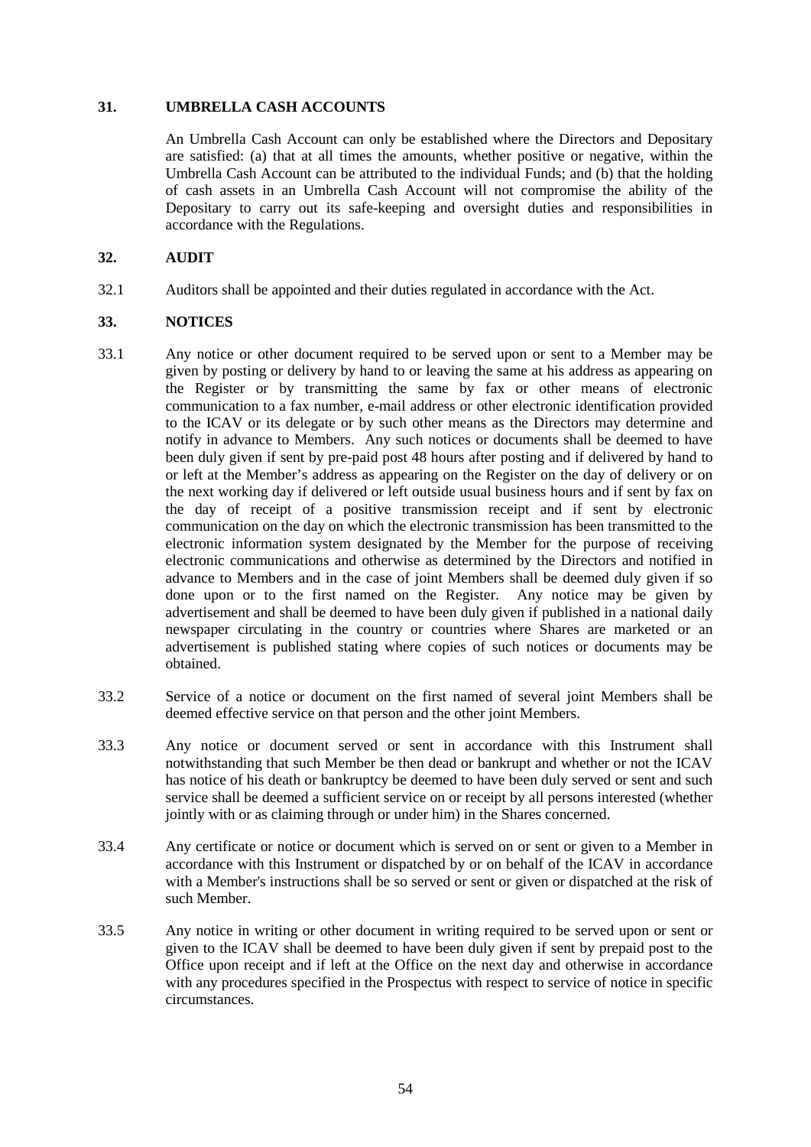#### **31. UMBRELLA CASH ACCOUNTS**

An Umbrella Cash Account can only be established where the Directors and Depositary are satisfied: (a) that at all times the amounts, whether positive or negative, within the Umbrella Cash Account can be attributed to the individual Funds; and (b) that the holding of cash assets in an Umbrella Cash Account will not compromise the ability of the Depositary to carry out its safe-keeping and oversight duties and responsibilities in accordance with the Regulations.

### **32. AUDIT**

32.1 Auditors shall be appointed and their duties regulated in accordance with the Act.

#### **33. NOTICES**

- 33.1 Any notice or other document required to be served upon or sent to a Member may be given by posting or delivery by hand to or leaving the same at his address as appearing on the Register or by transmitting the same by fax or other means of electronic communication to a fax number, e-mail address or other electronic identification provided to the ICAV or its delegate or by such other means as the Directors may determine and notify in advance to Members. Any such notices or documents shall be deemed to have been duly given if sent by pre-paid post 48 hours after posting and if delivered by hand to or left at the Member's address as appearing on the Register on the day of delivery or on the next working day if delivered or left outside usual business hours and if sent by fax on the day of receipt of a positive transmission receipt and if sent by electronic communication on the day on which the electronic transmission has been transmitted to the electronic information system designated by the Member for the purpose of receiving electronic communications and otherwise as determined by the Directors and notified in advance to Members and in the case of joint Members shall be deemed duly given if so done upon or to the first named on the Register. Any notice may be given by advertisement and shall be deemed to have been duly given if published in a national daily newspaper circulating in the country or countries where Shares are marketed or an advertisement is published stating where copies of such notices or documents may be obtained.
- 33.2 Service of a notice or document on the first named of several joint Members shall be deemed effective service on that person and the other joint Members.
- 33.3 Any notice or document served or sent in accordance with this Instrument shall notwithstanding that such Member be then dead or bankrupt and whether or not the ICAV has notice of his death or bankruptcy be deemed to have been duly served or sent and such service shall be deemed a sufficient service on or receipt by all persons interested (whether jointly with or as claiming through or under him) in the Shares concerned.
- 33.4 Any certificate or notice or document which is served on or sent or given to a Member in accordance with this Instrument or dispatched by or on behalf of the ICAV in accordance with a Member's instructions shall be so served or sent or given or dispatched at the risk of such Member.
- 33.5 Any notice in writing or other document in writing required to be served upon or sent or given to the ICAV shall be deemed to have been duly given if sent by prepaid post to the Office upon receipt and if left at the Office on the next day and otherwise in accordance with any procedures specified in the Prospectus with respect to service of notice in specific circumstances.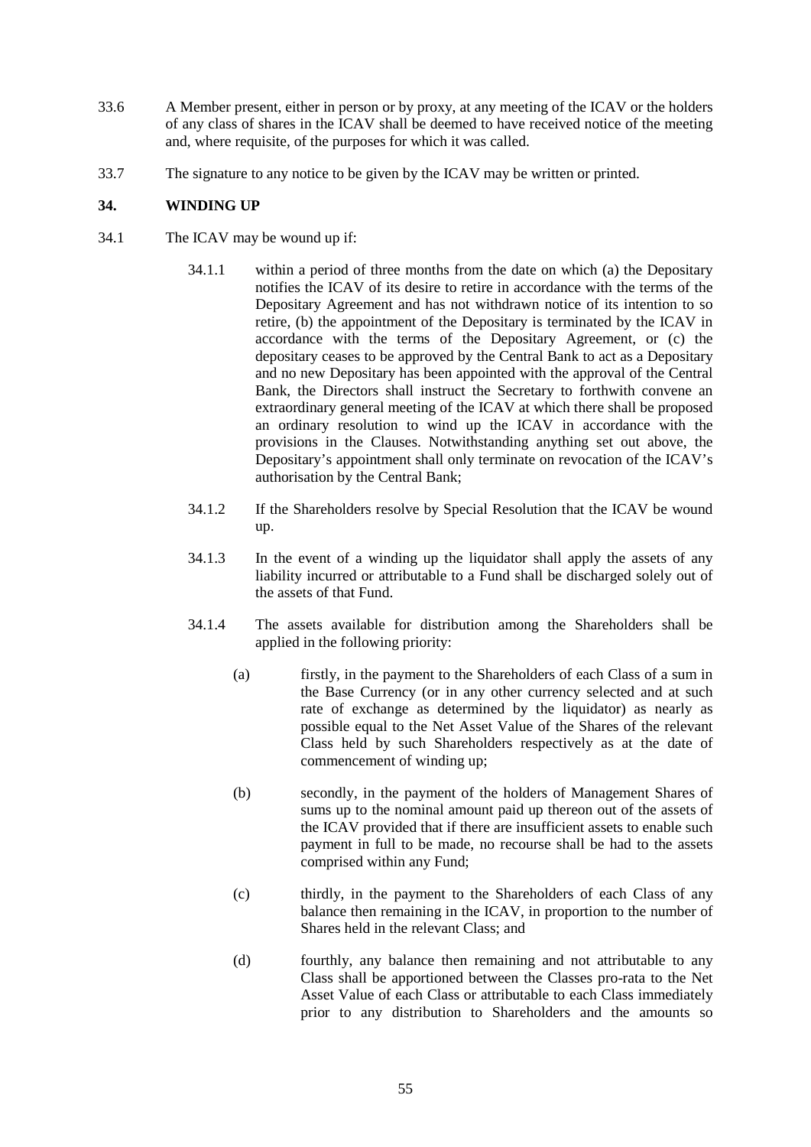- 33.6 A Member present, either in person or by proxy, at any meeting of the ICAV or the holders of any class of shares in the ICAV shall be deemed to have received notice of the meeting and, where requisite, of the purposes for which it was called.
- 33.7 The signature to any notice to be given by the ICAV may be written or printed.

## **34. WINDING UP**

- 34.1 The ICAV may be wound up if:
	- 34.1.1 within a period of three months from the date on which (a) the Depositary notifies the ICAV of its desire to retire in accordance with the terms of the Depositary Agreement and has not withdrawn notice of its intention to so retire, (b) the appointment of the Depositary is terminated by the ICAV in accordance with the terms of the Depositary Agreement, or (c) the depositary ceases to be approved by the Central Bank to act as a Depositary and no new Depositary has been appointed with the approval of the Central Bank, the Directors shall instruct the Secretary to forthwith convene an extraordinary general meeting of the ICAV at which there shall be proposed an ordinary resolution to wind up the ICAV in accordance with the provisions in the Clauses. Notwithstanding anything set out above, the Depositary's appointment shall only terminate on revocation of the ICAV's authorisation by the Central Bank;
	- 34.1.2 If the Shareholders resolve by Special Resolution that the ICAV be wound up.
	- 34.1.3 In the event of a winding up the liquidator shall apply the assets of any liability incurred or attributable to a Fund shall be discharged solely out of the assets of that Fund.
	- 34.1.4 The assets available for distribution among the Shareholders shall be applied in the following priority:
		- (a) firstly, in the payment to the Shareholders of each Class of a sum in the Base Currency (or in any other currency selected and at such rate of exchange as determined by the liquidator) as nearly as possible equal to the Net Asset Value of the Shares of the relevant Class held by such Shareholders respectively as at the date of commencement of winding up;
		- (b) secondly, in the payment of the holders of Management Shares of sums up to the nominal amount paid up thereon out of the assets of the ICAV provided that if there are insufficient assets to enable such payment in full to be made, no recourse shall be had to the assets comprised within any Fund;
		- (c) thirdly, in the payment to the Shareholders of each Class of any balance then remaining in the ICAV, in proportion to the number of Shares held in the relevant Class; and
		- (d) fourthly, any balance then remaining and not attributable to any Class shall be apportioned between the Classes pro-rata to the Net Asset Value of each Class or attributable to each Class immediately prior to any distribution to Shareholders and the amounts so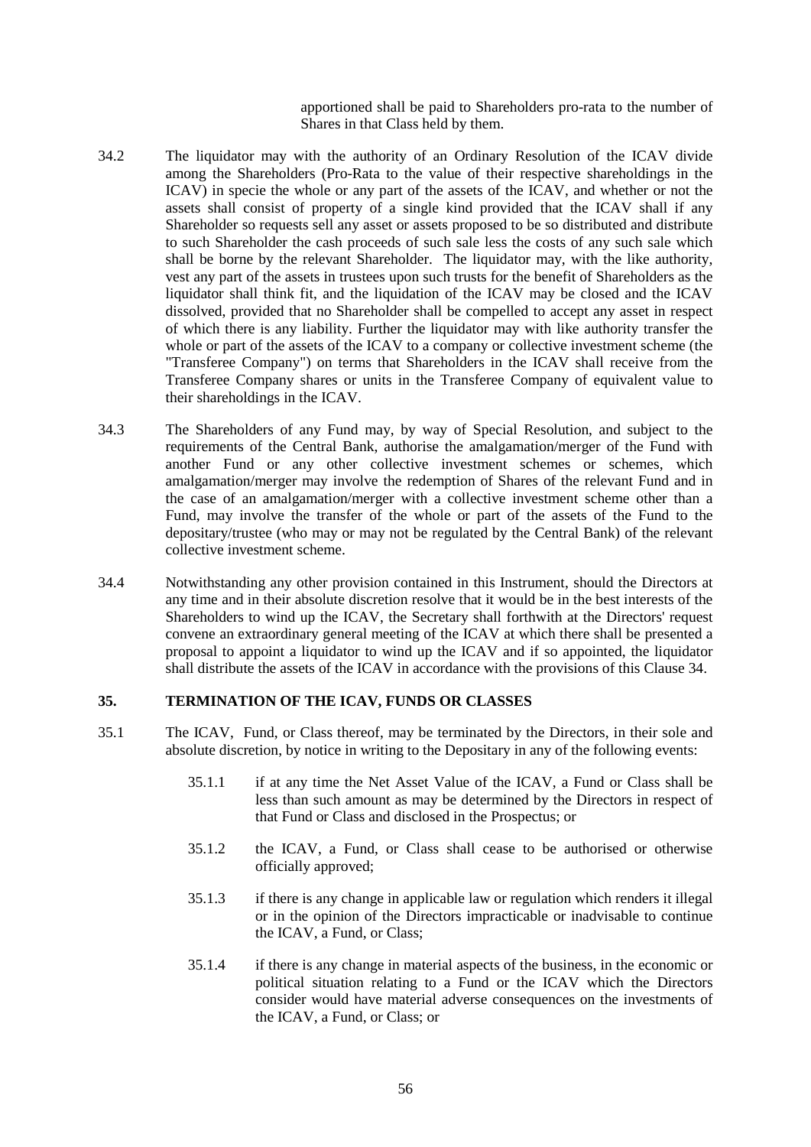apportioned shall be paid to Shareholders pro-rata to the number of Shares in that Class held by them.

- 34.2 The liquidator may with the authority of an Ordinary Resolution of the ICAV divide among the Shareholders (Pro-Rata to the value of their respective shareholdings in the ICAV) in specie the whole or any part of the assets of the ICAV, and whether or not the assets shall consist of property of a single kind provided that the ICAV shall if any Shareholder so requests sell any asset or assets proposed to be so distributed and distribute to such Shareholder the cash proceeds of such sale less the costs of any such sale which shall be borne by the relevant Shareholder. The liquidator may, with the like authority, vest any part of the assets in trustees upon such trusts for the benefit of Shareholders as the liquidator shall think fit, and the liquidation of the ICAV may be closed and the ICAV dissolved, provided that no Shareholder shall be compelled to accept any asset in respect of which there is any liability. Further the liquidator may with like authority transfer the whole or part of the assets of the ICAV to a company or collective investment scheme (the "Transferee Company") on terms that Shareholders in the ICAV shall receive from the Transferee Company shares or units in the Transferee Company of equivalent value to their shareholdings in the ICAV.
- 34.3 The Shareholders of any Fund may, by way of Special Resolution, and subject to the requirements of the Central Bank, authorise the amalgamation/merger of the Fund with another Fund or any other collective investment schemes or schemes, which amalgamation/merger may involve the redemption of Shares of the relevant Fund and in the case of an amalgamation/merger with a collective investment scheme other than a Fund, may involve the transfer of the whole or part of the assets of the Fund to the depositary/trustee (who may or may not be regulated by the Central Bank) of the relevant collective investment scheme.
- 34.4 Notwithstanding any other provision contained in this Instrument, should the Directors at any time and in their absolute discretion resolve that it would be in the best interests of the Shareholders to wind up the ICAV, the Secretary shall forthwith at the Directors' request convene an extraordinary general meeting of the ICAV at which there shall be presented a proposal to appoint a liquidator to wind up the ICAV and if so appointed, the liquidator shall distribute the assets of the ICAV in accordance with the provisions of this Clause 34.

### **35. TERMINATION OF THE ICAV, FUNDS OR CLASSES**

- 35.1 The ICAV, Fund, or Class thereof, may be terminated by the Directors, in their sole and absolute discretion, by notice in writing to the Depositary in any of the following events:
	- 35.1.1 if at any time the Net Asset Value of the ICAV, a Fund or Class shall be less than such amount as may be determined by the Directors in respect of that Fund or Class and disclosed in the Prospectus; or
	- 35.1.2 the ICAV, a Fund, or Class shall cease to be authorised or otherwise officially approved;
	- 35.1.3 if there is any change in applicable law or regulation which renders it illegal or in the opinion of the Directors impracticable or inadvisable to continue the ICAV, a Fund, or Class;
	- 35.1.4 if there is any change in material aspects of the business, in the economic or political situation relating to a Fund or the ICAV which the Directors consider would have material adverse consequences on the investments of the ICAV, a Fund, or Class; or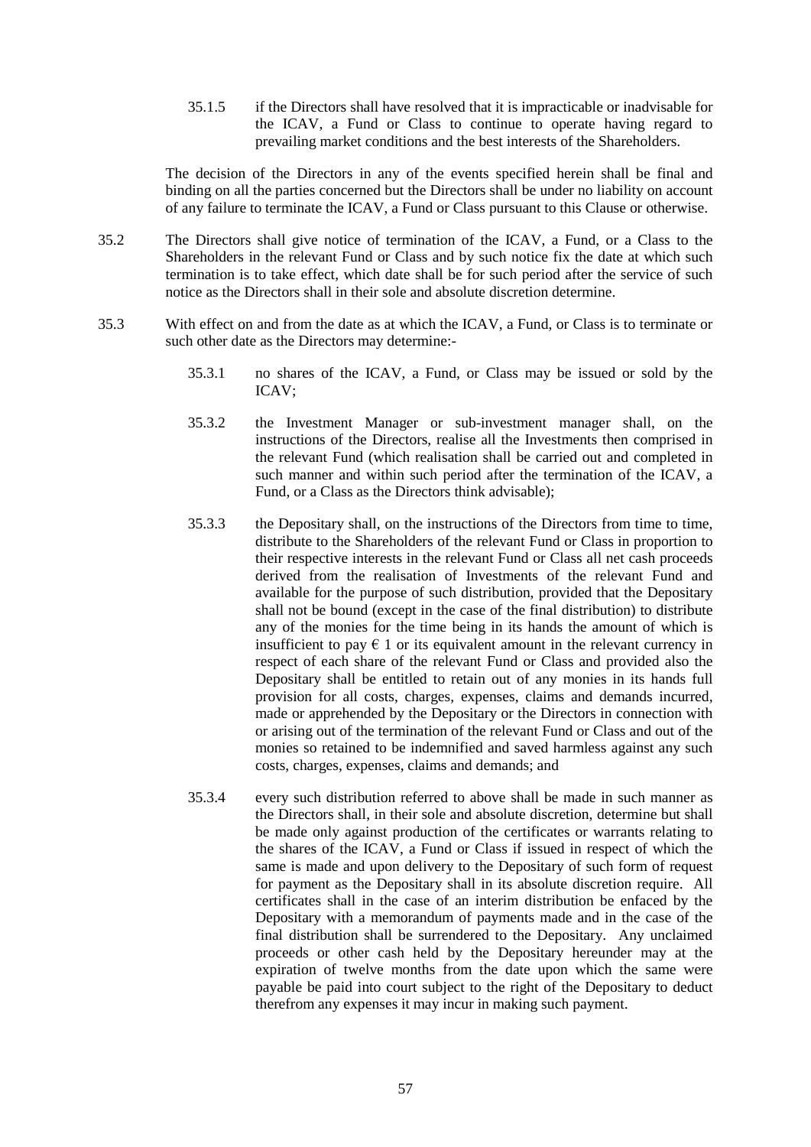35.1.5 if the Directors shall have resolved that it is impracticable or inadvisable for the ICAV, a Fund or Class to continue to operate having regard to prevailing market conditions and the best interests of the Shareholders.

The decision of the Directors in any of the events specified herein shall be final and binding on all the parties concerned but the Directors shall be under no liability on account of any failure to terminate the ICAV, a Fund or Class pursuant to this Clause or otherwise.

- 35.2 The Directors shall give notice of termination of the ICAV, a Fund, or a Class to the Shareholders in the relevant Fund or Class and by such notice fix the date at which such termination is to take effect, which date shall be for such period after the service of such notice as the Directors shall in their sole and absolute discretion determine.
- 35.3 With effect on and from the date as at which the ICAV, a Fund, or Class is to terminate or such other date as the Directors may determine:-
	- 35.3.1 no shares of the ICAV, a Fund, or Class may be issued or sold by the ICAV;
	- 35.3.2 the Investment Manager or sub-investment manager shall, on the instructions of the Directors, realise all the Investments then comprised in the relevant Fund (which realisation shall be carried out and completed in such manner and within such period after the termination of the ICAV, a Fund, or a Class as the Directors think advisable);
	- 35.3.3 the Depositary shall, on the instructions of the Directors from time to time, distribute to the Shareholders of the relevant Fund or Class in proportion to their respective interests in the relevant Fund or Class all net cash proceeds derived from the realisation of Investments of the relevant Fund and available for the purpose of such distribution, provided that the Depositary shall not be bound (except in the case of the final distribution) to distribute any of the monies for the time being in its hands the amount of which is insufficient to pay  $\epsilon$  1 or its equivalent amount in the relevant currency in respect of each share of the relevant Fund or Class and provided also the Depositary shall be entitled to retain out of any monies in its hands full provision for all costs, charges, expenses, claims and demands incurred, made or apprehended by the Depositary or the Directors in connection with or arising out of the termination of the relevant Fund or Class and out of the monies so retained to be indemnified and saved harmless against any such costs, charges, expenses, claims and demands; and
	- 35.3.4 every such distribution referred to above shall be made in such manner as the Directors shall, in their sole and absolute discretion, determine but shall be made only against production of the certificates or warrants relating to the shares of the ICAV, a Fund or Class if issued in respect of which the same is made and upon delivery to the Depositary of such form of request for payment as the Depositary shall in its absolute discretion require. All certificates shall in the case of an interim distribution be enfaced by the Depositary with a memorandum of payments made and in the case of the final distribution shall be surrendered to the Depositary. Any unclaimed proceeds or other cash held by the Depositary hereunder may at the expiration of twelve months from the date upon which the same were payable be paid into court subject to the right of the Depositary to deduct therefrom any expenses it may incur in making such payment.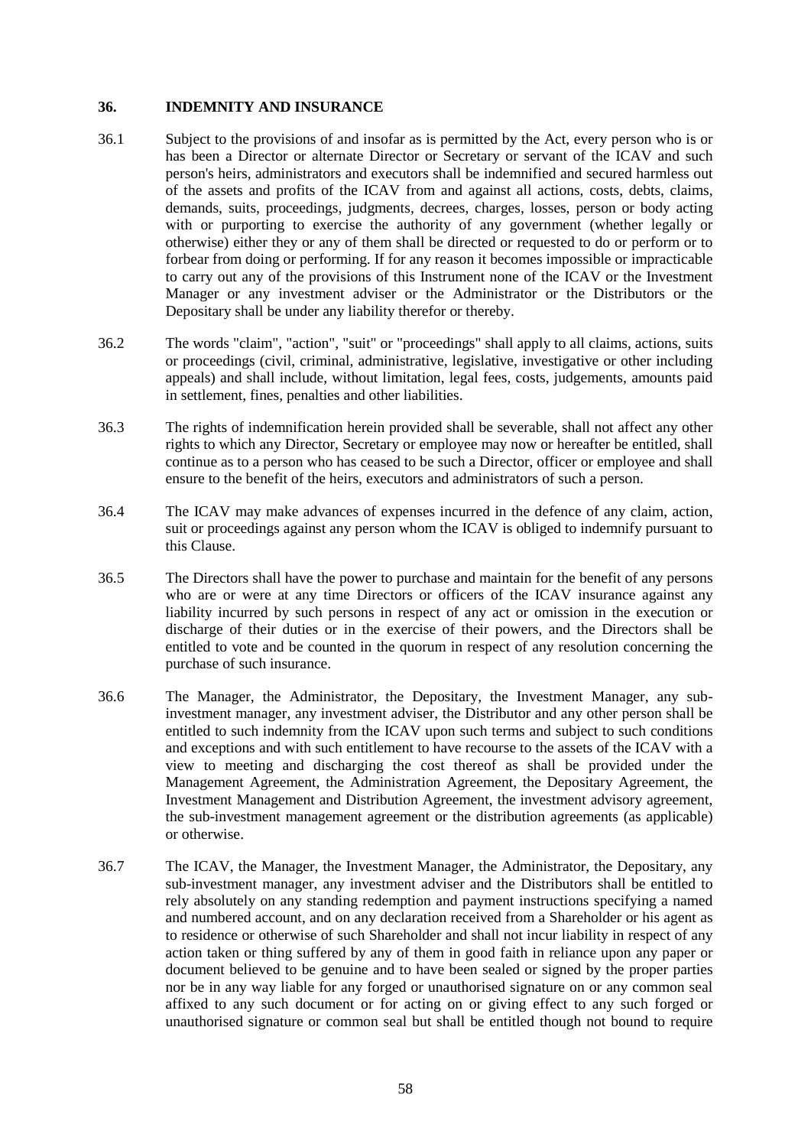### **36. INDEMNITY AND INSURANCE**

- 36.1 Subject to the provisions of and insofar as is permitted by the Act, every person who is or has been a Director or alternate Director or Secretary or servant of the ICAV and such person's heirs, administrators and executors shall be indemnified and secured harmless out of the assets and profits of the ICAV from and against all actions, costs, debts, claims, demands, suits, proceedings, judgments, decrees, charges, losses, person or body acting with or purporting to exercise the authority of any government (whether legally or otherwise) either they or any of them shall be directed or requested to do or perform or to forbear from doing or performing. If for any reason it becomes impossible or impracticable to carry out any of the provisions of this Instrument none of the ICAV or the Investment Manager or any investment adviser or the Administrator or the Distributors or the Depositary shall be under any liability therefor or thereby.
- 36.2 The words "claim", "action", "suit" or "proceedings" shall apply to all claims, actions, suits or proceedings (civil, criminal, administrative, legislative, investigative or other including appeals) and shall include, without limitation, legal fees, costs, judgements, amounts paid in settlement, fines, penalties and other liabilities.
- 36.3 The rights of indemnification herein provided shall be severable, shall not affect any other rights to which any Director, Secretary or employee may now or hereafter be entitled, shall continue as to a person who has ceased to be such a Director, officer or employee and shall ensure to the benefit of the heirs, executors and administrators of such a person.
- 36.4 The ICAV may make advances of expenses incurred in the defence of any claim, action, suit or proceedings against any person whom the ICAV is obliged to indemnify pursuant to this Clause.
- 36.5 The Directors shall have the power to purchase and maintain for the benefit of any persons who are or were at any time Directors or officers of the ICAV insurance against any liability incurred by such persons in respect of any act or omission in the execution or discharge of their duties or in the exercise of their powers, and the Directors shall be entitled to vote and be counted in the quorum in respect of any resolution concerning the purchase of such insurance.
- 36.6 The Manager, the Administrator, the Depositary, the Investment Manager, any subinvestment manager, any investment adviser, the Distributor and any other person shall be entitled to such indemnity from the ICAV upon such terms and subject to such conditions and exceptions and with such entitlement to have recourse to the assets of the ICAV with a view to meeting and discharging the cost thereof as shall be provided under the Management Agreement, the Administration Agreement, the Depositary Agreement, the Investment Management and Distribution Agreement, the investment advisory agreement, the sub-investment management agreement or the distribution agreements (as applicable) or otherwise.
- 36.7 The ICAV, the Manager, the Investment Manager, the Administrator, the Depositary, any sub-investment manager, any investment adviser and the Distributors shall be entitled to rely absolutely on any standing redemption and payment instructions specifying a named and numbered account, and on any declaration received from a Shareholder or his agent as to residence or otherwise of such Shareholder and shall not incur liability in respect of any action taken or thing suffered by any of them in good faith in reliance upon any paper or document believed to be genuine and to have been sealed or signed by the proper parties nor be in any way liable for any forged or unauthorised signature on or any common seal affixed to any such document or for acting on or giving effect to any such forged or unauthorised signature or common seal but shall be entitled though not bound to require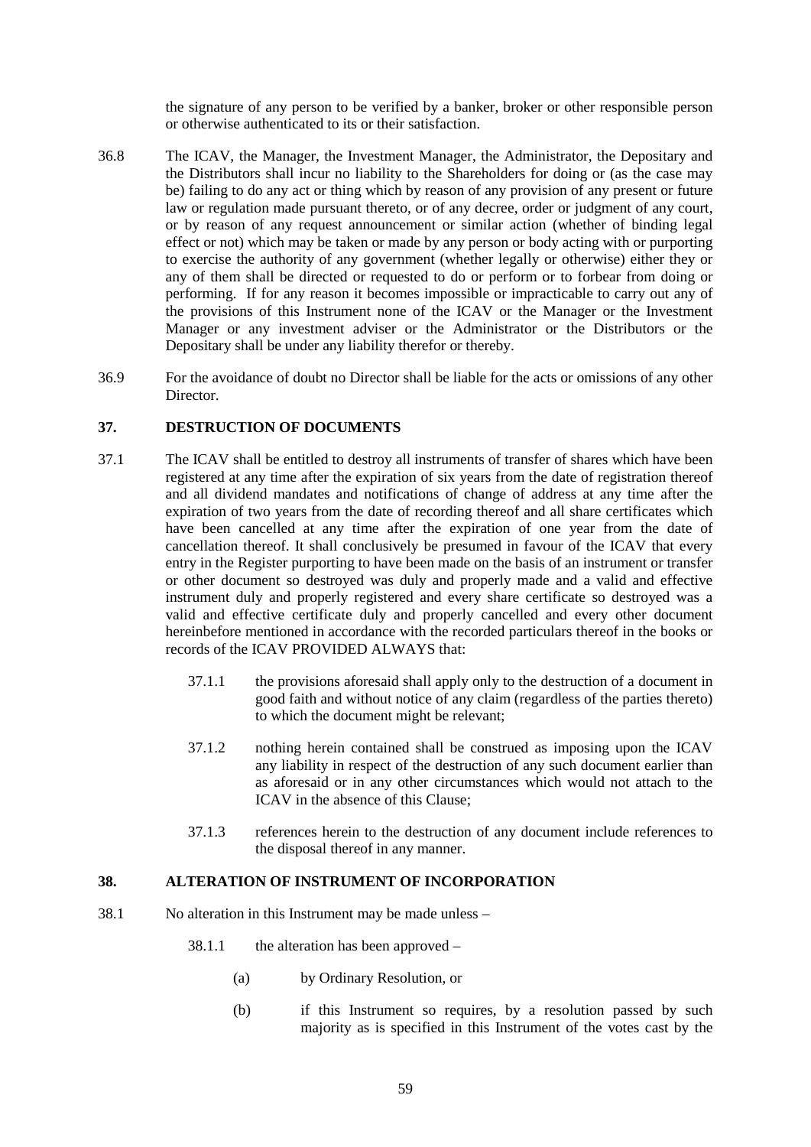the signature of any person to be verified by a banker, broker or other responsible person or otherwise authenticated to its or their satisfaction.

- 36.8 The ICAV, the Manager, the Investment Manager, the Administrator, the Depositary and the Distributors shall incur no liability to the Shareholders for doing or (as the case may be) failing to do any act or thing which by reason of any provision of any present or future law or regulation made pursuant thereto, or of any decree, order or judgment of any court, or by reason of any request announcement or similar action (whether of binding legal effect or not) which may be taken or made by any person or body acting with or purporting to exercise the authority of any government (whether legally or otherwise) either they or any of them shall be directed or requested to do or perform or to forbear from doing or performing. If for any reason it becomes impossible or impracticable to carry out any of the provisions of this Instrument none of the ICAV or the Manager or the Investment Manager or any investment adviser or the Administrator or the Distributors or the Depositary shall be under any liability therefor or thereby.
- 36.9 For the avoidance of doubt no Director shall be liable for the acts or omissions of any other Director.

### **37. DESTRUCTION OF DOCUMENTS**

- 37.1 The ICAV shall be entitled to destroy all instruments of transfer of shares which have been registered at any time after the expiration of six years from the date of registration thereof and all dividend mandates and notifications of change of address at any time after the expiration of two years from the date of recording thereof and all share certificates which have been cancelled at any time after the expiration of one year from the date of cancellation thereof. It shall conclusively be presumed in favour of the ICAV that every entry in the Register purporting to have been made on the basis of an instrument or transfer or other document so destroyed was duly and properly made and a valid and effective instrument duly and properly registered and every share certificate so destroyed was a valid and effective certificate duly and properly cancelled and every other document hereinbefore mentioned in accordance with the recorded particulars thereof in the books or records of the ICAV PROVIDED ALWAYS that:
	- 37.1.1 the provisions aforesaid shall apply only to the destruction of a document in good faith and without notice of any claim (regardless of the parties thereto) to which the document might be relevant;
	- 37.1.2 nothing herein contained shall be construed as imposing upon the ICAV any liability in respect of the destruction of any such document earlier than as aforesaid or in any other circumstances which would not attach to the ICAV in the absence of this Clause;
	- 37.1.3 references herein to the destruction of any document include references to the disposal thereof in any manner.

### **38. ALTERATION OF INSTRUMENT OF INCORPORATION**

- 38.1 No alteration in this Instrument may be made unless
	- 38.1.1 the alteration has been approved
		- (a) by Ordinary Resolution, or
		- (b) if this Instrument so requires, by a resolution passed by such majority as is specified in this Instrument of the votes cast by the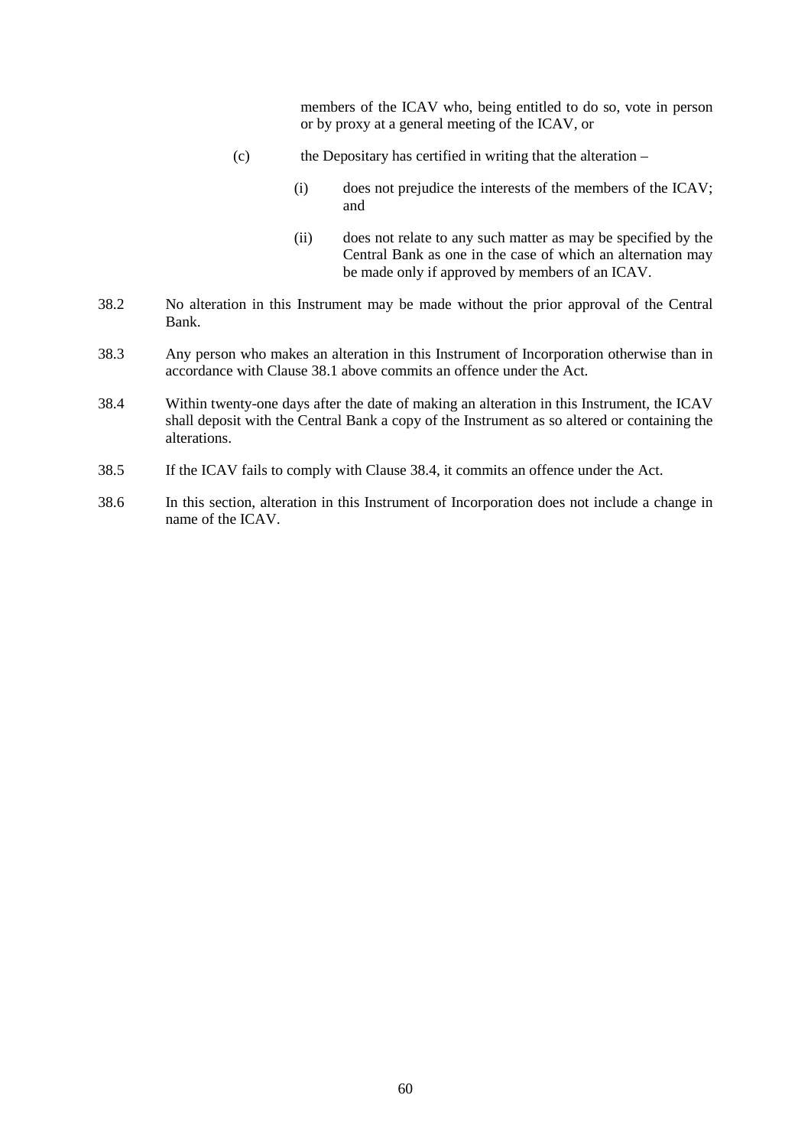members of the ICAV who, being entitled to do so, vote in person or by proxy at a general meeting of the ICAV, or

- (c) the Depositary has certified in writing that the alteration
	- (i) does not prejudice the interests of the members of the ICAV; and
	- (ii) does not relate to any such matter as may be specified by the Central Bank as one in the case of which an alternation may be made only if approved by members of an ICAV.
- 38.2 No alteration in this Instrument may be made without the prior approval of the Central Bank.
- 38.3 Any person who makes an alteration in this Instrument of Incorporation otherwise than in accordance with Clause 38.1 above commits an offence under the Act.
- 38.4 Within twenty-one days after the date of making an alteration in this Instrument, the ICAV shall deposit with the Central Bank a copy of the Instrument as so altered or containing the alterations.
- 38.5 If the ICAV fails to comply with Clause 38.4, it commits an offence under the Act.
- 38.6 In this section, alteration in this Instrument of Incorporation does not include a change in name of the ICAV.